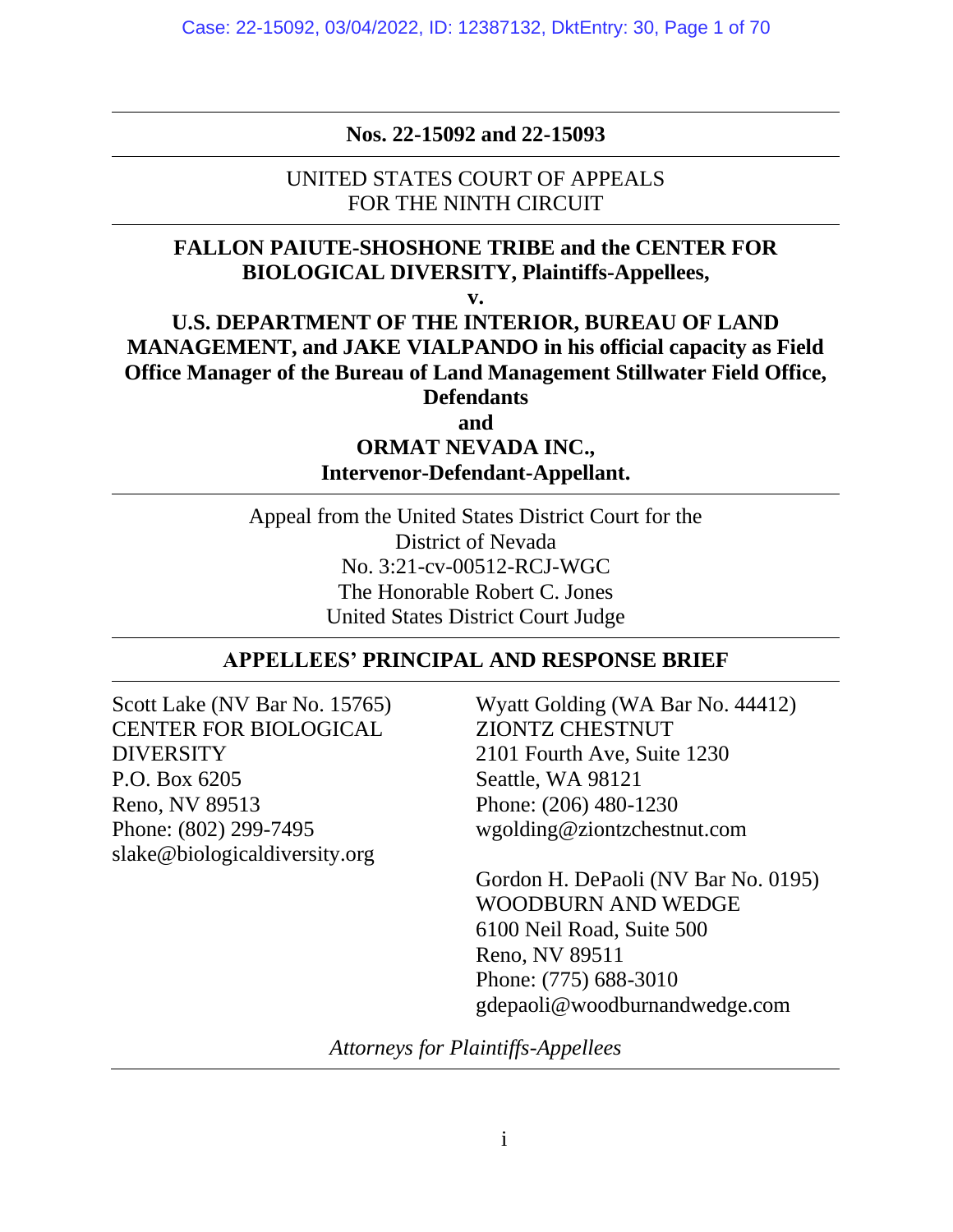**Nos. 22-15092 and 22-15093**

UNITED STATES COURT OF APPEALS FOR THE NINTH CIRCUIT

# **FALLON PAIUTE-SHOSHONE TRIBE and the CENTER FOR BIOLOGICAL DIVERSITY, Plaintiffs-Appellees,**

**v.**

# **U.S. DEPARTMENT OF THE INTERIOR, BUREAU OF LAND MANAGEMENT, and JAKE VIALPANDO in his official capacity as Field Office Manager of the Bureau of Land Management Stillwater Field Office, Defendants**

**and**

**ORMAT NEVADA INC., Intervenor-Defendant-Appellant.**

Appeal from the United States District Court for the District of Nevada No. 3:21-cv-00512-RCJ-WGC The Honorable Robert C. Jones United States District Court Judge

# **APPELLEES' PRINCIPAL AND RESPONSE BRIEF**

Scott Lake (NV Bar No. 15765) CENTER FOR BIOLOGICAL **DIVERSITY** P.O. Box 6205 Reno, NV 89513 Phone: (802) 299-7495 slake@biologicaldiversity.org

Wyatt Golding (WA Bar No. 44412) ZIONTZ CHESTNUT 2101 Fourth Ave, Suite 1230 Seattle, WA 98121 Phone: (206) 480-1230 wgolding@ziontzchestnut.com

Gordon H. DePaoli (NV Bar No. 0195) WOODBURN AND WEDGE 6100 Neil Road, Suite 500 Reno, NV 89511 Phone: (775) 688-3010 gdepaoli@woodburnandwedge.com

*Attorneys for Plaintiffs-Appellees*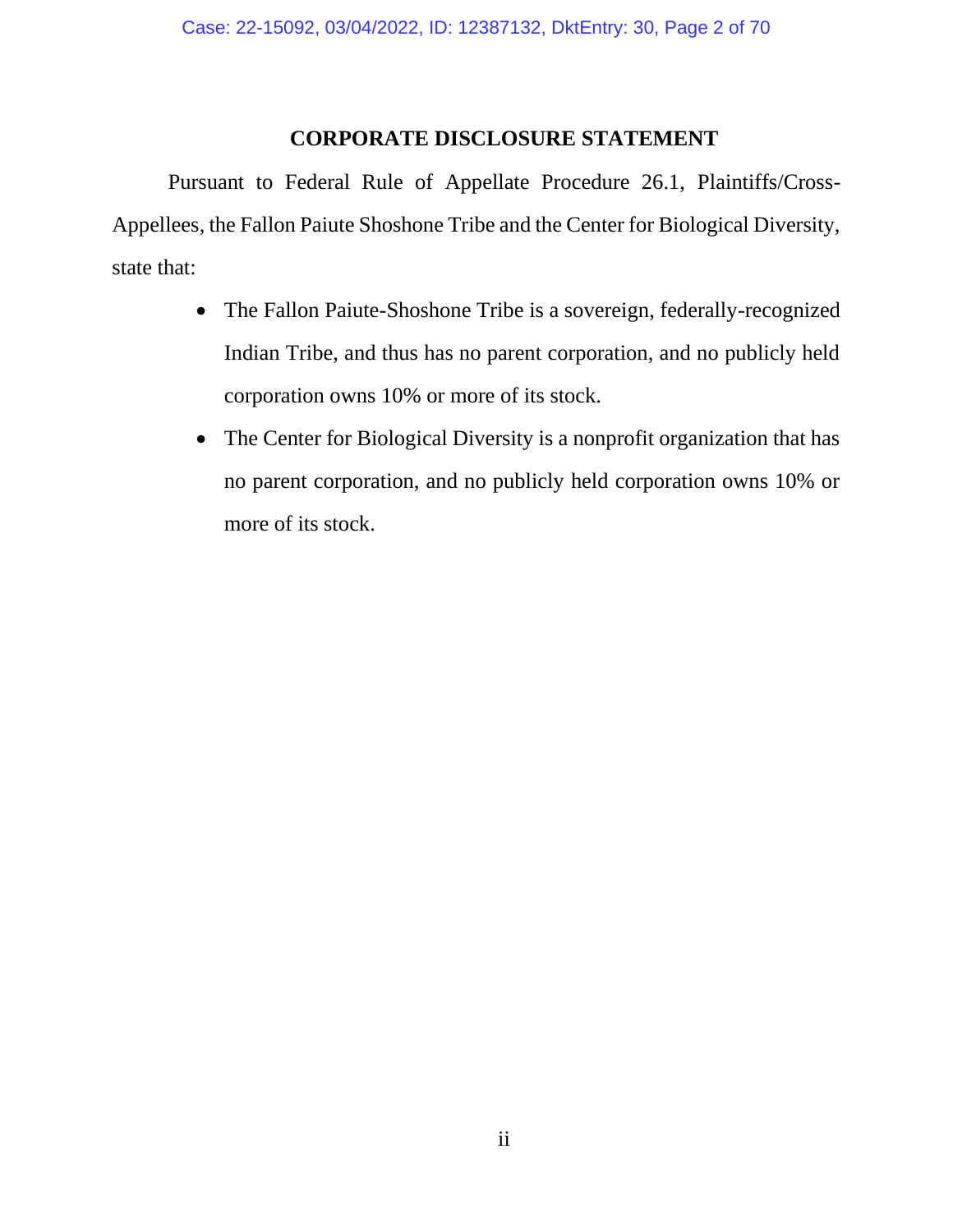### **CORPORATE DISCLOSURE STATEMENT**

Pursuant to Federal Rule of Appellate Procedure 26.1, Plaintiffs/Cross-Appellees, the Fallon Paiute Shoshone Tribe and the Center for Biological Diversity, state that:

- The Fallon Paiute-Shoshone Tribe is a sovereign, federally-recognized Indian Tribe, and thus has no parent corporation, and no publicly held corporation owns 10% or more of its stock.
- The Center for Biological Diversity is a nonprofit organization that has no parent corporation, and no publicly held corporation owns 10% or more of its stock.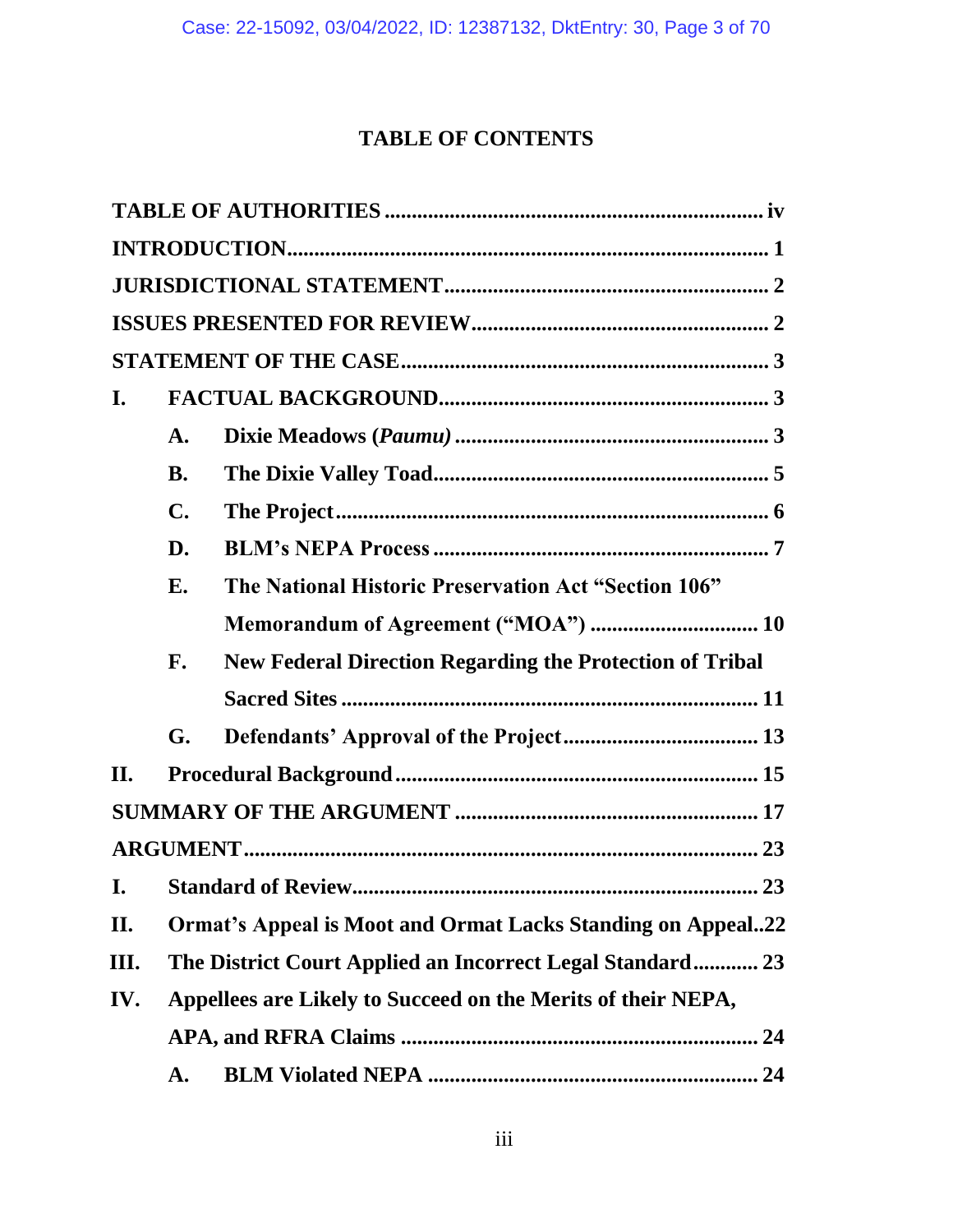# **TABLE OF CONTENTS**

| I.   |                |                                                                    |  |  |
|------|----------------|--------------------------------------------------------------------|--|--|
|      | A.             |                                                                    |  |  |
|      | <b>B.</b>      |                                                                    |  |  |
|      | $\mathbf{C}$ . |                                                                    |  |  |
|      | D.             |                                                                    |  |  |
|      | Е.             | The National Historic Preservation Act "Section 106"               |  |  |
|      |                |                                                                    |  |  |
|      | F.             | <b>New Federal Direction Regarding the Protection of Tribal</b>    |  |  |
|      |                |                                                                    |  |  |
|      | G.             |                                                                    |  |  |
| II.  |                |                                                                    |  |  |
|      |                |                                                                    |  |  |
|      |                |                                                                    |  |  |
|      |                |                                                                    |  |  |
| II.  |                | <b>Ormat's Appeal is Moot and Ormat Lacks Standing on Appeal22</b> |  |  |
| III. |                | The District Court Applied an Incorrect Legal Standard 23          |  |  |
| IV.  |                | Appellees are Likely to Succeed on the Merits of their NEPA,       |  |  |
|      | 24             |                                                                    |  |  |
|      | A.             | 24                                                                 |  |  |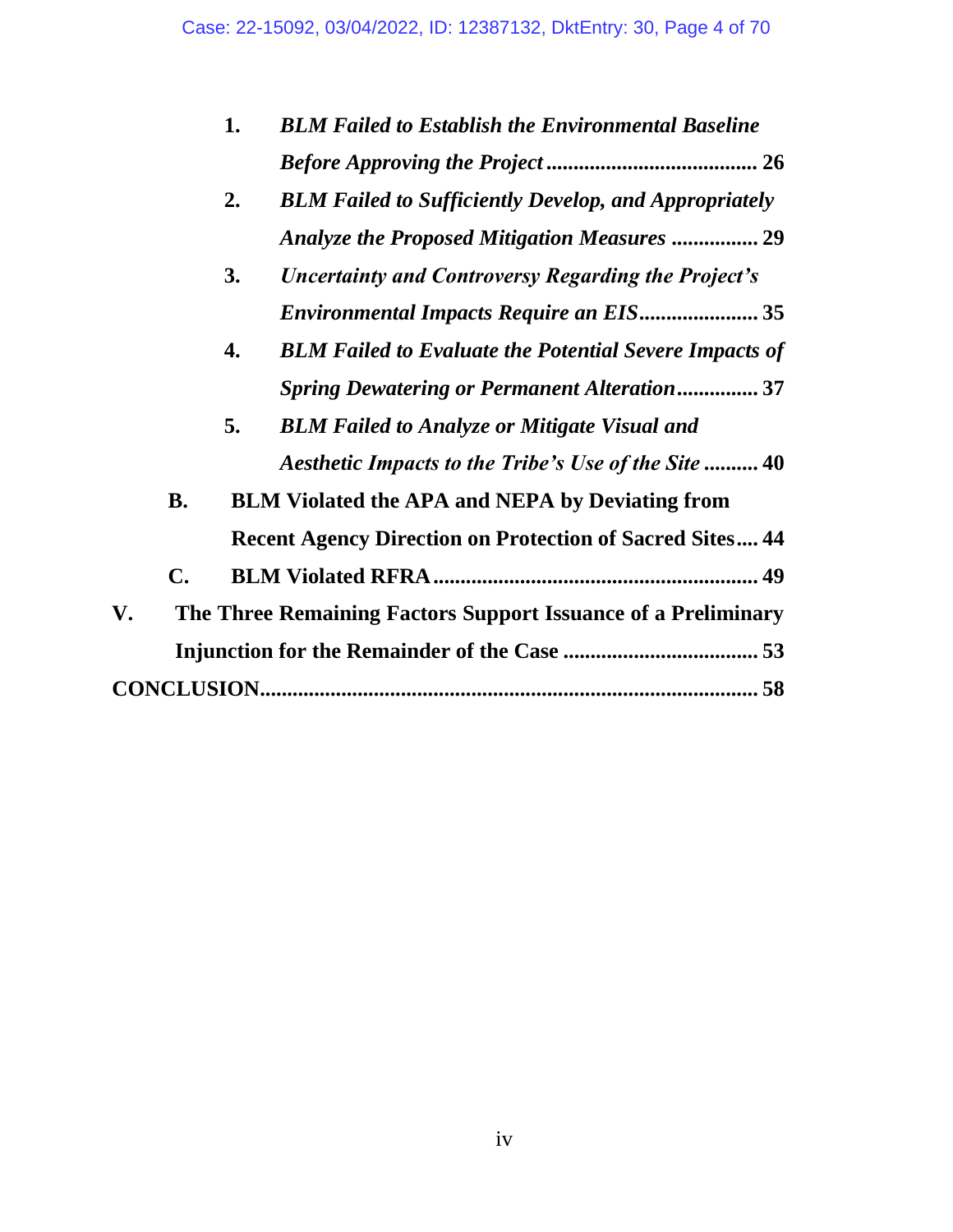|    |                | 1. | <b>BLM Failed to Establish the Environmental Baseline</b>       |
|----|----------------|----|-----------------------------------------------------------------|
|    |                |    |                                                                 |
|    |                | 2. | <b>BLM Failed to Sufficiently Develop, and Appropriately</b>    |
|    |                |    | <b>Analyze the Proposed Mitigation Measures  29</b>             |
|    |                | 3. | <b>Uncertainty and Controversy Regarding the Project's</b>      |
|    |                |    | <b>Environmental Impacts Require an EIS 35</b>                  |
|    |                | 4. | <b>BLM Failed to Evaluate the Potential Severe Impacts of</b>   |
|    |                |    | <b>Spring Dewatering or Permanent Alteration  37</b>            |
|    |                | 5. | <b>BLM Failed to Analyze or Mitigate Visual and</b>             |
|    |                |    | Aesthetic Impacts to the Tribe's Use of the Site  40            |
|    | <b>B.</b>      |    | <b>BLM Violated the APA and NEPA by Deviating from</b>          |
|    |                |    | <b>Recent Agency Direction on Protection of Sacred Sites 44</b> |
|    | $\mathbf{C}$ . |    |                                                                 |
| V. |                |    | The Three Remaining Factors Support Issuance of a Preliminary   |
|    |                |    |                                                                 |
|    |                |    |                                                                 |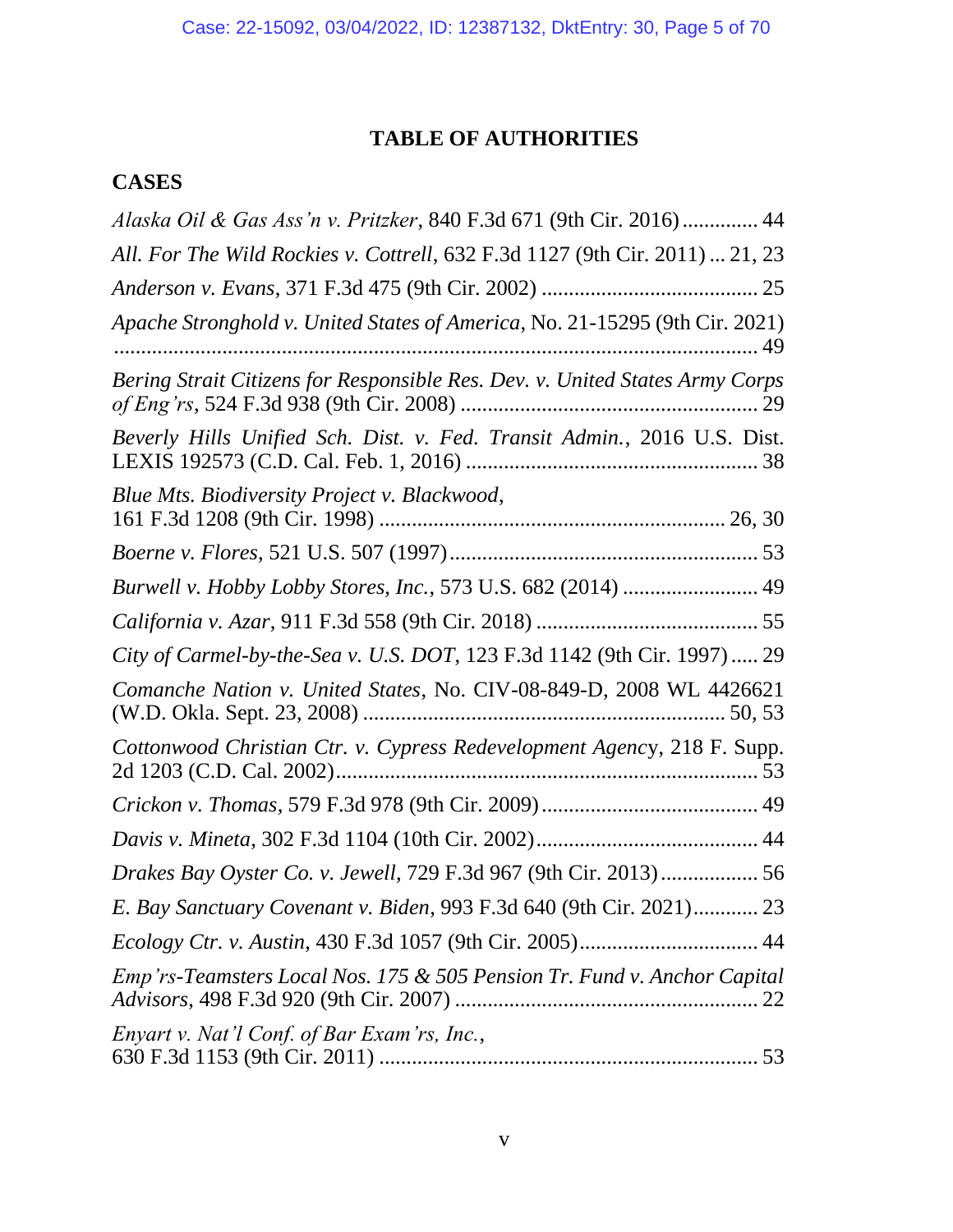# **TABLE OF AUTHORITIES**

# **CASES**

| Alaska Oil & Gas Ass'n v. Pritzker, 840 F.3d 671 (9th Cir. 2016) 44          |
|------------------------------------------------------------------------------|
| All. For The Wild Rockies v. Cottrell, 632 F.3d 1127 (9th Cir. 2011)  21, 23 |
|                                                                              |
| Apache Stronghold v. United States of America, No. 21-15295 (9th Cir. 2021)  |
| Bering Strait Citizens for Responsible Res. Dev. v. United States Army Corps |
| Beverly Hills Unified Sch. Dist. v. Fed. Transit Admin., 2016 U.S. Dist.     |
| Blue Mts. Biodiversity Project v. Blackwood,                                 |
|                                                                              |
| Burwell v. Hobby Lobby Stores, Inc., 573 U.S. 682 (2014)  49                 |
|                                                                              |
| City of Carmel-by-the-Sea v. U.S. DOT, 123 F.3d 1142 (9th Cir. 1997)  29     |
| Comanche Nation v. United States, No. CIV-08-849-D, 2008 WL 4426621          |
| Cottonwood Christian Ctr. v. Cypress Redevelopment Agency, 218 F. Supp.      |
|                                                                              |
|                                                                              |
| Drakes Bay Oyster Co. v. Jewell, 729 F.3d 967 (9th Cir. 2013)  56            |
| E. Bay Sanctuary Covenant v. Biden, 993 F.3d 640 (9th Cir. 2021) 23          |
|                                                                              |
| Emp'rs-Teamsters Local Nos. 175 & 505 Pension Tr. Fund v. Anchor Capital     |
| Enyart v. Nat'l Conf. of Bar Exam'rs, Inc.,                                  |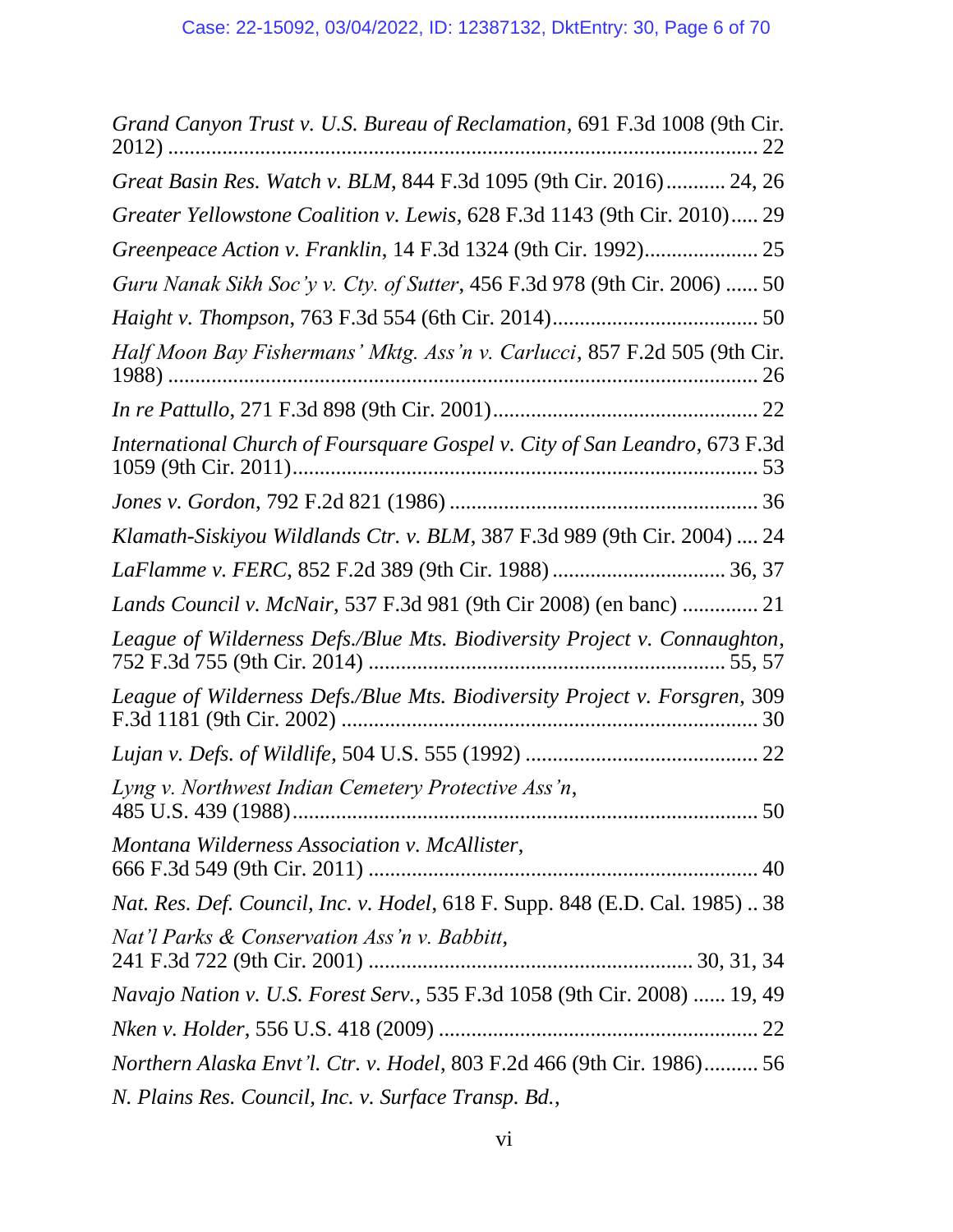| Grand Canyon Trust v. U.S. Bureau of Reclamation, 691 F.3d 1008 (9th Cir.         |
|-----------------------------------------------------------------------------------|
| Great Basin Res. Watch v. BLM, 844 F.3d 1095 (9th Cir. 2016) 24, 26               |
| Greater Yellowstone Coalition v. Lewis, 628 F.3d 1143 (9th Cir. 2010) 29          |
|                                                                                   |
| Guru Nanak Sikh Soc'y v. Cty. of Sutter, 456 F.3d 978 (9th Cir. 2006)  50         |
|                                                                                   |
| Half Moon Bay Fishermans' Mktg. Ass'n v. Carlucci, 857 F.2d 505 (9th Cir.         |
|                                                                                   |
| International Church of Foursquare Gospel v. City of San Leandro, 673 F.3d        |
|                                                                                   |
| Klamath-Siskiyou Wildlands Ctr. v. BLM, 387 F.3d 989 (9th Cir. 2004)  24          |
|                                                                                   |
| Lands Council v. McNair, 537 F.3d 981 (9th Cir 2008) (en banc)  21                |
| League of Wilderness Defs./Blue Mts. Biodiversity Project v. Connaughton,         |
| League of Wilderness Defs./Blue Mts. Biodiversity Project v. Forsgren, 309        |
|                                                                                   |
| Lyng v. Northwest Indian Cemetery Protective Ass'n,                               |
| Montana Wilderness Association v. McAllister,                                     |
| Nat. Res. Def. Council, Inc. v. Hodel, 618 F. Supp. 848 (E.D. Cal. 1985)  38      |
| Nat'l Parks & Conservation Ass'n v. Babbitt,                                      |
| <i>Navajo Nation v. U.S. Forest Serv.</i> , 535 F.3d 1058 (9th Cir. 2008)  19, 49 |
|                                                                                   |
| <i>Northern Alaska Envt'l. Ctr. v. Hodel, 803 F.2d 466 (9th Cir. 1986) 56</i>     |
| N. Plains Res. Council, Inc. v. Surface Transp. Bd.,                              |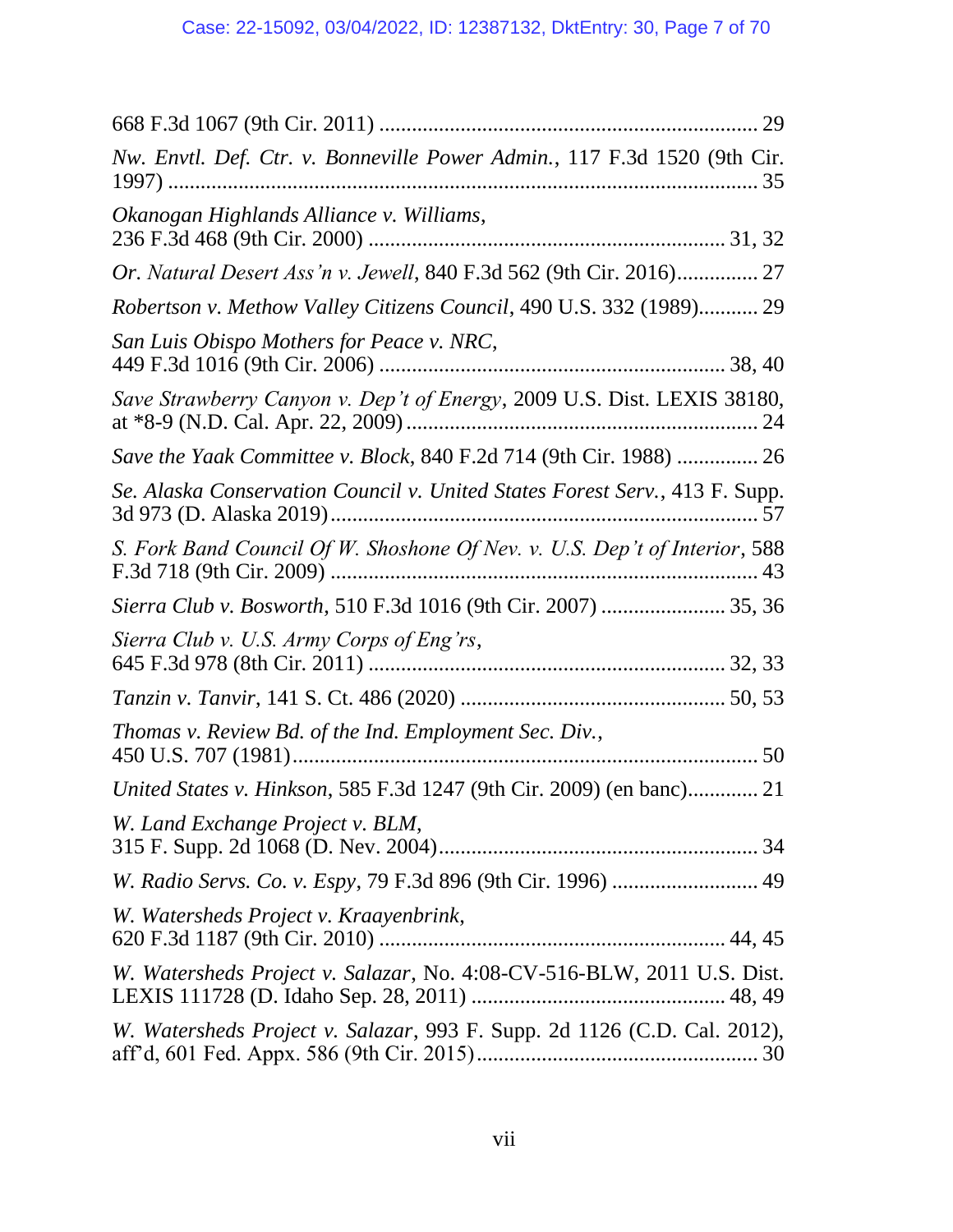| Nw. Envtl. Def. Ctr. v. Bonneville Power Admin., 117 F.3d 1520 (9th Cir.    |
|-----------------------------------------------------------------------------|
| Okanogan Highlands Alliance v. Williams,                                    |
| <i>Or. Natural Desert Ass'n v. Jewell, 840 F.3d 562 (9th Cir. 2016)</i> 27  |
| Robertson v. Methow Valley Citizens Council, 490 U.S. 332 (1989) 29         |
| San Luis Obispo Mothers for Peace v. NRC,                                   |
| Save Strawberry Canyon v. Dep't of Energy, 2009 U.S. Dist. LEXIS 38180,     |
| Save the Yaak Committee v. Block, 840 F.2d 714 (9th Cir. 1988)  26          |
| Se. Alaska Conservation Council v. United States Forest Serv., 413 F. Supp. |
| S. Fork Band Council Of W. Shoshone Of Nev. v. U.S. Dep't of Interior, 588  |
|                                                                             |
| Sierra Club v. U.S. Army Corps of Eng'rs,                                   |
|                                                                             |
| Thomas v. Review Bd. of the Ind. Employment Sec. Div.,                      |
| United States v. Hinkson, 585 F.3d 1247 (9th Cir. 2009) (en banc) 21        |
| W. Land Exchange Project v. BLM,                                            |
|                                                                             |
| W. Watersheds Project v. Kraayenbrink,                                      |
| W. Watersheds Project v. Salazar, No. 4:08-CV-516-BLW, 2011 U.S. Dist.      |
| W. Watersheds Project v. Salazar, 993 F. Supp. 2d 1126 (C.D. Cal. 2012),    |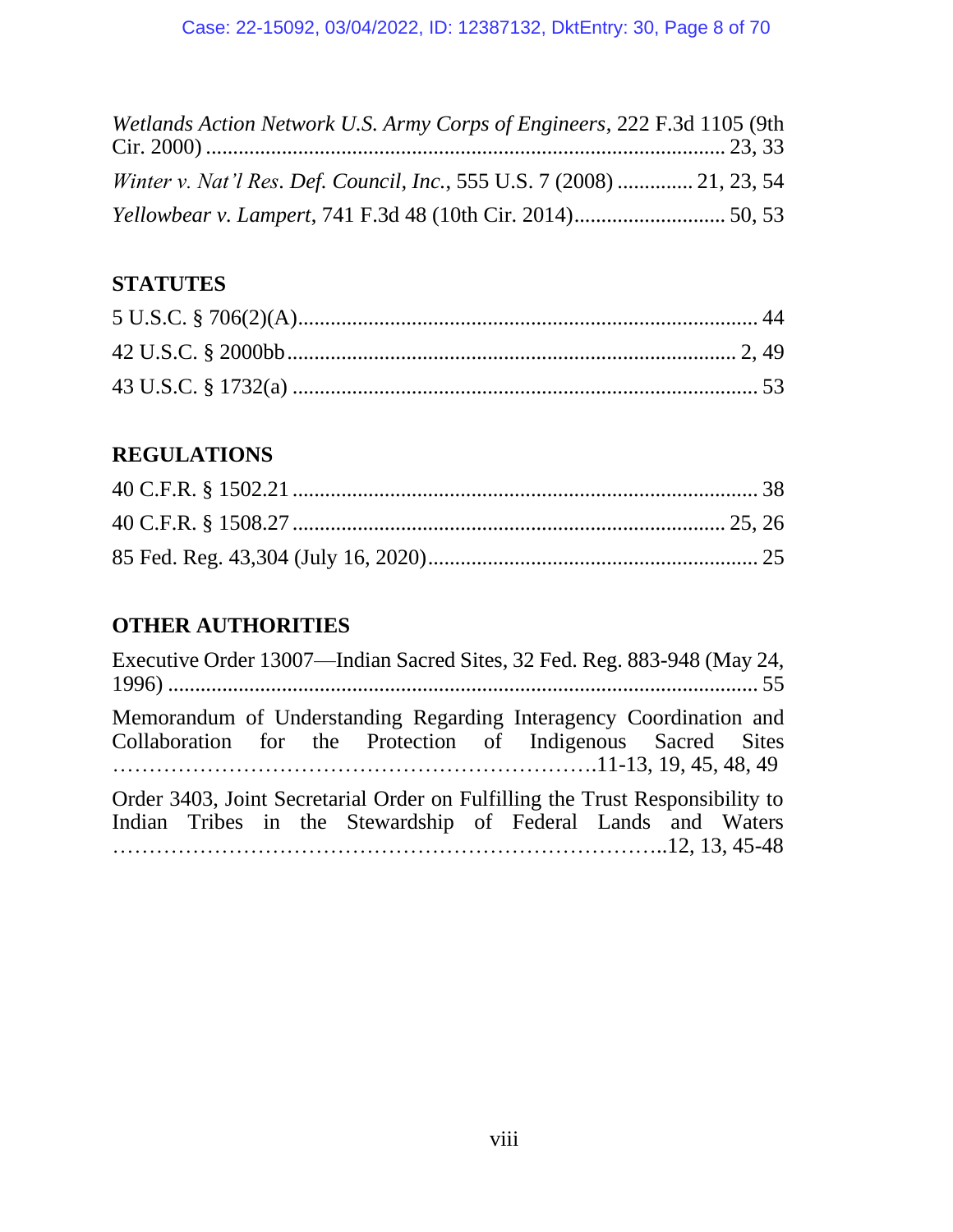| Wetlands Action Network U.S. Army Corps of Engineers, 222 F.3d 1105 (9th |  |
|--------------------------------------------------------------------------|--|
| Winter v. Nat'l Res. Def. Council, Inc., 555 U.S. 7 (2008)  21, 23, 54   |  |
|                                                                          |  |

# **STATUTES**

# **REGULATIONS**

# **OTHER AUTHORITIES**

| Executive Order 13007—Indian Sacred Sites, 32 Fed. Reg. 883-948 (May 24,                                                                      |
|-----------------------------------------------------------------------------------------------------------------------------------------------|
| Memorandum of Understanding Regarding Interagency Coordination and<br>Collaboration for the Protection of Indigenous Sacred Sites             |
| Order 3403, Joint Secretarial Order on Fulfilling the Trust Responsibility to<br>Indian Tribes in the Stewardship of Federal Lands and Waters |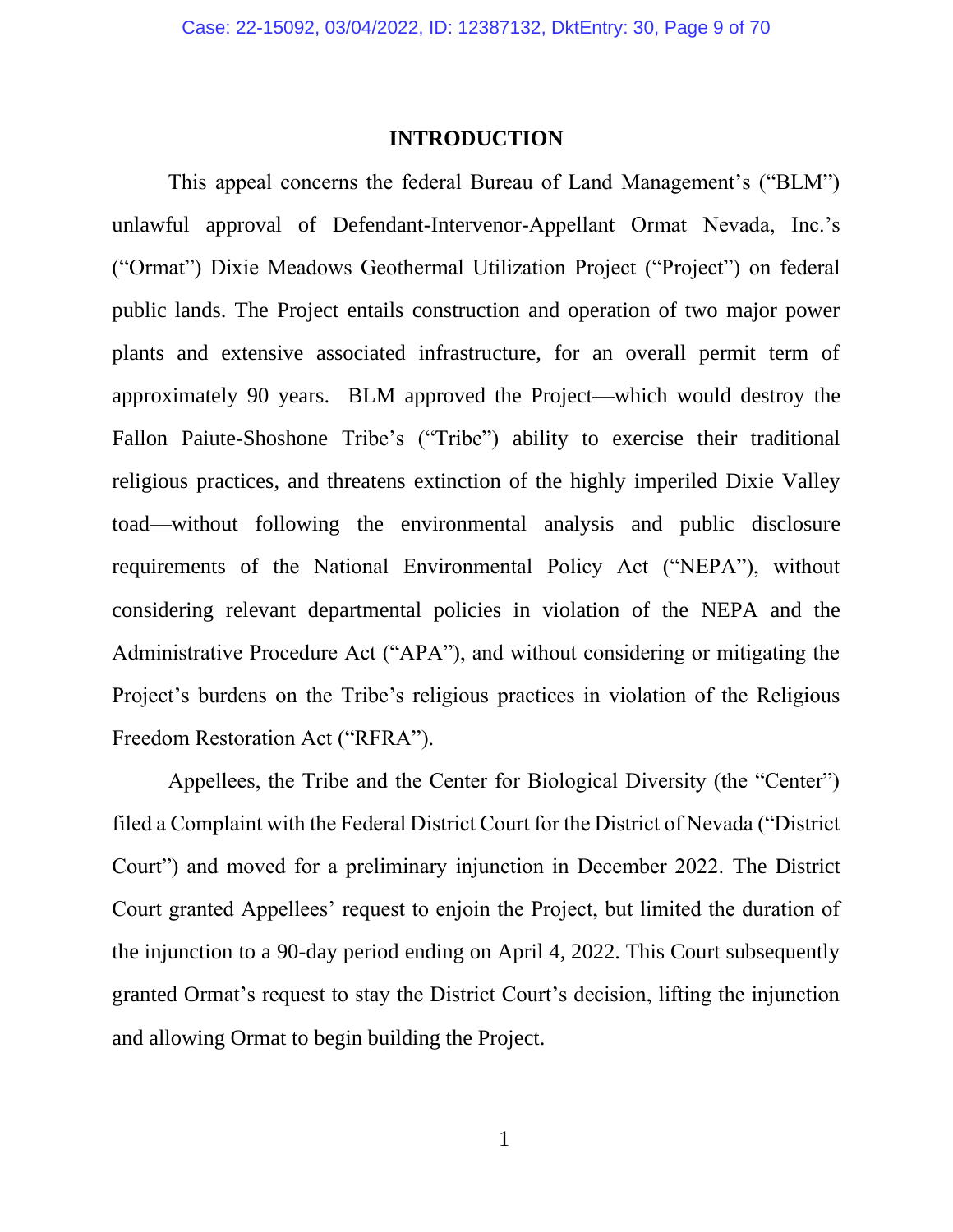#### **INTRODUCTION**

This appeal concerns the federal Bureau of Land Management's ("BLM") unlawful approval of Defendant-Intervenor-Appellant Ormat Nevada, Inc.'s ("Ormat") Dixie Meadows Geothermal Utilization Project ("Project") on federal public lands. The Project entails construction and operation of two major power plants and extensive associated infrastructure, for an overall permit term of approximately 90 years. BLM approved the Project—which would destroy the Fallon Paiute-Shoshone Tribe's ("Tribe") ability to exercise their traditional religious practices, and threatens extinction of the highly imperiled Dixie Valley toad—without following the environmental analysis and public disclosure requirements of the National Environmental Policy Act ("NEPA"), without considering relevant departmental policies in violation of the NEPA and the Administrative Procedure Act ("APA"), and without considering or mitigating the Project's burdens on the Tribe's religious practices in violation of the Religious Freedom Restoration Act ("RFRA").

Appellees, the Tribe and the Center for Biological Diversity (the "Center") filed a Complaint with the Federal District Court for the District of Nevada ("District Court") and moved for a preliminary injunction in December 2022. The District Court granted Appellees' request to enjoin the Project, but limited the duration of the injunction to a 90-day period ending on April 4, 2022. This Court subsequently granted Ormat's request to stay the District Court's decision, lifting the injunction and allowing Ormat to begin building the Project.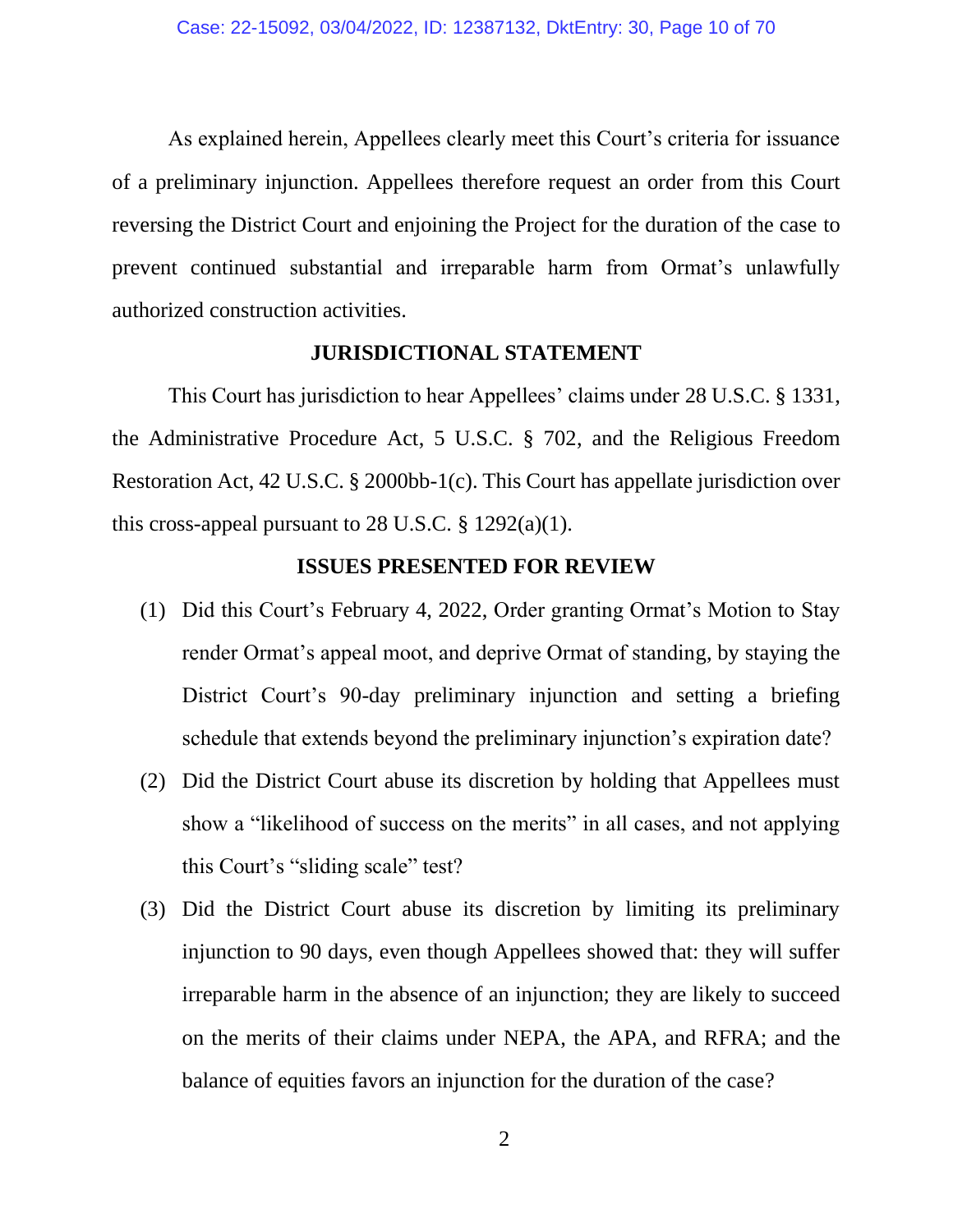As explained herein, Appellees clearly meet this Court's criteria for issuance of a preliminary injunction. Appellees therefore request an order from this Court reversing the District Court and enjoining the Project for the duration of the case to prevent continued substantial and irreparable harm from Ormat's unlawfully authorized construction activities.

### **JURISDICTIONAL STATEMENT**

This Court has jurisdiction to hear Appellees' claims under 28 U.S.C. § 1331, the Administrative Procedure Act, 5 U.S.C. § 702, and the Religious Freedom Restoration Act, 42 U.S.C. § 2000bb-1(c). This Court has appellate jurisdiction over this cross-appeal pursuant to 28 U.S.C.  $\S$  1292(a)(1).

#### **ISSUES PRESENTED FOR REVIEW**

- (1) Did this Court's February 4, 2022, Order granting Ormat's Motion to Stay render Ormat's appeal moot, and deprive Ormat of standing, by staying the District Court's 90-day preliminary injunction and setting a briefing schedule that extends beyond the preliminary injunction's expiration date?
- (2) Did the District Court abuse its discretion by holding that Appellees must show a "likelihood of success on the merits" in all cases, and not applying this Court's "sliding scale" test?
- (3) Did the District Court abuse its discretion by limiting its preliminary injunction to 90 days, even though Appellees showed that: they will suffer irreparable harm in the absence of an injunction; they are likely to succeed on the merits of their claims under NEPA, the APA, and RFRA; and the balance of equities favors an injunction for the duration of the case?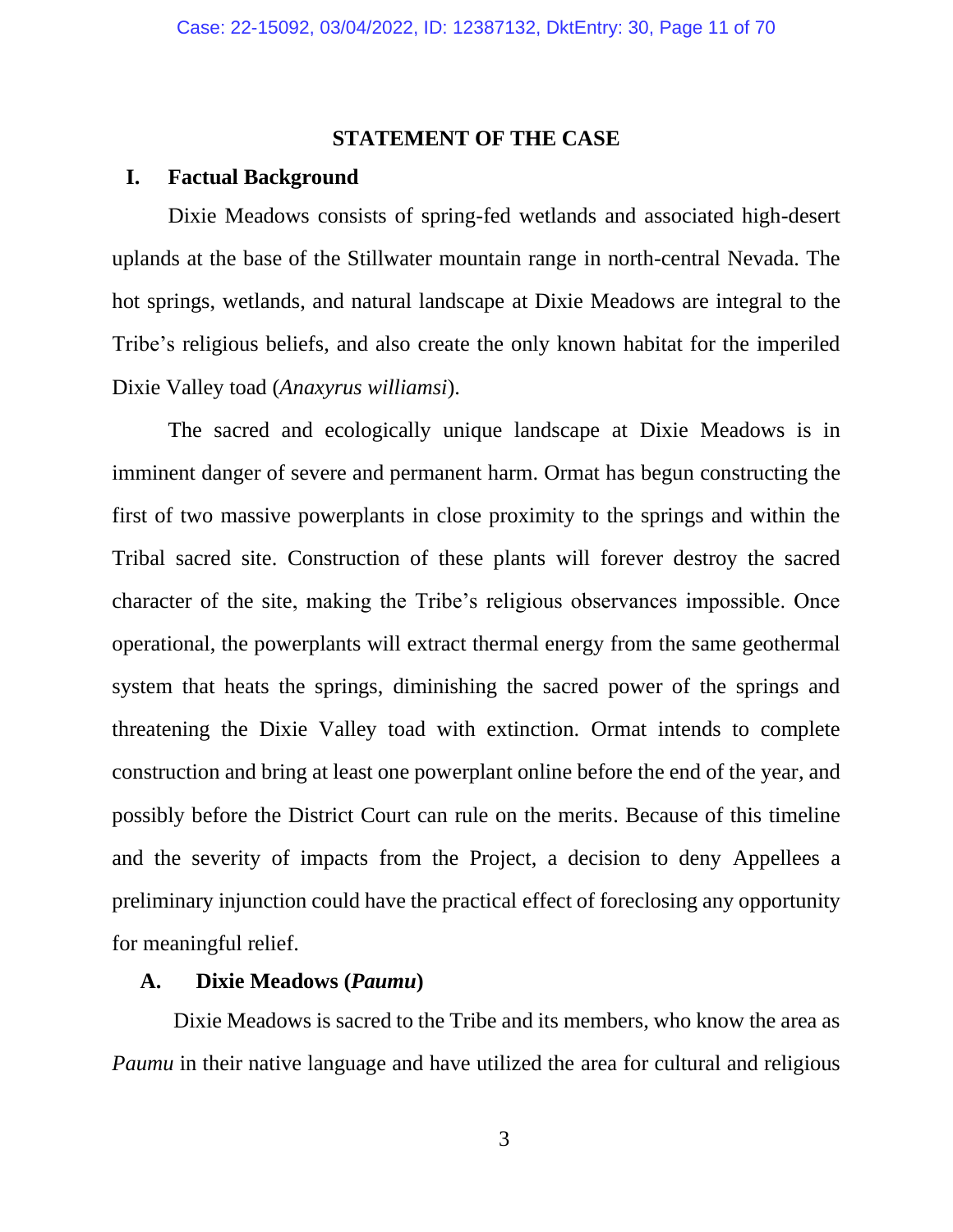#### **STATEMENT OF THE CASE**

#### **I. Factual Background**

Dixie Meadows consists of spring-fed wetlands and associated high-desert uplands at the base of the Stillwater mountain range in north-central Nevada. The hot springs, wetlands, and natural landscape at Dixie Meadows are integral to the Tribe's religious beliefs, and also create the only known habitat for the imperiled Dixie Valley toad (*Anaxyrus williamsi*).

The sacred and ecologically unique landscape at Dixie Meadows is in imminent danger of severe and permanent harm. Ormat has begun constructing the first of two massive powerplants in close proximity to the springs and within the Tribal sacred site. Construction of these plants will forever destroy the sacred character of the site, making the Tribe's religious observances impossible. Once operational, the powerplants will extract thermal energy from the same geothermal system that heats the springs, diminishing the sacred power of the springs and threatening the Dixie Valley toad with extinction. Ormat intends to complete construction and bring at least one powerplant online before the end of the year, and possibly before the District Court can rule on the merits. Because of this timeline and the severity of impacts from the Project, a decision to deny Appellees a preliminary injunction could have the practical effect of foreclosing any opportunity for meaningful relief.

# **A. Dixie Meadows (***Paumu***)**

Dixie Meadows is sacred to the Tribe and its members, who know the area as *Paumu* in their native language and have utilized the area for cultural and religious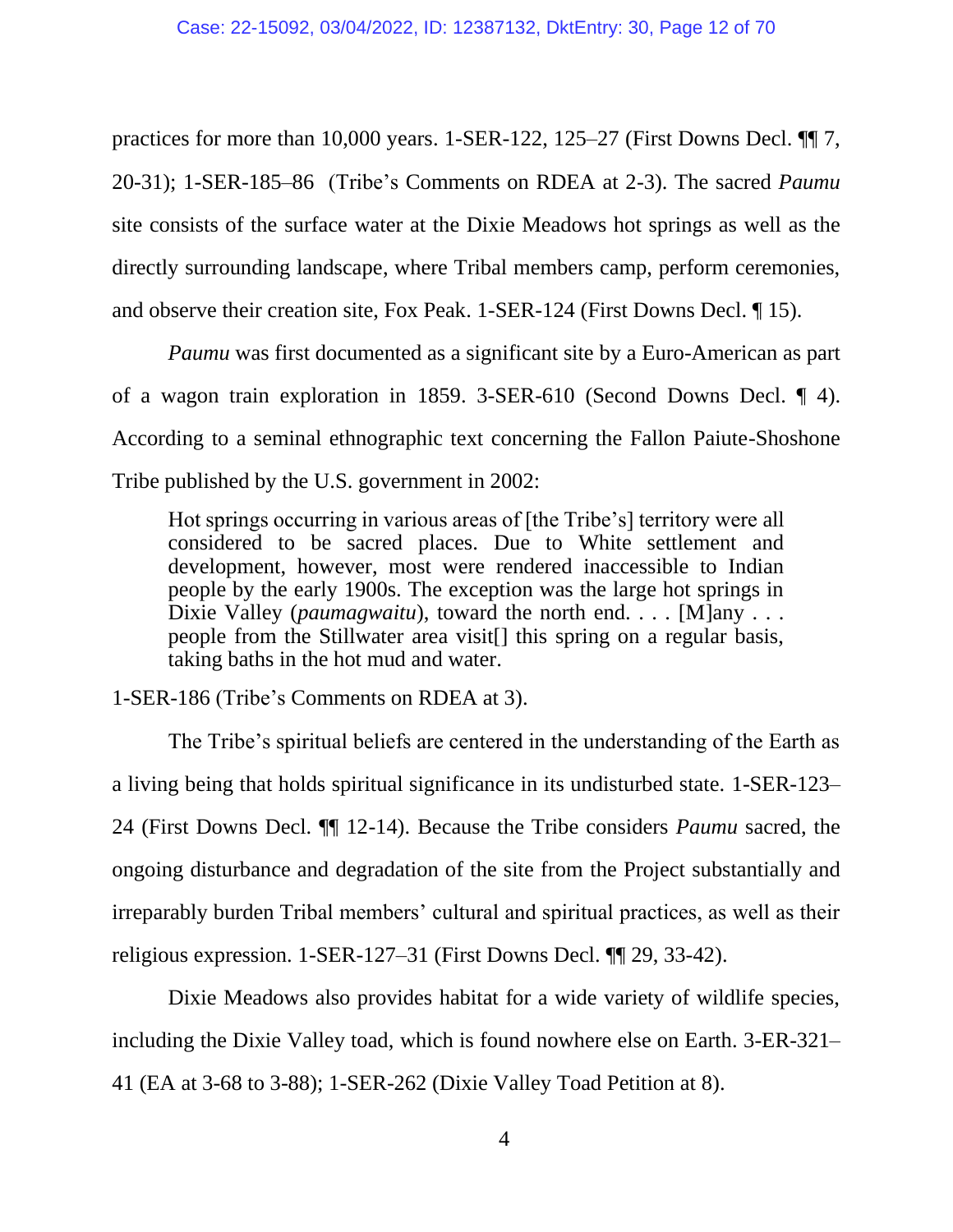practices for more than 10,000 years. 1-SER-122, 125–27 (First Downs Decl. ¶¶ 7, 20-31); 1-SER-185–86 (Tribe's Comments on RDEA at 2-3). The sacred *Paumu* site consists of the surface water at the Dixie Meadows hot springs as well as the directly surrounding landscape, where Tribal members camp, perform ceremonies, and observe their creation site, Fox Peak. 1-SER-124 (First Downs Decl. ¶ 15).

*Paumu* was first documented as a significant site by a Euro-American as part of a wagon train exploration in 1859. 3-SER-610 (Second Downs Decl. ¶ 4). According to a seminal ethnographic text concerning the Fallon Paiute-Shoshone Tribe published by the U.S. government in 2002:

Hot springs occurring in various areas of [the Tribe's] territory were all considered to be sacred places. Due to White settlement and development, however, most were rendered inaccessible to Indian people by the early 1900s. The exception was the large hot springs in Dixie Valley (*paumagwaitu*), toward the north end. . . . [M]any . . . . people from the Stillwater area visit[] this spring on a regular basis, taking baths in the hot mud and water.

1-SER-186 (Tribe's Comments on RDEA at 3).

The Tribe's spiritual beliefs are centered in the understanding of the Earth as a living being that holds spiritual significance in its undisturbed state. 1-SER-123– 24 (First Downs Decl. ¶¶ 12-14). Because the Tribe considers *Paumu* sacred, the ongoing disturbance and degradation of the site from the Project substantially and irreparably burden Tribal members' cultural and spiritual practices, as well as their religious expression. 1-SER-127–31 (First Downs Decl. ¶¶ 29, 33-42).

Dixie Meadows also provides habitat for a wide variety of wildlife species, including the Dixie Valley toad, which is found nowhere else on Earth. 3-ER-321– 41 (EA at 3-68 to 3-88); 1-SER-262 (Dixie Valley Toad Petition at 8).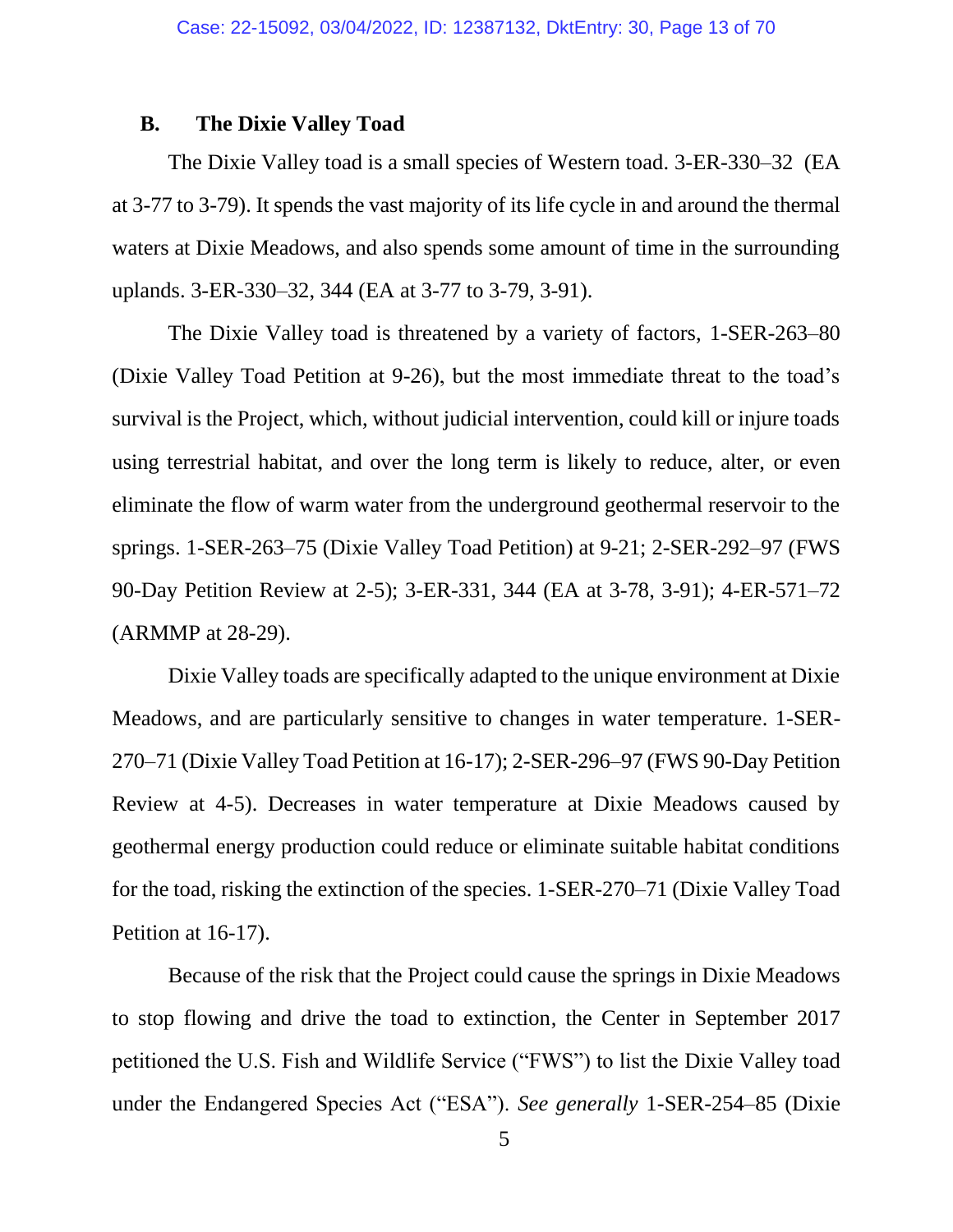#### **B. The Dixie Valley Toad**

The Dixie Valley toad is a small species of Western toad. 3-ER-330–32 (EA at 3-77 to 3-79). It spends the vast majority of its life cycle in and around the thermal waters at Dixie Meadows, and also spends some amount of time in the surrounding uplands. 3-ER-330–32, 344 (EA at 3-77 to 3-79, 3-91).

The Dixie Valley toad is threatened by a variety of factors, 1-SER-263–80 (Dixie Valley Toad Petition at 9-26), but the most immediate threat to the toad's survival is the Project, which, without judicial intervention, could kill or injure toads using terrestrial habitat, and over the long term is likely to reduce, alter, or even eliminate the flow of warm water from the underground geothermal reservoir to the springs. 1-SER-263–75 (Dixie Valley Toad Petition) at 9-21; 2-SER-292–97 (FWS 90-Day Petition Review at 2-5); 3-ER-331, 344 (EA at 3-78, 3-91); 4-ER-571–72 (ARMMP at 28-29).

Dixie Valley toads are specifically adapted to the unique environment at Dixie Meadows, and are particularly sensitive to changes in water temperature. 1-SER-270–71 (Dixie Valley Toad Petition at 16-17); 2-SER-296–97 (FWS 90-Day Petition Review at 4-5). Decreases in water temperature at Dixie Meadows caused by geothermal energy production could reduce or eliminate suitable habitat conditions for the toad, risking the extinction of the species. 1-SER-270–71 (Dixie Valley Toad Petition at 16-17).

Because of the risk that the Project could cause the springs in Dixie Meadows to stop flowing and drive the toad to extinction, the Center in September 2017 petitioned the U.S. Fish and Wildlife Service ("FWS") to list the Dixie Valley toad under the Endangered Species Act ("ESA"). *See generally* 1-SER-254–85 (Dixie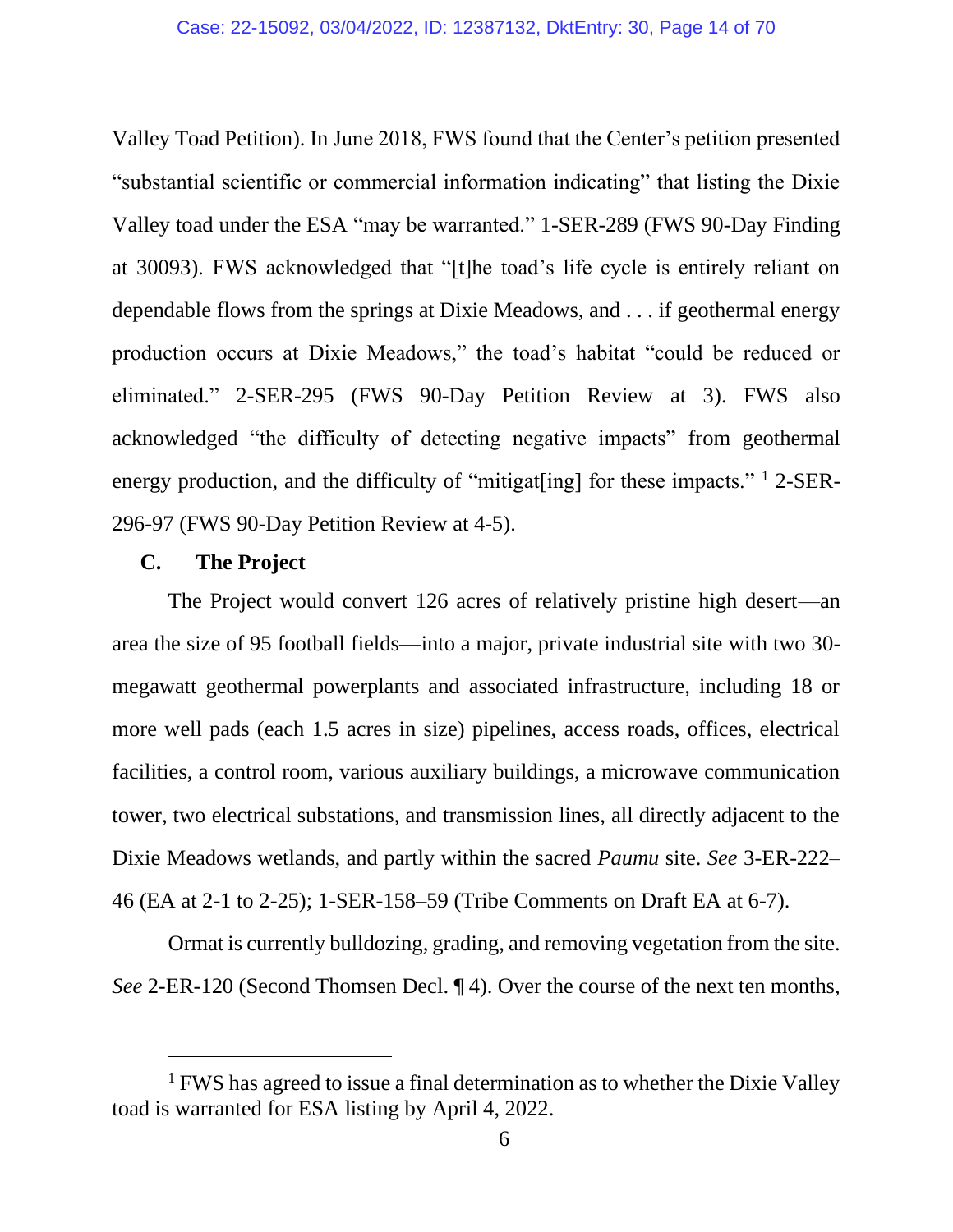Valley Toad Petition). In June 2018, FWS found that the Center's petition presented "substantial scientific or commercial information indicating" that listing the Dixie Valley toad under the ESA "may be warranted." 1-SER-289 (FWS 90-Day Finding at 30093). FWS acknowledged that "[t]he toad's life cycle is entirely reliant on dependable flows from the springs at Dixie Meadows, and . . . if geothermal energy production occurs at Dixie Meadows," the toad's habitat "could be reduced or eliminated." 2-SER-295 (FWS 90-Day Petition Review at 3). FWS also acknowledged "the difficulty of detecting negative impacts" from geothermal energy production, and the difficulty of "mitigat[ing] for these impacts."  $\frac{1}{2}$ -SER-296-97 (FWS 90-Day Petition Review at 4-5).

#### **C. The Project**

The Project would convert 126 acres of relatively pristine high desert—an area the size of 95 football fields—into a major, private industrial site with two 30 megawatt geothermal powerplants and associated infrastructure, including 18 or more well pads (each 1.5 acres in size) pipelines, access roads, offices, electrical facilities, a control room, various auxiliary buildings, a microwave communication tower, two electrical substations, and transmission lines, all directly adjacent to the Dixie Meadows wetlands, and partly within the sacred *Paumu* site. *See* 3-ER-222– 46 (EA at 2-1 to 2-25); 1-SER-158–59 (Tribe Comments on Draft EA at 6-7).

Ormat is currently bulldozing, grading, and removing vegetation from the site. *See* 2-ER-120 (Second Thomsen Decl. ¶ 4). Over the course of the next ten months,

<sup>&</sup>lt;sup>1</sup> FWS has agreed to issue a final determination as to whether the Dixie Valley toad is warranted for ESA listing by April 4, 2022.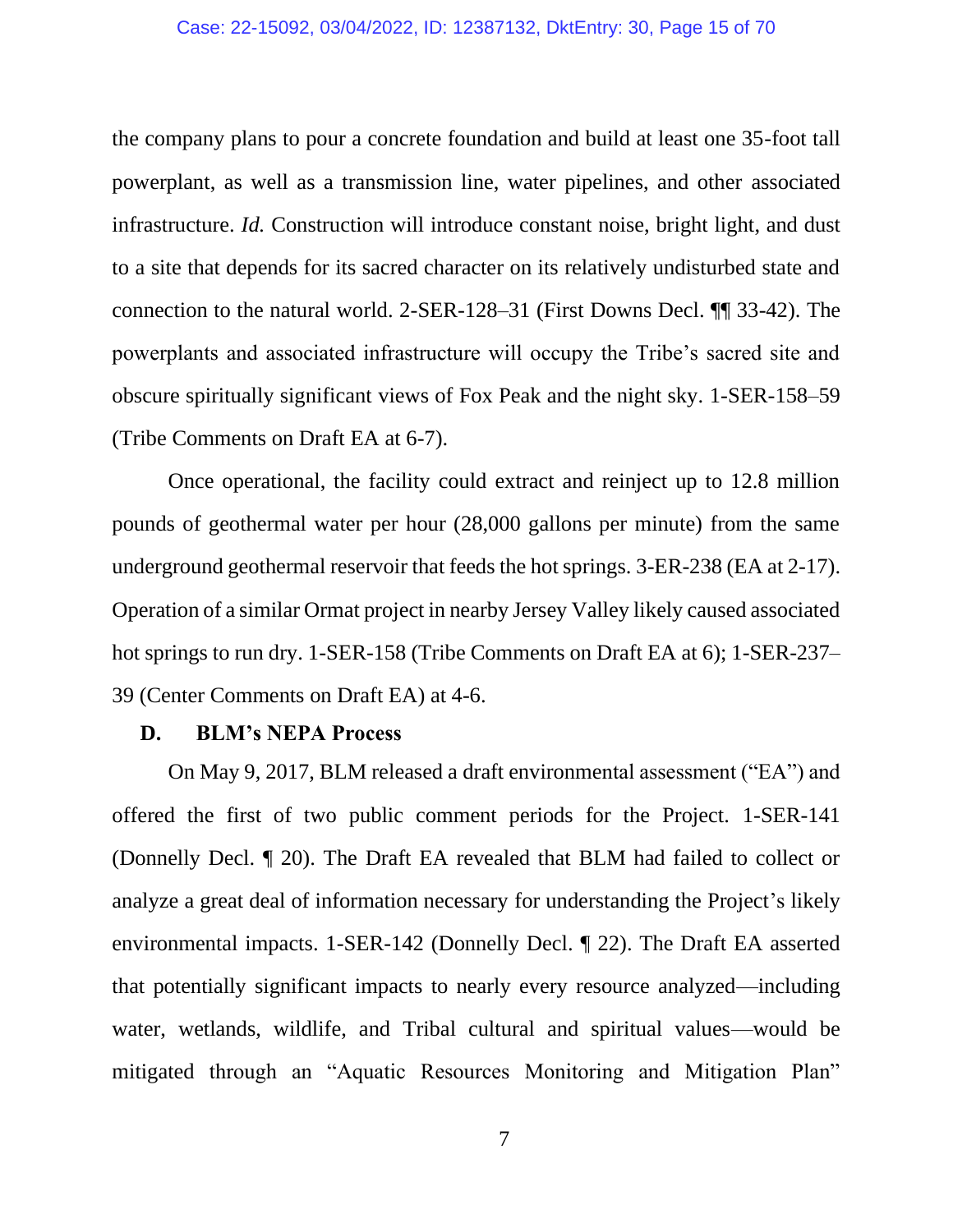#### Case: 22-15092, 03/04/2022, ID: 12387132, DktEntry: 30, Page 15 of 70

the company plans to pour a concrete foundation and build at least one 35-foot tall powerplant, as well as a transmission line, water pipelines, and other associated infrastructure. *Id.* Construction will introduce constant noise, bright light, and dust to a site that depends for its sacred character on its relatively undisturbed state and connection to the natural world. 2-SER-128–31 (First Downs Decl. ¶¶ 33-42). The powerplants and associated infrastructure will occupy the Tribe's sacred site and obscure spiritually significant views of Fox Peak and the night sky. 1-SER-158–59 (Tribe Comments on Draft EA at 6-7).

Once operational, the facility could extract and reinject up to 12.8 million pounds of geothermal water per hour (28,000 gallons per minute) from the same underground geothermal reservoir that feeds the hot springs. 3-ER-238 (EA at 2-17). Operation of a similar Ormat project in nearby Jersey Valley likely caused associated hot springs to run dry. 1-SER-158 (Tribe Comments on Draft EA at 6); 1-SER-237– 39 (Center Comments on Draft EA) at 4-6.

#### **D. BLM's NEPA Process**

On May 9, 2017, BLM released a draft environmental assessment ("EA") and offered the first of two public comment periods for the Project. 1-SER-141 (Donnelly Decl. ¶ 20). The Draft EA revealed that BLM had failed to collect or analyze a great deal of information necessary for understanding the Project's likely environmental impacts. 1-SER-142 (Donnelly Decl. ¶ 22). The Draft EA asserted that potentially significant impacts to nearly every resource analyzed—including water, wetlands, wildlife, and Tribal cultural and spiritual values—would be mitigated through an "Aquatic Resources Monitoring and Mitigation Plan"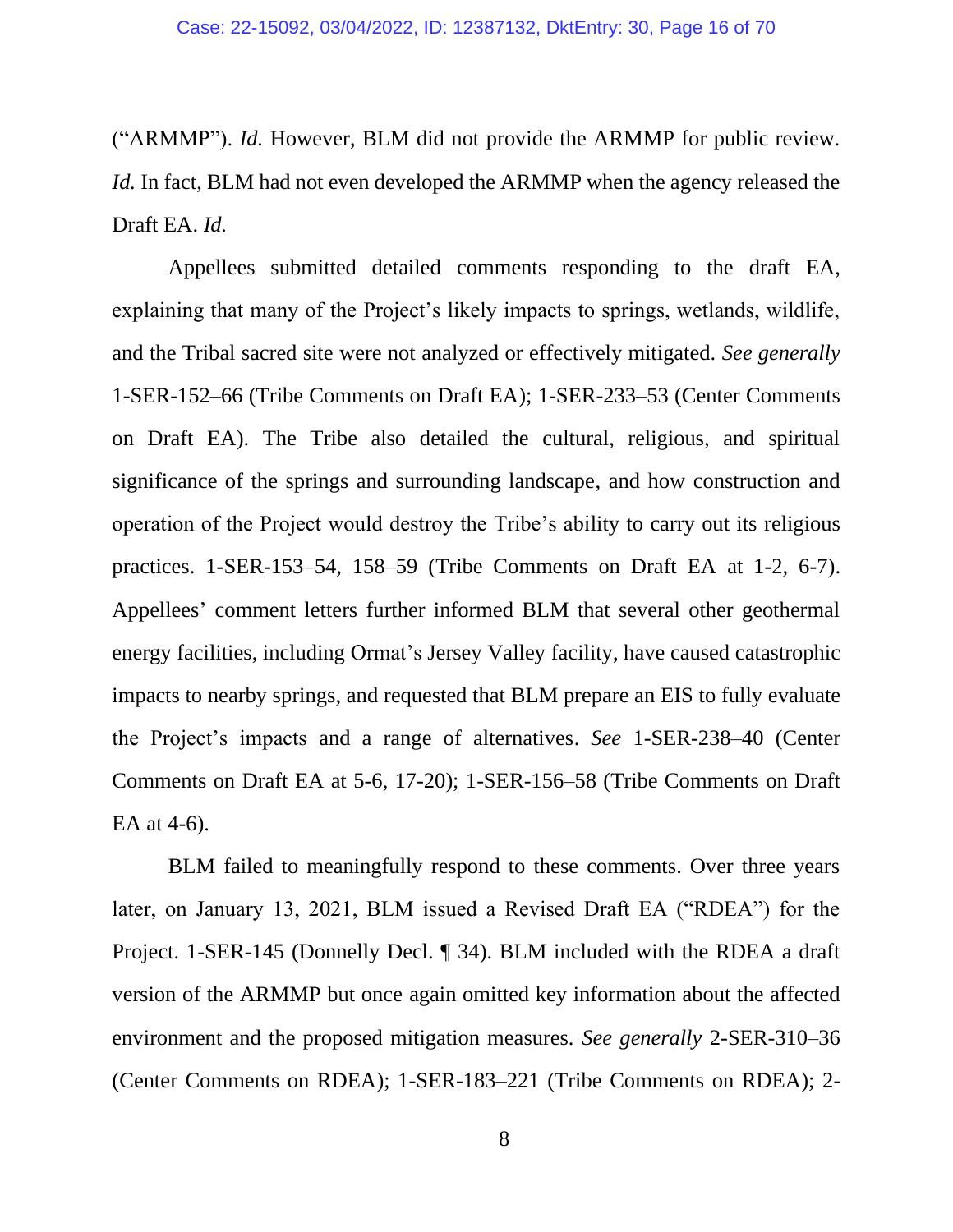("ARMMP"). *Id.* However, BLM did not provide the ARMMP for public review. *Id.* In fact, BLM had not even developed the ARMMP when the agency released the Draft EA. *Id.*

Appellees submitted detailed comments responding to the draft EA, explaining that many of the Project's likely impacts to springs, wetlands, wildlife, and the Tribal sacred site were not analyzed or effectively mitigated. *See generally* 1-SER-152–66 (Tribe Comments on Draft EA); 1-SER-233–53 (Center Comments on Draft EA). The Tribe also detailed the cultural, religious, and spiritual significance of the springs and surrounding landscape, and how construction and operation of the Project would destroy the Tribe's ability to carry out its religious practices. 1-SER-153–54, 158–59 (Tribe Comments on Draft EA at 1-2, 6-7). Appellees' comment letters further informed BLM that several other geothermal energy facilities, including Ormat's Jersey Valley facility, have caused catastrophic impacts to nearby springs, and requested that BLM prepare an EIS to fully evaluate the Project's impacts and a range of alternatives. *See* 1-SER-238–40 (Center Comments on Draft EA at 5-6, 17-20); 1-SER-156–58 (Tribe Comments on Draft EA at 4-6).

BLM failed to meaningfully respond to these comments. Over three years later, on January 13, 2021, BLM issued a Revised Draft EA ("RDEA") for the Project. 1-SER-145 (Donnelly Decl. ¶ 34). BLM included with the RDEA a draft version of the ARMMP but once again omitted key information about the affected environment and the proposed mitigation measures. *See generally* 2-SER-310–36 (Center Comments on RDEA); 1-SER-183–221 (Tribe Comments on RDEA); 2-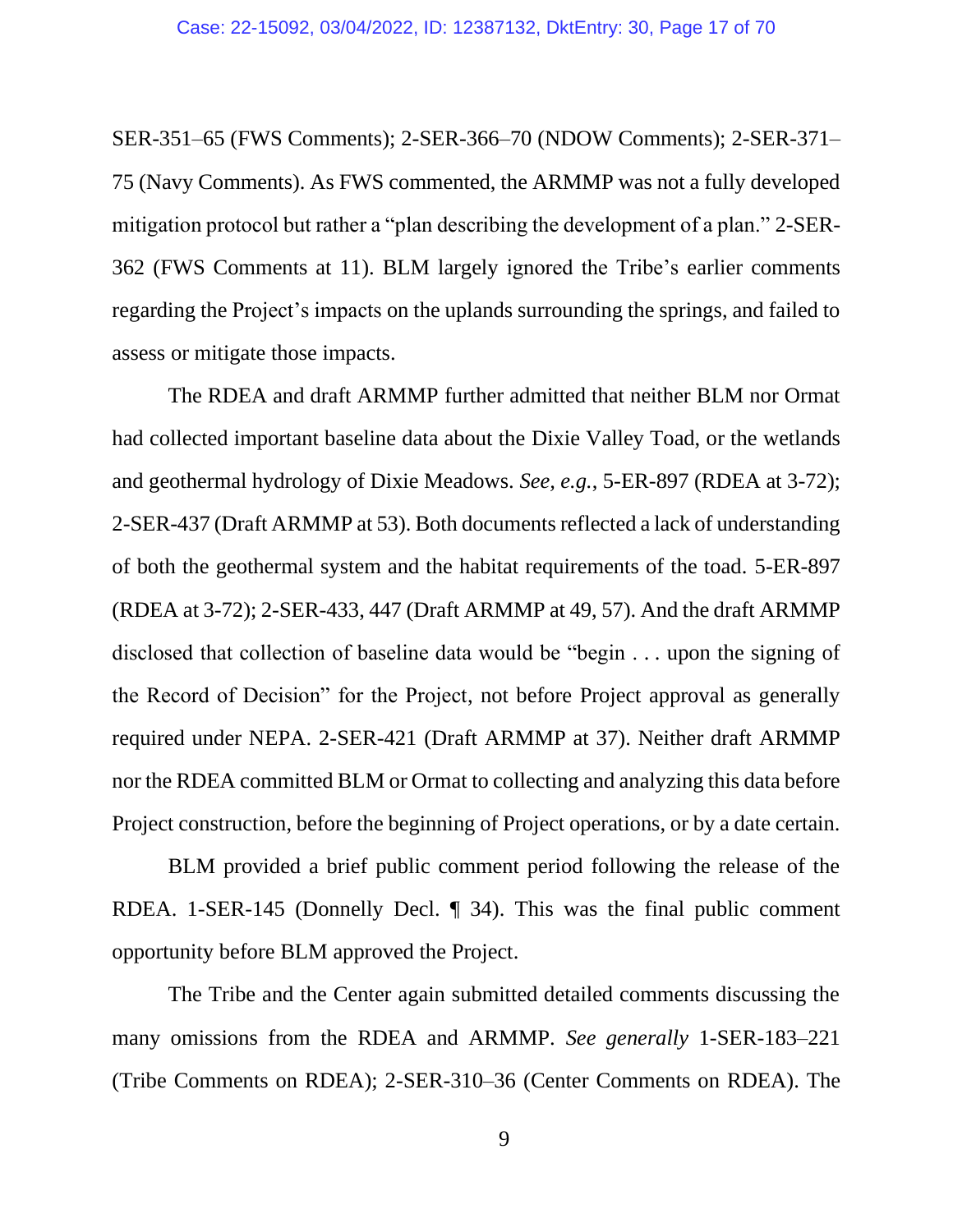SER-351–65 (FWS Comments); 2-SER-366–70 (NDOW Comments); 2-SER-371– 75 (Navy Comments). As FWS commented, the ARMMP was not a fully developed mitigation protocol but rather a "plan describing the development of a plan." 2-SER-362 (FWS Comments at 11). BLM largely ignored the Tribe's earlier comments regarding the Project's impacts on the uplands surrounding the springs, and failed to assess or mitigate those impacts.

The RDEA and draft ARMMP further admitted that neither BLM nor Ormat had collected important baseline data about the Dixie Valley Toad, or the wetlands and geothermal hydrology of Dixie Meadows. *See, e.g.*, 5-ER-897 (RDEA at 3-72); 2-SER-437 (Draft ARMMP at 53). Both documents reflected a lack of understanding of both the geothermal system and the habitat requirements of the toad. 5-ER-897 (RDEA at 3-72); 2-SER-433, 447 (Draft ARMMP at 49, 57). And the draft ARMMP disclosed that collection of baseline data would be "begin . . . upon the signing of the Record of Decision" for the Project, not before Project approval as generally required under NEPA. 2-SER-421 (Draft ARMMP at 37). Neither draft ARMMP nor the RDEA committed BLM or Ormat to collecting and analyzing this data before Project construction, before the beginning of Project operations, or by a date certain.

BLM provided a brief public comment period following the release of the RDEA. 1-SER-145 (Donnelly Decl. ¶ 34). This was the final public comment opportunity before BLM approved the Project.

The Tribe and the Center again submitted detailed comments discussing the many omissions from the RDEA and ARMMP. *See generally* 1-SER-183–221 (Tribe Comments on RDEA); 2-SER-310–36 (Center Comments on RDEA). The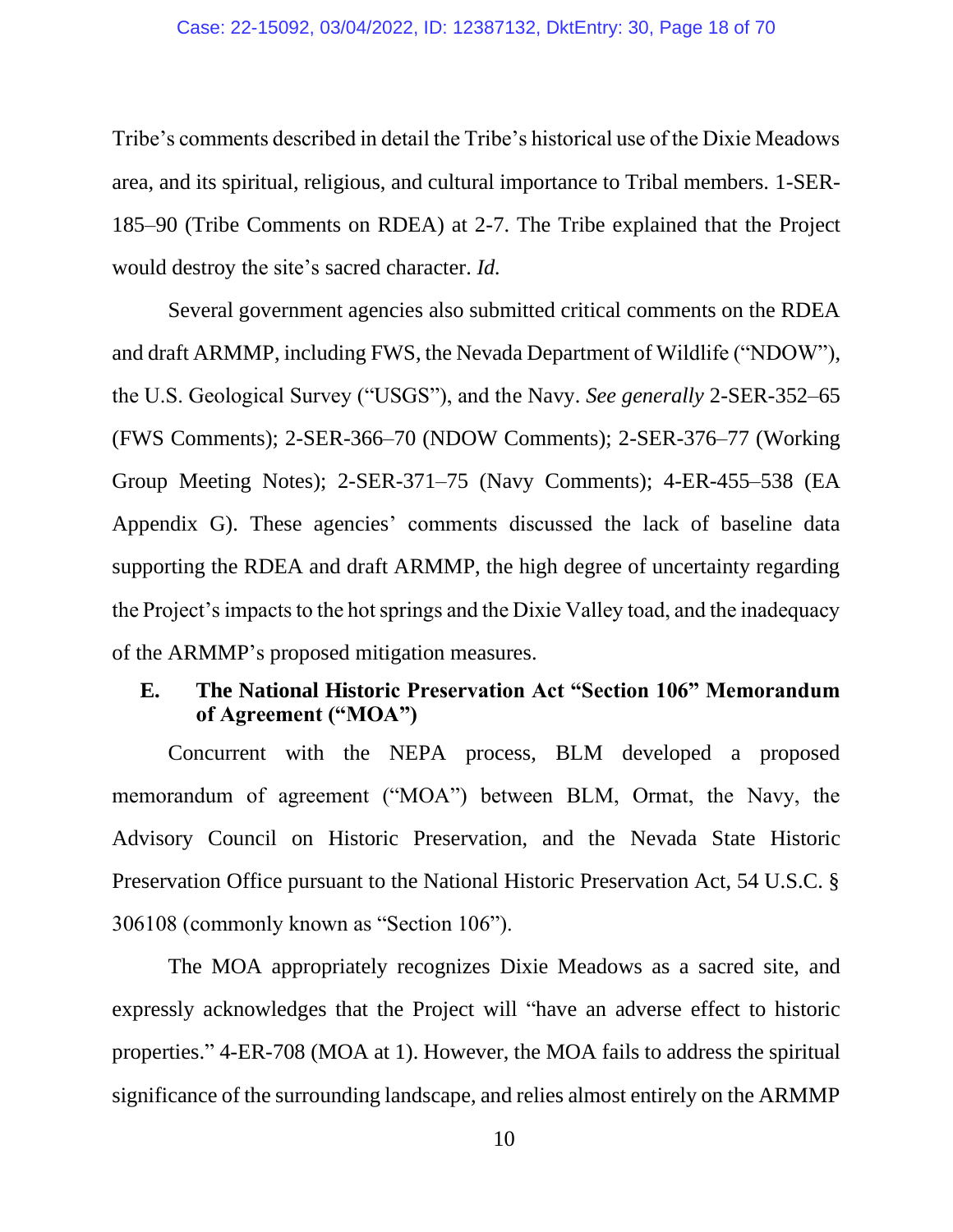#### Case: 22-15092, 03/04/2022, ID: 12387132, DktEntry: 30, Page 18 of 70

Tribe's comments described in detail the Tribe's historical use of the Dixie Meadows area, and its spiritual, religious, and cultural importance to Tribal members. 1-SER-185–90 (Tribe Comments on RDEA) at 2-7. The Tribe explained that the Project would destroy the site's sacred character. *Id.*

Several government agencies also submitted critical comments on the RDEA and draft ARMMP, including FWS, the Nevada Department of Wildlife ("NDOW"), the U.S. Geological Survey ("USGS"), and the Navy. *See generally* 2-SER-352–65 (FWS Comments); 2-SER-366–70 (NDOW Comments); 2-SER-376–77 (Working Group Meeting Notes); 2-SER-371–75 (Navy Comments); 4-ER-455–538 (EA Appendix G). These agencies' comments discussed the lack of baseline data supporting the RDEA and draft ARMMP, the high degree of uncertainty regarding the Project's impacts to the hot springs and the Dixie Valley toad, and the inadequacy of the ARMMP's proposed mitigation measures.

# **E. The National Historic Preservation Act "Section 106" Memorandum of Agreement ("MOA")**

Concurrent with the NEPA process, BLM developed a proposed memorandum of agreement ("MOA") between BLM, Ormat, the Navy, the Advisory Council on Historic Preservation, and the Nevada State Historic Preservation Office pursuant to the National Historic Preservation Act, 54 U.S.C. § 306108 (commonly known as "Section 106").

The MOA appropriately recognizes Dixie Meadows as a sacred site, and expressly acknowledges that the Project will "have an adverse effect to historic properties." 4-ER-708 (MOA at 1). However, the MOA fails to address the spiritual significance of the surrounding landscape, and relies almost entirely on the ARMMP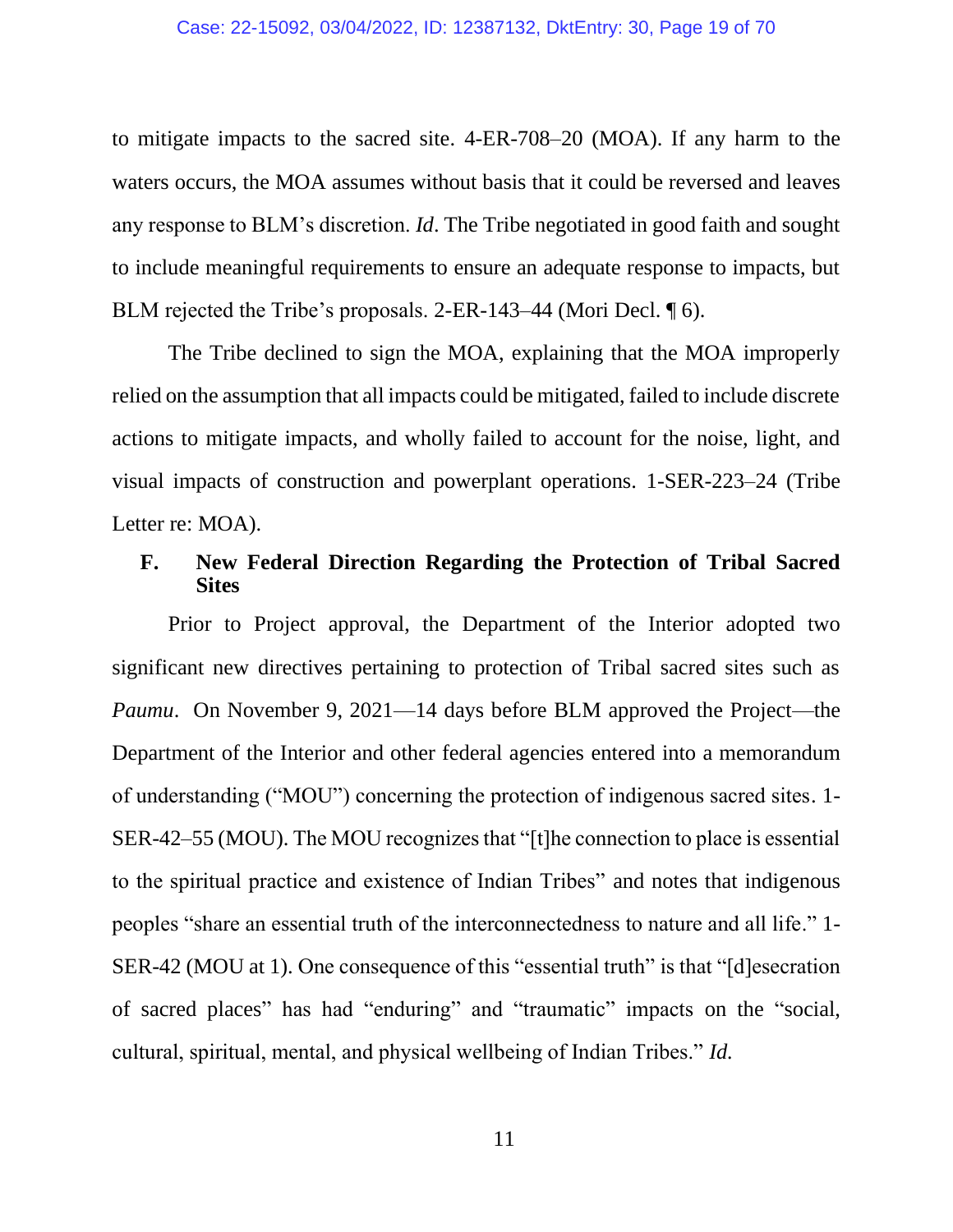to mitigate impacts to the sacred site. 4-ER-708–20 (MOA). If any harm to the waters occurs, the MOA assumes without basis that it could be reversed and leaves any response to BLM's discretion. *Id*. The Tribe negotiated in good faith and sought to include meaningful requirements to ensure an adequate response to impacts, but BLM rejected the Tribe's proposals. 2-ER-143–44 (Mori Decl. 16).

The Tribe declined to sign the MOA, explaining that the MOA improperly relied on the assumption that all impacts could be mitigated, failed to include discrete actions to mitigate impacts, and wholly failed to account for the noise, light, and visual impacts of construction and powerplant operations. 1-SER-223–24 (Tribe Letter re: MOA).

### **F. New Federal Direction Regarding the Protection of Tribal Sacred Sites**

Prior to Project approval, the Department of the Interior adopted two significant new directives pertaining to protection of Tribal sacred sites such as *Paumu*. On November 9, 2021—14 days before BLM approved the Project—the Department of the Interior and other federal agencies entered into a memorandum of understanding ("MOU") concerning the protection of indigenous sacred sites. 1- SER-42–55 (MOU). The MOU recognizes that "[t]he connection to place is essential to the spiritual practice and existence of Indian Tribes" and notes that indigenous peoples "share an essential truth of the interconnectedness to nature and all life." 1- SER-42 (MOU at 1). One consequence of this "essential truth" is that "[d]esecration of sacred places" has had "enduring" and "traumatic" impacts on the "social, cultural, spiritual, mental, and physical wellbeing of Indian Tribes." *Id.*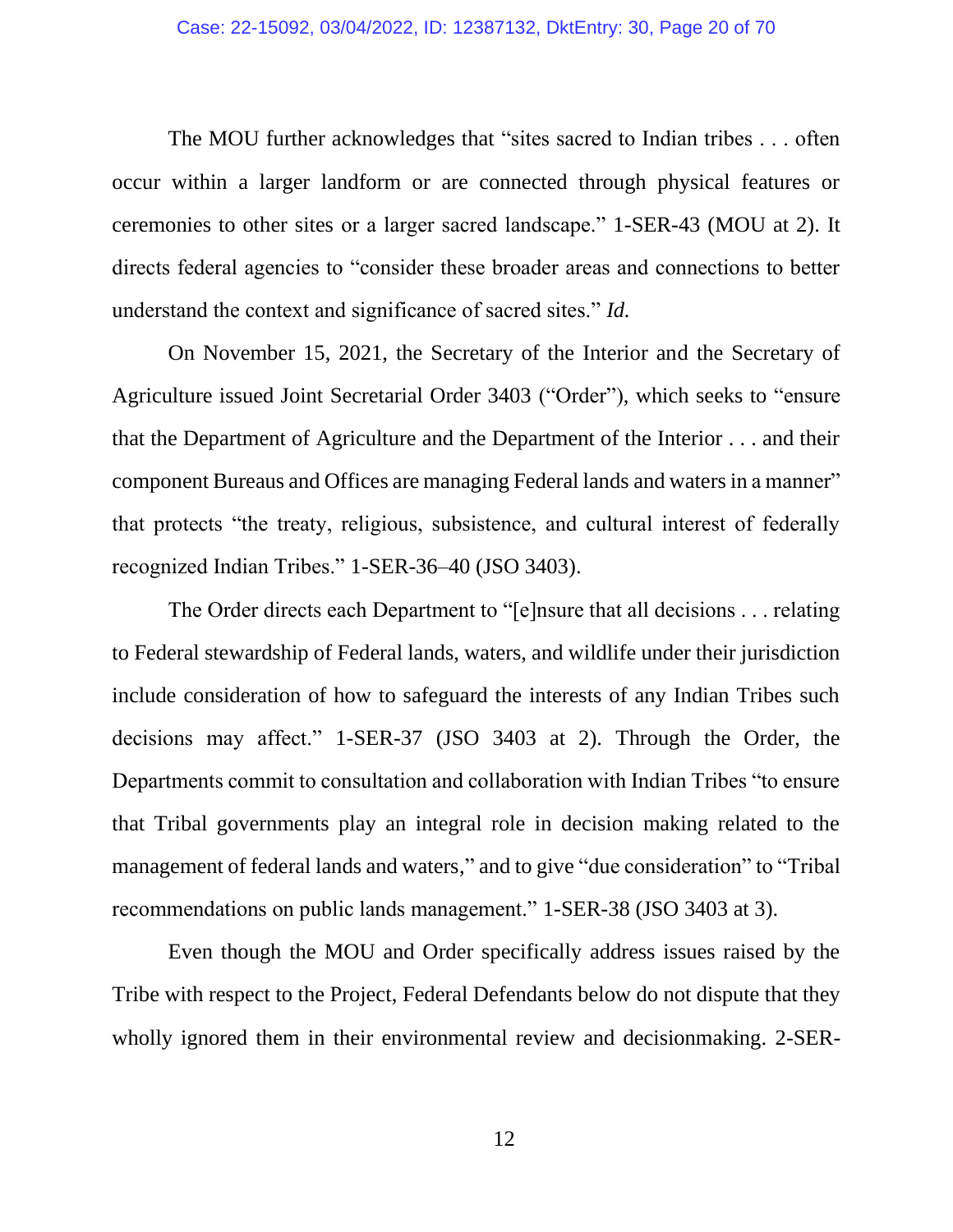The MOU further acknowledges that "sites sacred to Indian tribes . . . often occur within a larger landform or are connected through physical features or ceremonies to other sites or a larger sacred landscape." 1-SER-43 (MOU at 2). It directs federal agencies to "consider these broader areas and connections to better understand the context and significance of sacred sites." *Id.*

On November 15, 2021, the Secretary of the Interior and the Secretary of Agriculture issued Joint Secretarial Order 3403 ("Order"), which seeks to "ensure that the Department of Agriculture and the Department of the Interior . . . and their component Bureaus and Offices are managing Federal lands and waters in a manner" that protects "the treaty, religious, subsistence, and cultural interest of federally recognized Indian Tribes." 1-SER-36–40 (JSO 3403).

The Order directs each Department to "[e]nsure that all decisions . . . relating to Federal stewardship of Federal lands, waters, and wildlife under their jurisdiction include consideration of how to safeguard the interests of any Indian Tribes such decisions may affect." 1-SER-37 (JSO 3403 at 2). Through the Order, the Departments commit to consultation and collaboration with Indian Tribes "to ensure that Tribal governments play an integral role in decision making related to the management of federal lands and waters," and to give "due consideration" to "Tribal recommendations on public lands management." 1-SER-38 (JSO 3403 at 3).

Even though the MOU and Order specifically address issues raised by the Tribe with respect to the Project, Federal Defendants below do not dispute that they wholly ignored them in their environmental review and decisionmaking. 2-SER-

12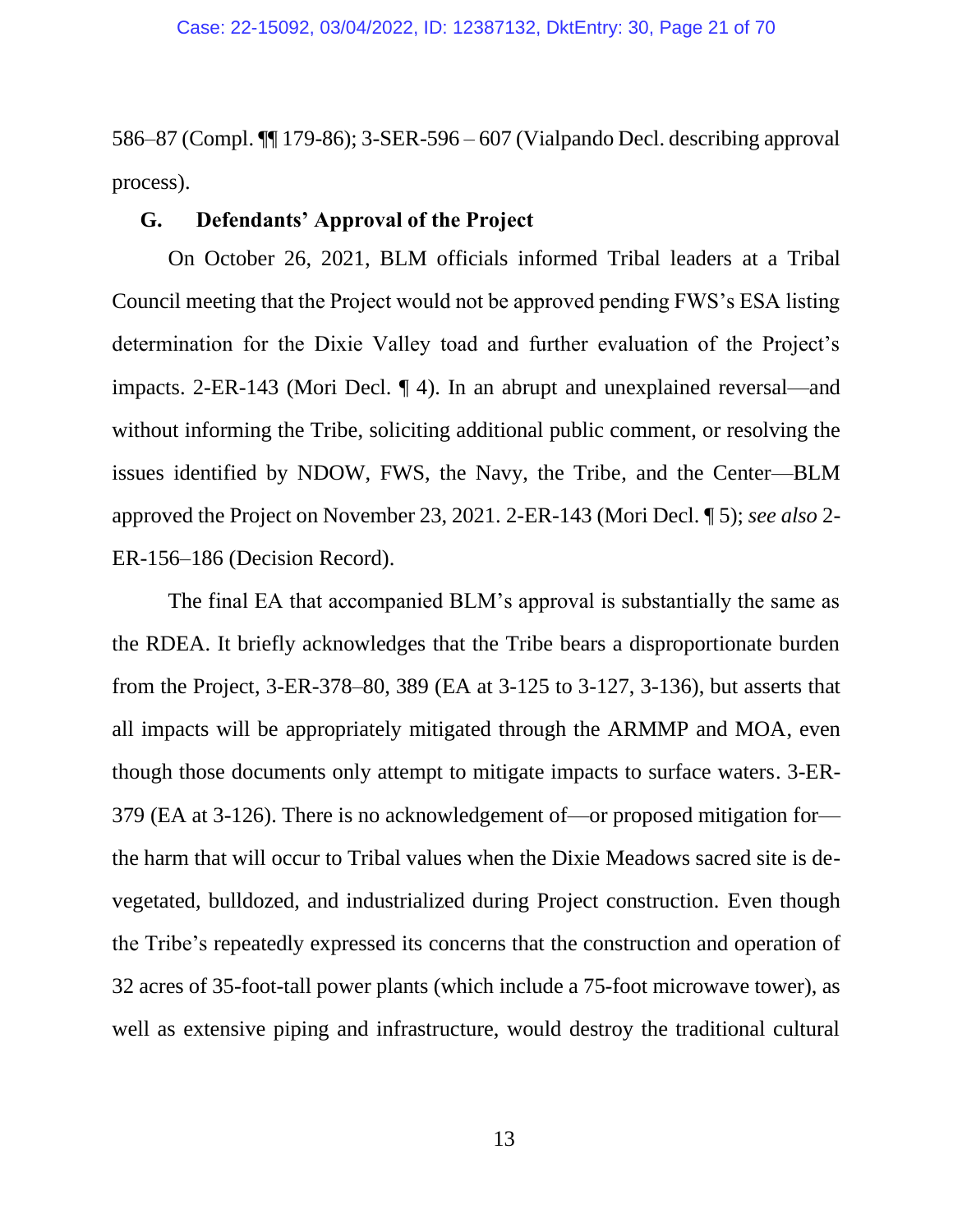586–87 (Compl. ¶¶ 179-86); 3-SER-596 – 607 (Vialpando Decl. describing approval process).

#### **G. Defendants' Approval of the Project**

On October 26, 2021, BLM officials informed Tribal leaders at a Tribal Council meeting that the Project would not be approved pending FWS's ESA listing determination for the Dixie Valley toad and further evaluation of the Project's impacts. 2-ER-143 (Mori Decl. ¶ 4). In an abrupt and unexplained reversal—and without informing the Tribe, soliciting additional public comment, or resolving the issues identified by NDOW, FWS, the Navy, the Tribe, and the Center—BLM approved the Project on November 23, 2021. 2-ER-143 (Mori Decl. ¶ 5); *see also* 2- ER-156–186 (Decision Record).

The final EA that accompanied BLM's approval is substantially the same as the RDEA. It briefly acknowledges that the Tribe bears a disproportionate burden from the Project, 3-ER-378–80, 389 (EA at 3-125 to 3-127, 3-136), but asserts that all impacts will be appropriately mitigated through the ARMMP and MOA, even though those documents only attempt to mitigate impacts to surface waters. 3-ER-379 (EA at 3-126). There is no acknowledgement of—or proposed mitigation for the harm that will occur to Tribal values when the Dixie Meadows sacred site is devegetated, bulldozed, and industrialized during Project construction. Even though the Tribe's repeatedly expressed its concerns that the construction and operation of 32 acres of 35-foot-tall power plants (which include a 75-foot microwave tower), as well as extensive piping and infrastructure, would destroy the traditional cultural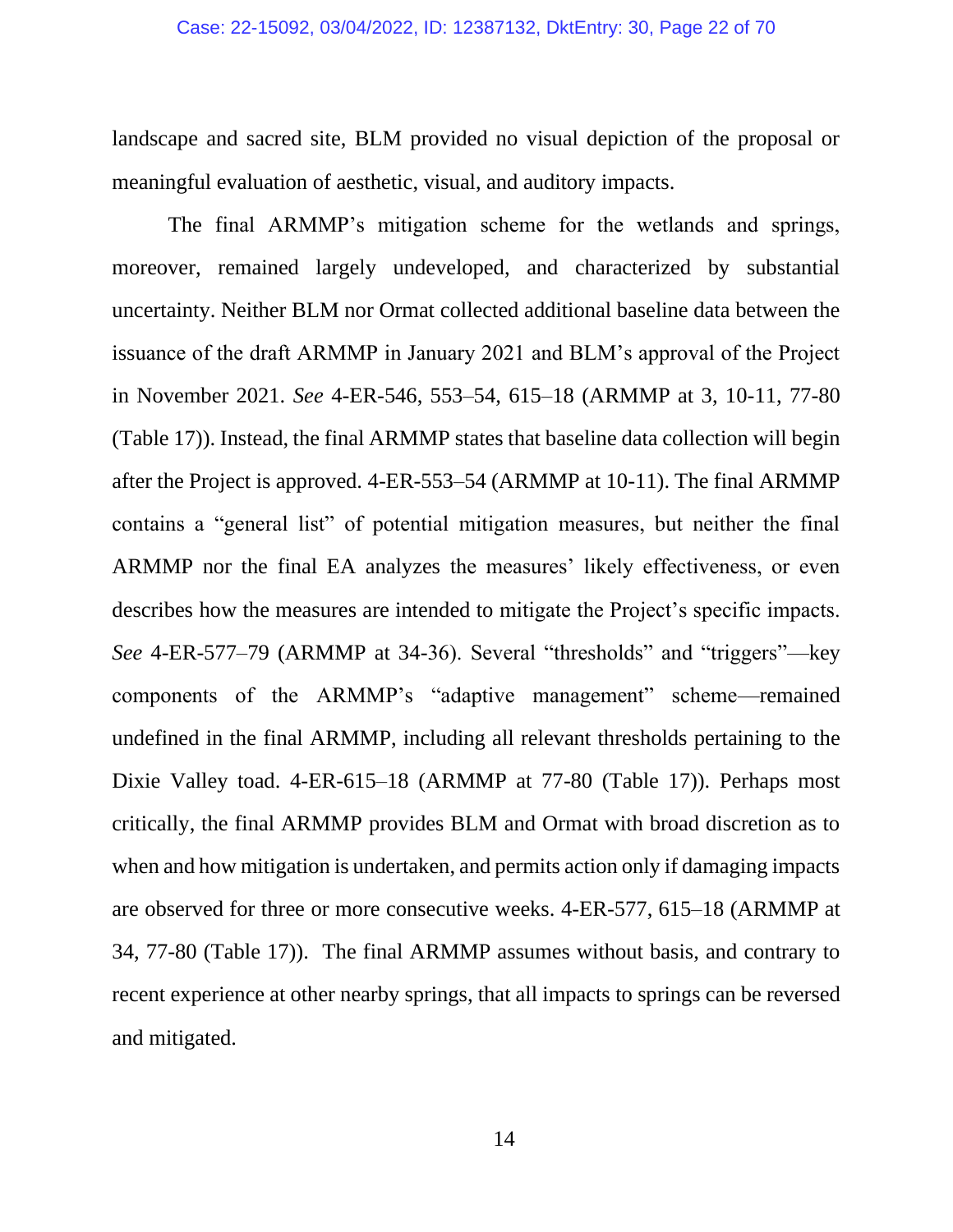landscape and sacred site, BLM provided no visual depiction of the proposal or meaningful evaluation of aesthetic, visual, and auditory impacts.

The final ARMMP's mitigation scheme for the wetlands and springs, moreover, remained largely undeveloped, and characterized by substantial uncertainty. Neither BLM nor Ormat collected additional baseline data between the issuance of the draft ARMMP in January 2021 and BLM's approval of the Project in November 2021. *See* 4-ER-546, 553–54, 615–18 (ARMMP at 3, 10-11, 77-80 (Table 17)). Instead, the final ARMMP states that baseline data collection will begin after the Project is approved. 4-ER-553–54 (ARMMP at 10-11). The final ARMMP contains a "general list" of potential mitigation measures, but neither the final ARMMP nor the final EA analyzes the measures' likely effectiveness, or even describes how the measures are intended to mitigate the Project's specific impacts. *See* 4-ER-577–79 (ARMMP at 34-36). Several "thresholds" and "triggers"—key components of the ARMMP's "adaptive management" scheme—remained undefined in the final ARMMP, including all relevant thresholds pertaining to the Dixie Valley toad. 4-ER-615–18 (ARMMP at 77-80 (Table 17)). Perhaps most critically, the final ARMMP provides BLM and Ormat with broad discretion as to when and how mitigation is undertaken, and permits action only if damaging impacts are observed for three or more consecutive weeks. 4-ER-577, 615–18 (ARMMP at 34, 77-80 (Table 17)). The final ARMMP assumes without basis, and contrary to recent experience at other nearby springs, that all impacts to springs can be reversed and mitigated.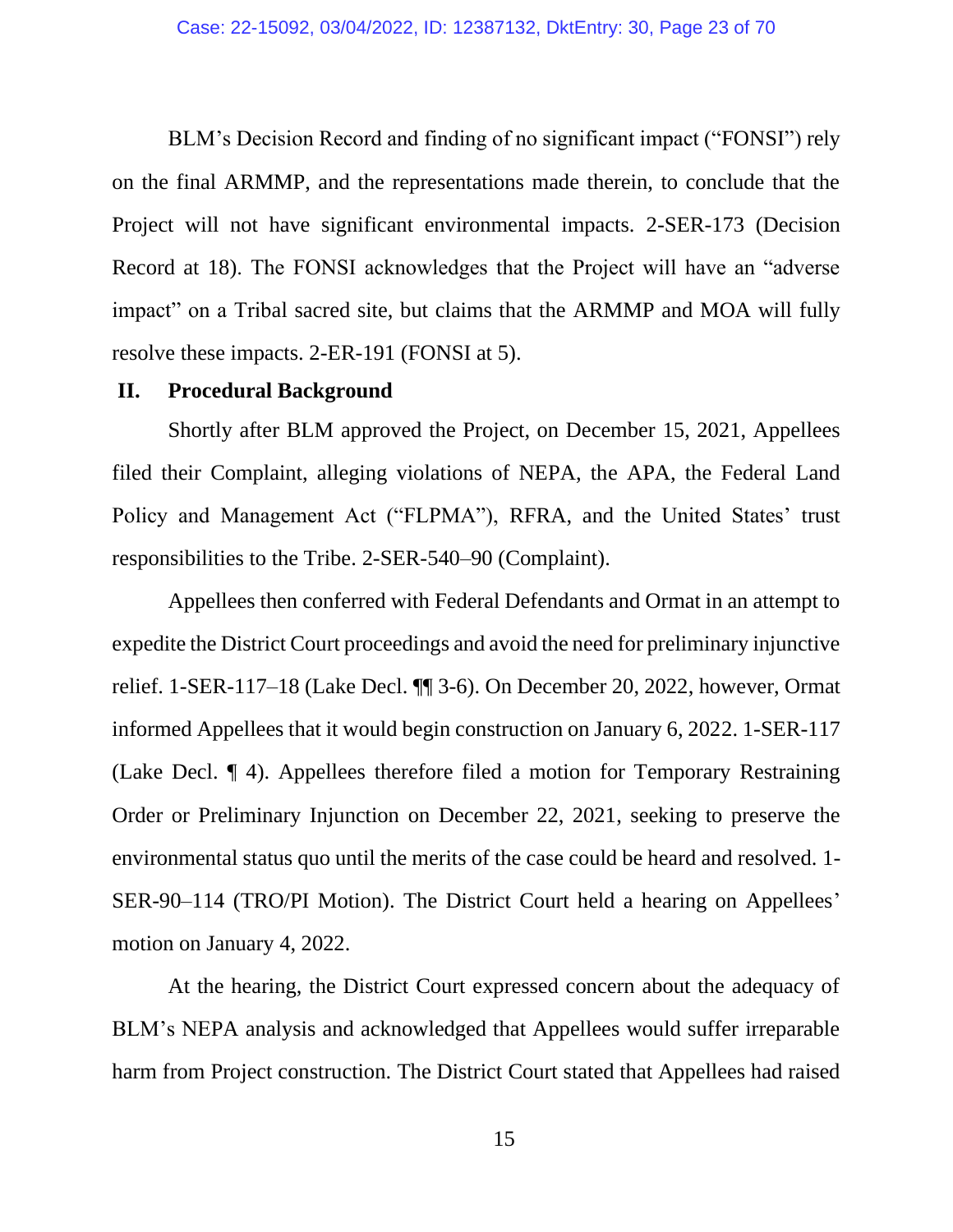BLM's Decision Record and finding of no significant impact ("FONSI") rely on the final ARMMP, and the representations made therein, to conclude that the Project will not have significant environmental impacts. 2-SER-173 (Decision Record at 18). The FONSI acknowledges that the Project will have an "adverse impact" on a Tribal sacred site, but claims that the ARMMP and MOA will fully resolve these impacts. 2-ER-191 (FONSI at 5).

#### **II. Procedural Background**

Shortly after BLM approved the Project, on December 15, 2021, Appellees filed their Complaint, alleging violations of NEPA, the APA, the Federal Land Policy and Management Act ("FLPMA"), RFRA, and the United States' trust responsibilities to the Tribe. 2-SER-540–90 (Complaint).

Appellees then conferred with Federal Defendants and Ormat in an attempt to expedite the District Court proceedings and avoid the need for preliminary injunctive relief. 1-SER-117–18 (Lake Decl. ¶¶ 3-6). On December 20, 2022, however, Ormat informed Appellees that it would begin construction on January 6, 2022. 1-SER-117 (Lake Decl. ¶ 4). Appellees therefore filed a motion for Temporary Restraining Order or Preliminary Injunction on December 22, 2021, seeking to preserve the environmental status quo until the merits of the case could be heard and resolved. 1- SER-90–114 (TRO/PI Motion). The District Court held a hearing on Appellees' motion on January 4, 2022.

At the hearing, the District Court expressed concern about the adequacy of BLM's NEPA analysis and acknowledged that Appellees would suffer irreparable harm from Project construction. The District Court stated that Appellees had raised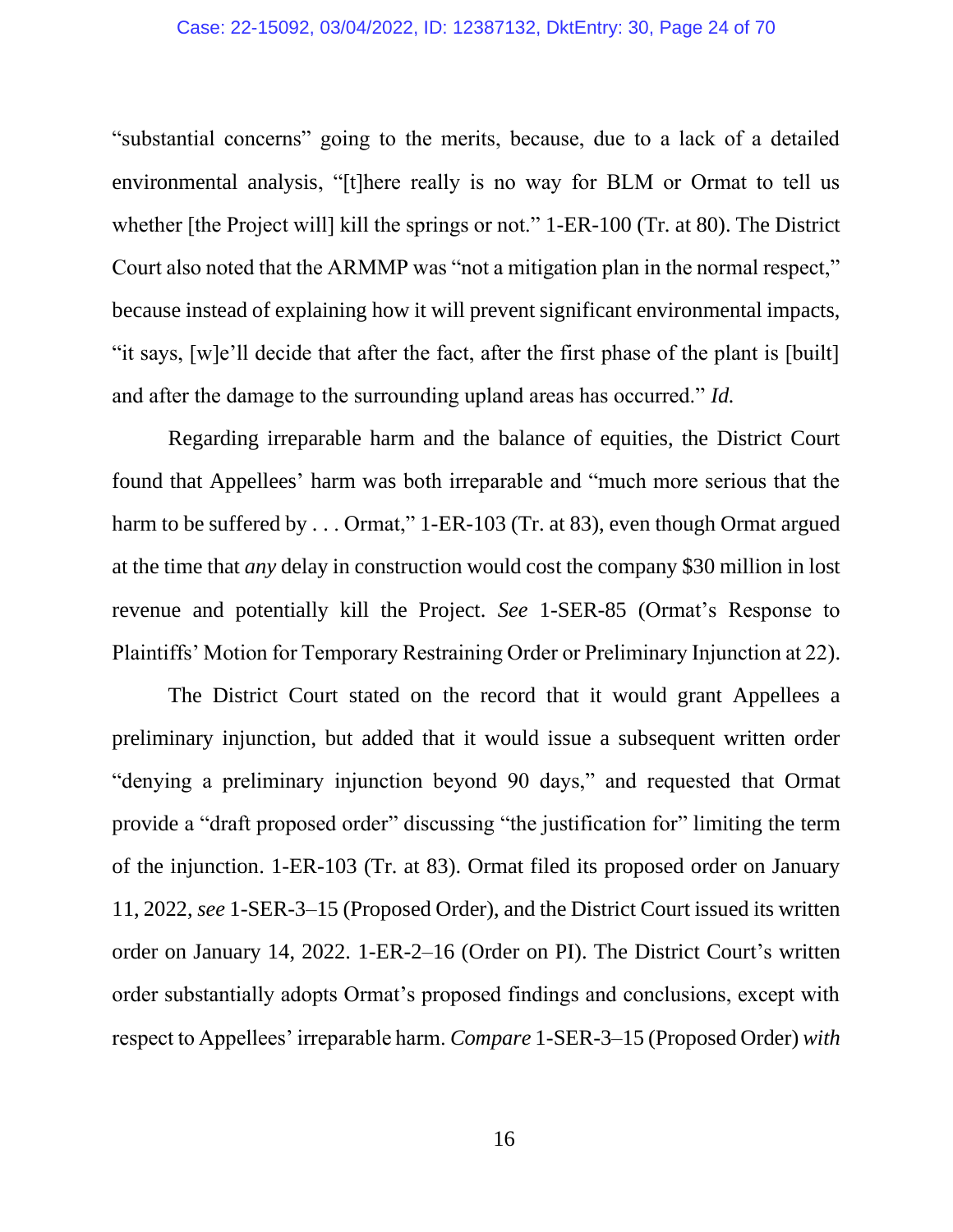#### Case: 22-15092, 03/04/2022, ID: 12387132, DktEntry: 30, Page 24 of 70

"substantial concerns" going to the merits, because, due to a lack of a detailed environmental analysis, "[t]here really is no way for BLM or Ormat to tell us whether [the Project will] kill the springs or not." 1-ER-100 (Tr. at 80). The District Court also noted that the ARMMP was "not a mitigation plan in the normal respect," because instead of explaining how it will prevent significant environmental impacts, "it says, [w]e'll decide that after the fact, after the first phase of the plant is [built] and after the damage to the surrounding upland areas has occurred." *Id.*

Regarding irreparable harm and the balance of equities, the District Court found that Appellees' harm was both irreparable and "much more serious that the harm to be suffered by . . . Ormat," 1-ER-103 (Tr. at 83), even though Ormat argued at the time that *any* delay in construction would cost the company \$30 million in lost revenue and potentially kill the Project. *See* 1-SER-85 (Ormat's Response to Plaintiffs' Motion for Temporary Restraining Order or Preliminary Injunction at 22).

The District Court stated on the record that it would grant Appellees a preliminary injunction, but added that it would issue a subsequent written order "denying a preliminary injunction beyond 90 days," and requested that Ormat provide a "draft proposed order" discussing "the justification for" limiting the term of the injunction. 1-ER-103 (Tr. at 83). Ormat filed its proposed order on January 11, 2022, *see* 1-SER-3–15 (Proposed Order), and the District Court issued its written order on January 14, 2022. 1-ER-2–16 (Order on PI). The District Court's written order substantially adopts Ormat's proposed findings and conclusions, except with respect to Appellees' irreparable harm. *Compare* 1-SER-3–15 (Proposed Order) *with*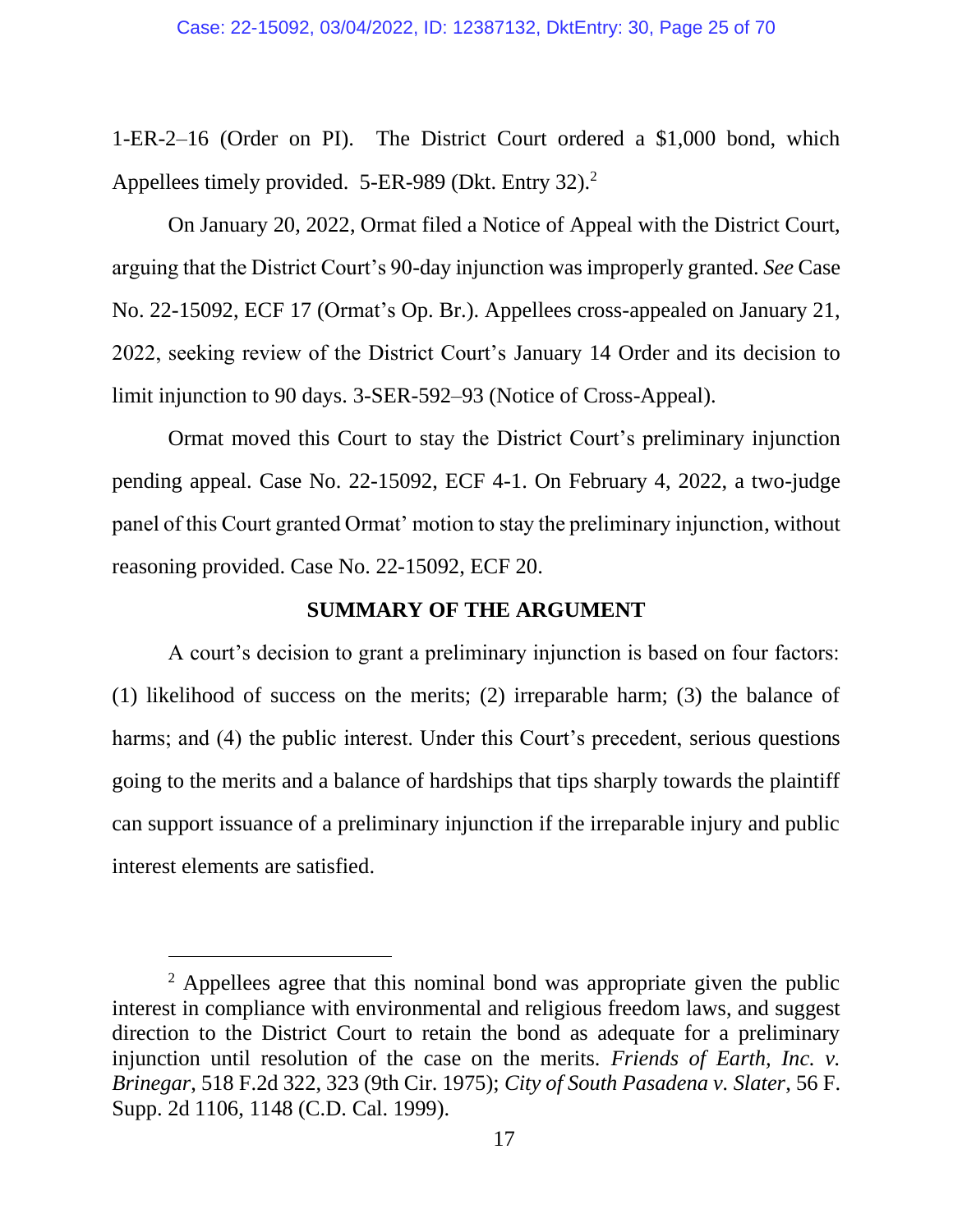1-ER-2–16 (Order on PI). The District Court ordered a \$1,000 bond, which Appellees timely provided. 5-ER-989 (Dkt. Entry 32).<sup>2</sup>

On January 20, 2022, Ormat filed a Notice of Appeal with the District Court, arguing that the District Court's 90-day injunction was improperly granted. *See* Case No. 22-15092, ECF 17 (Ormat's Op. Br.). Appellees cross-appealed on January 21, 2022, seeking review of the District Court's January 14 Order and its decision to limit injunction to 90 days. 3-SER-592–93 (Notice of Cross-Appeal).

Ormat moved this Court to stay the District Court's preliminary injunction pending appeal. Case No. 22-15092, ECF 4-1. On February 4, 2022, a two-judge panel of this Court granted Ormat' motion to stay the preliminary injunction, without reasoning provided. Case No. 22-15092, ECF 20.

#### **SUMMARY OF THE ARGUMENT**

A court's decision to grant a preliminary injunction is based on four factors: (1) likelihood of success on the merits; (2) irreparable harm; (3) the balance of harms; and (4) the public interest. Under this Court's precedent, serious questions going to the merits and a balance of hardships that tips sharply towards the plaintiff can support issuance of a preliminary injunction if the irreparable injury and public interest elements are satisfied.

<sup>&</sup>lt;sup>2</sup> Appellees agree that this nominal bond was appropriate given the public interest in compliance with environmental and religious freedom laws, and suggest direction to the District Court to retain the bond as adequate for a preliminary injunction until resolution of the case on the merits. *Friends of Earth, Inc. v. Brinegar*, 518 F.2d 322, 323 (9th Cir. 1975); *City of South Pasadena v. Slater*, 56 F. Supp. 2d 1106, 1148 (C.D. Cal. 1999).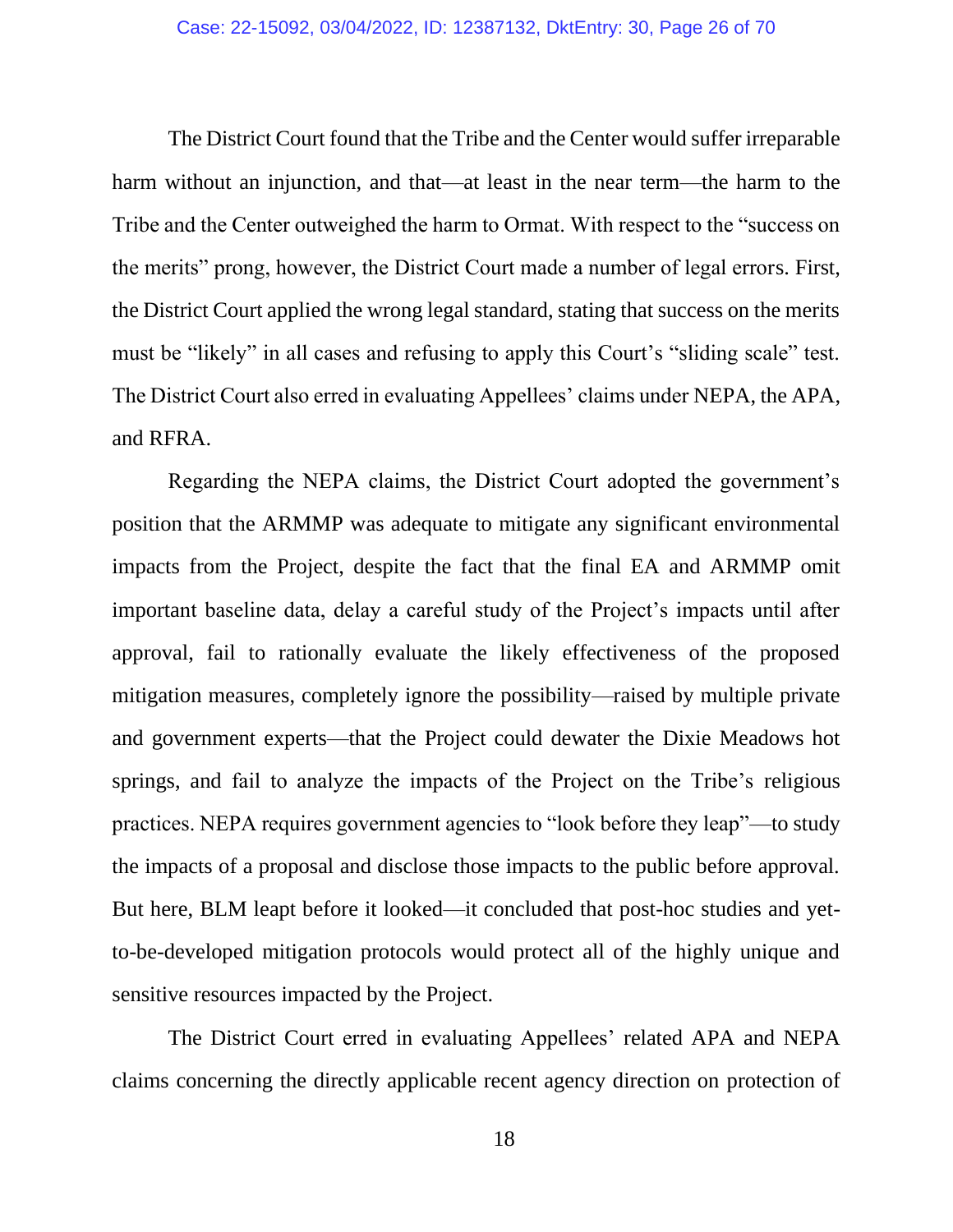The District Court found that the Tribe and the Center would suffer irreparable harm without an injunction, and that—at least in the near term—the harm to the Tribe and the Center outweighed the harm to Ormat. With respect to the "success on the merits" prong, however, the District Court made a number of legal errors. First, the District Court applied the wrong legal standard, stating that success on the merits must be "likely" in all cases and refusing to apply this Court's "sliding scale" test. The District Court also erred in evaluating Appellees' claims under NEPA, the APA, and RFRA.

Regarding the NEPA claims, the District Court adopted the government's position that the ARMMP was adequate to mitigate any significant environmental impacts from the Project, despite the fact that the final EA and ARMMP omit important baseline data, delay a careful study of the Project's impacts until after approval, fail to rationally evaluate the likely effectiveness of the proposed mitigation measures, completely ignore the possibility—raised by multiple private and government experts—that the Project could dewater the Dixie Meadows hot springs, and fail to analyze the impacts of the Project on the Tribe's religious practices. NEPA requires government agencies to "look before they leap"—to study the impacts of a proposal and disclose those impacts to the public before approval. But here, BLM leapt before it looked—it concluded that post-hoc studies and yetto-be-developed mitigation protocols would protect all of the highly unique and sensitive resources impacted by the Project.

The District Court erred in evaluating Appellees' related APA and NEPA claims concerning the directly applicable recent agency direction on protection of

18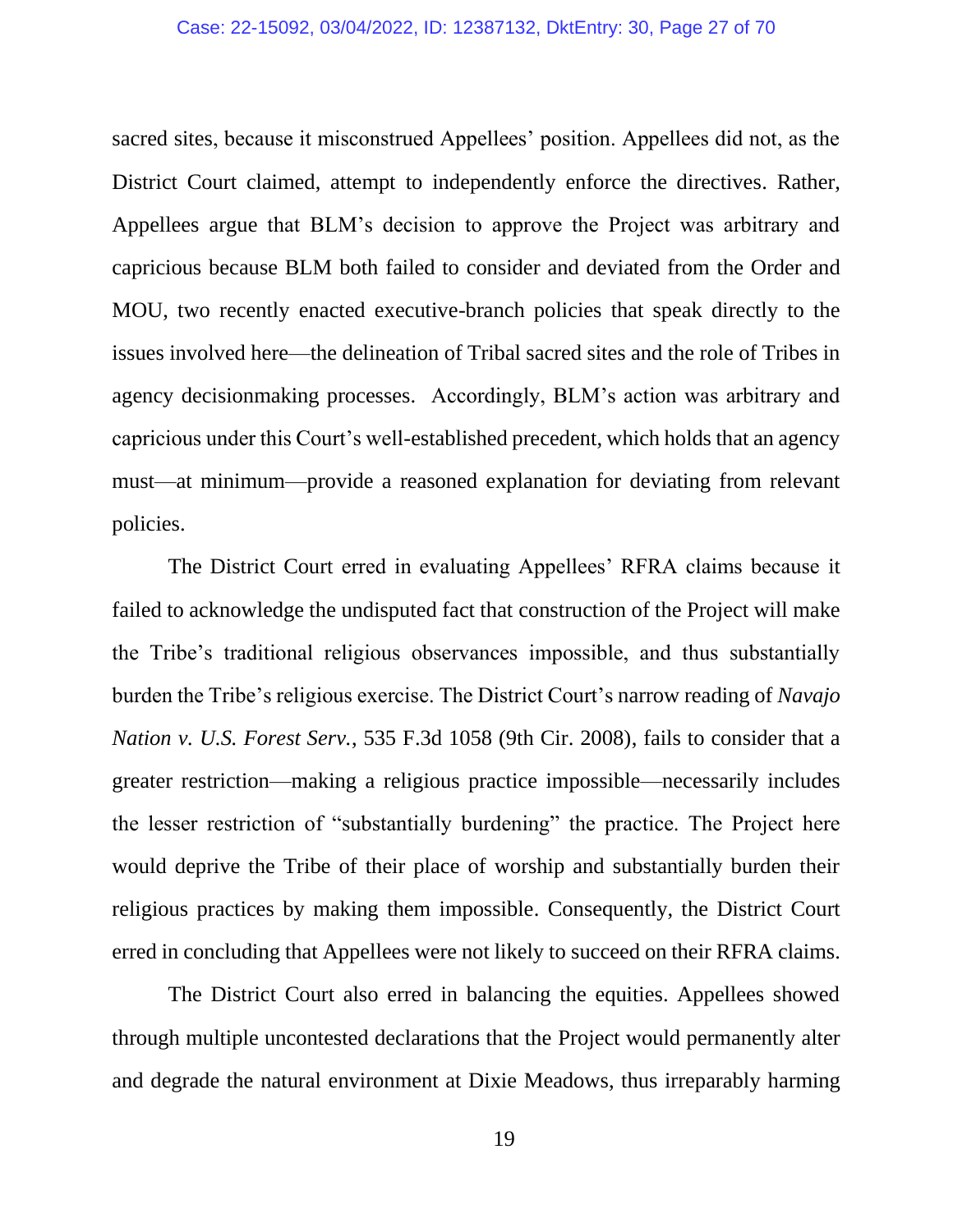sacred sites, because it misconstrued Appellees' position. Appellees did not, as the District Court claimed, attempt to independently enforce the directives. Rather, Appellees argue that BLM's decision to approve the Project was arbitrary and capricious because BLM both failed to consider and deviated from the Order and MOU, two recently enacted executive-branch policies that speak directly to the issues involved here—the delineation of Tribal sacred sites and the role of Tribes in agency decisionmaking processes. Accordingly, BLM's action was arbitrary and capricious under this Court's well-established precedent, which holds that an agency must—at minimum—provide a reasoned explanation for deviating from relevant policies.

The District Court erred in evaluating Appellees' RFRA claims because it failed to acknowledge the undisputed fact that construction of the Project will make the Tribe's traditional religious observances impossible, and thus substantially burden the Tribe's religious exercise. The District Court's narrow reading of *Navajo Nation v. U.S. Forest Serv.*, 535 F.3d 1058 (9th Cir. 2008), fails to consider that a greater restriction—making a religious practice impossible—necessarily includes the lesser restriction of "substantially burdening" the practice. The Project here would deprive the Tribe of their place of worship and substantially burden their religious practices by making them impossible. Consequently, the District Court erred in concluding that Appellees were not likely to succeed on their RFRA claims.

The District Court also erred in balancing the equities. Appellees showed through multiple uncontested declarations that the Project would permanently alter and degrade the natural environment at Dixie Meadows, thus irreparably harming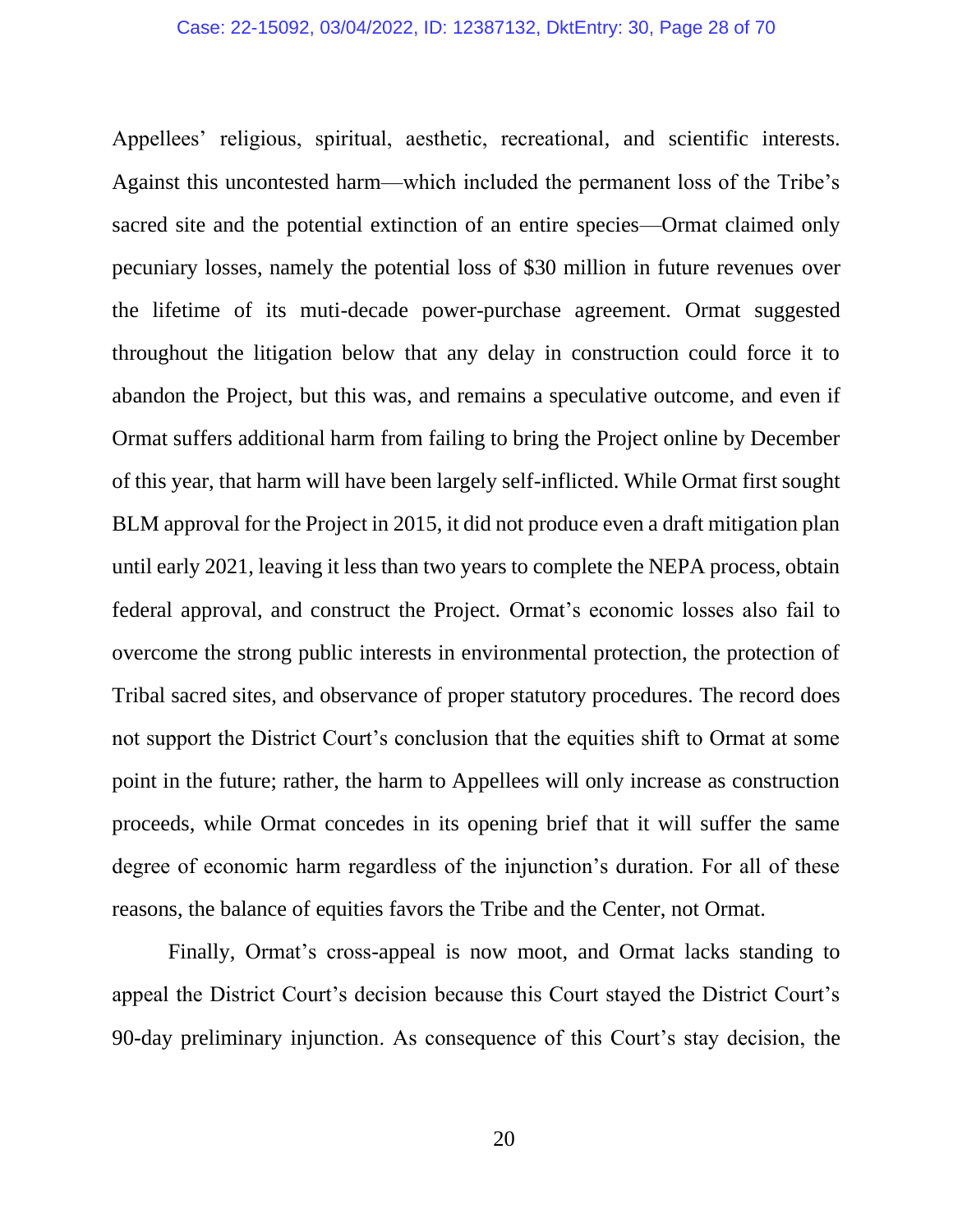Appellees' religious, spiritual, aesthetic, recreational, and scientific interests. Against this uncontested harm—which included the permanent loss of the Tribe's sacred site and the potential extinction of an entire species—Ormat claimed only pecuniary losses, namely the potential loss of \$30 million in future revenues over the lifetime of its muti-decade power-purchase agreement. Ormat suggested throughout the litigation below that any delay in construction could force it to abandon the Project, but this was, and remains a speculative outcome, and even if Ormat suffers additional harm from failing to bring the Project online by December of this year, that harm will have been largely self-inflicted. While Ormat first sought BLM approval for the Project in 2015, it did not produce even a draft mitigation plan until early 2021, leaving it less than two years to complete the NEPA process, obtain federal approval, and construct the Project. Ormat's economic losses also fail to overcome the strong public interests in environmental protection, the protection of Tribal sacred sites, and observance of proper statutory procedures. The record does not support the District Court's conclusion that the equities shift to Ormat at some point in the future; rather, the harm to Appellees will only increase as construction proceeds, while Ormat concedes in its opening brief that it will suffer the same degree of economic harm regardless of the injunction's duration. For all of these reasons, the balance of equities favors the Tribe and the Center, not Ormat.

Finally, Ormat's cross-appeal is now moot, and Ormat lacks standing to appeal the District Court's decision because this Court stayed the District Court's 90-day preliminary injunction. As consequence of this Court's stay decision, the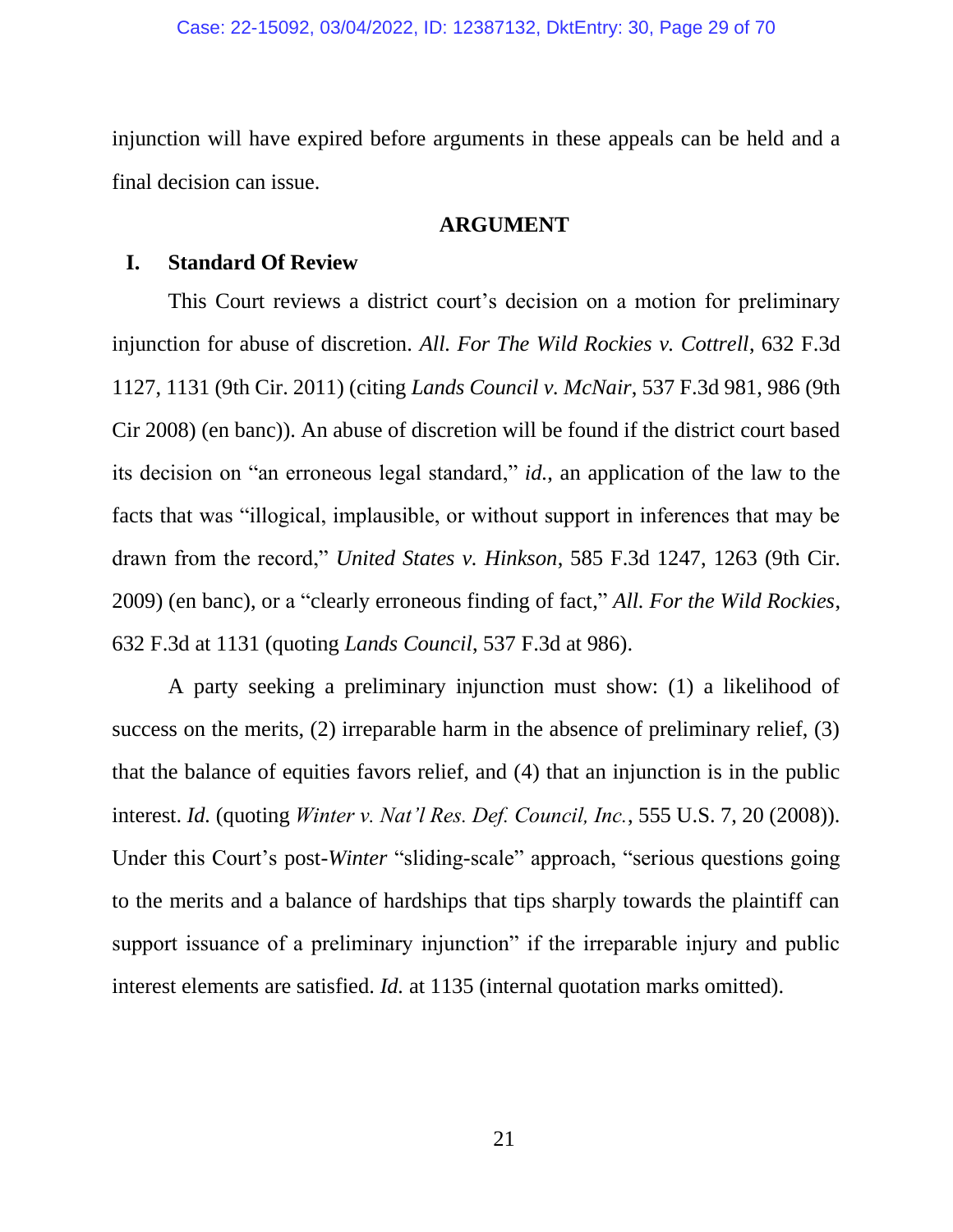injunction will have expired before arguments in these appeals can be held and a final decision can issue.

#### **ARGUMENT**

#### **I. Standard Of Review**

This Court reviews a district court's decision on a motion for preliminary injunction for abuse of discretion. *All. For The Wild Rockies v. Cottrell*, 632 F.3d 1127, 1131 (9th Cir. 2011) (citing *Lands Council v. McNair*, 537 F.3d 981, 986 (9th Cir 2008) (en banc)). An abuse of discretion will be found if the district court based its decision on "an erroneous legal standard," *id.*, an application of the law to the facts that was "illogical, implausible, or without support in inferences that may be drawn from the record," *United States v. Hinkson*, 585 F.3d 1247, 1263 (9th Cir. 2009) (en banc), or a "clearly erroneous finding of fact," *All. For the Wild Rockies*, 632 F.3d at 1131 (quoting *Lands Council*, 537 F.3d at 986).

A party seeking a preliminary injunction must show: (1) a likelihood of success on the merits, (2) irreparable harm in the absence of preliminary relief, (3) that the balance of equities favors relief, and (4) that an injunction is in the public interest. *Id.* (quoting *Winter v. Nat'l Res. Def. Council, Inc.*, 555 U.S. 7, 20 (2008)). Under this Court's post-*Winter* "sliding-scale" approach, "serious questions going to the merits and a balance of hardships that tips sharply towards the plaintiff can support issuance of a preliminary injunction" if the irreparable injury and public interest elements are satisfied. *Id.* at 1135 (internal quotation marks omitted).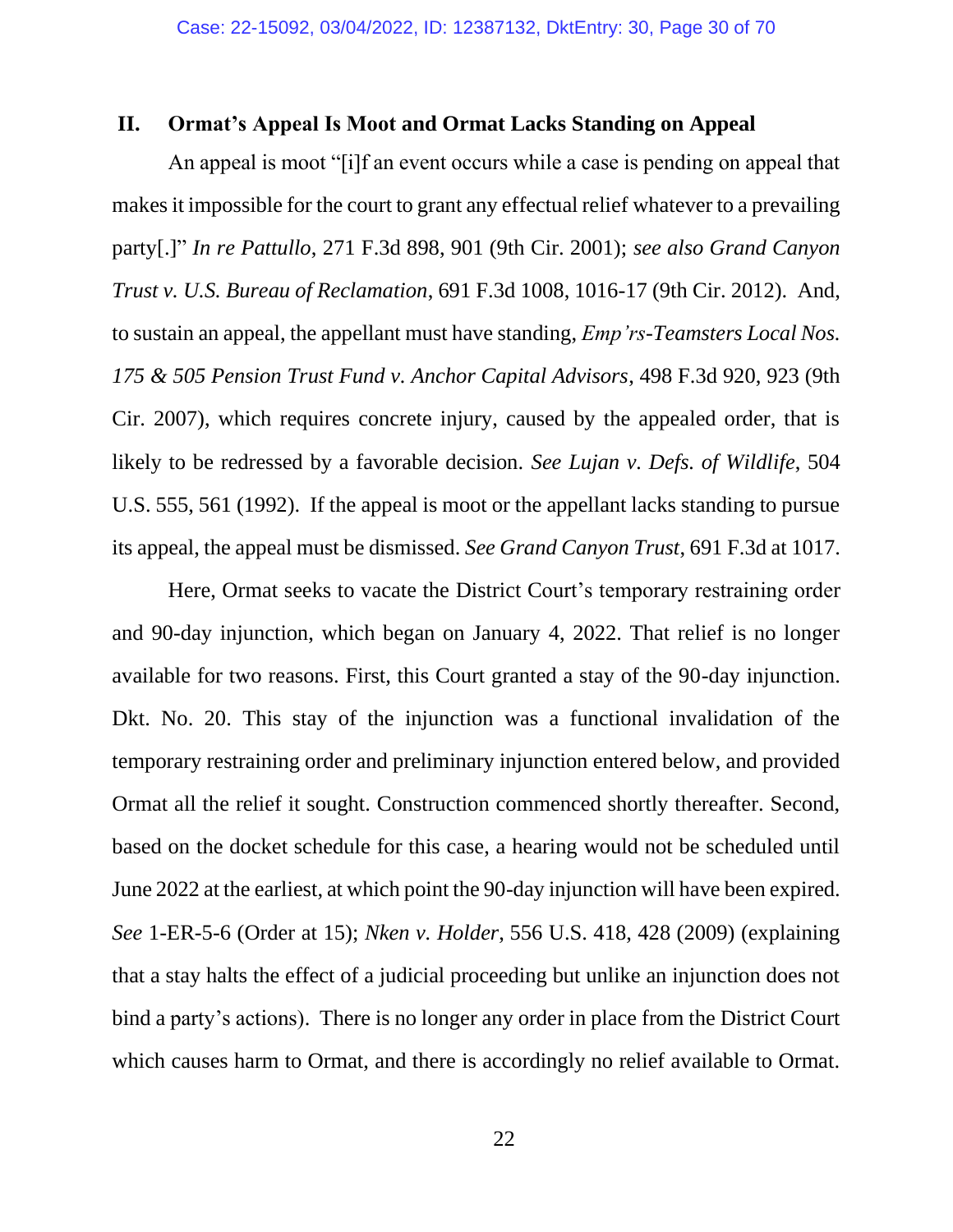# **II. Ormat's Appeal Is Moot and Ormat Lacks Standing on Appeal**

An appeal is moot "[i]f an event occurs while a case is pending on appeal that makes it impossible for the court to grant any effectual relief whatever to a prevailing party[.]" *In re Pattullo*, 271 F.3d 898, 901 (9th Cir. 2001); *see also Grand Canyon Trust v. U.S. Bureau of Reclamation*, 691 F.3d 1008, 1016-17 (9th Cir. 2012). And, to sustain an appeal, the appellant must have standing, *Emp'rs-Teamsters Local Nos. 175 & 505 Pension Trust Fund v. Anchor Capital Advisors*, 498 F.3d 920, 923 (9th Cir. 2007), which requires concrete injury, caused by the appealed order, that is likely to be redressed by a favorable decision. *See Lujan v. Defs. of Wildlife*, 504 U.S. 555, 561 (1992). If the appeal is moot or the appellant lacks standing to pursue its appeal, the appeal must be dismissed. *See Grand Canyon Trust*, 691 F.3d at 1017.

Here, Ormat seeks to vacate the District Court's temporary restraining order and 90-day injunction, which began on January 4, 2022. That relief is no longer available for two reasons. First, this Court granted a stay of the 90-day injunction. Dkt. No. 20. This stay of the injunction was a functional invalidation of the temporary restraining order and preliminary injunction entered below, and provided Ormat all the relief it sought. Construction commenced shortly thereafter. Second, based on the docket schedule for this case, a hearing would not be scheduled until June 2022 at the earliest, at which point the 90-day injunction will have been expired. *See* 1-ER-5-6 (Order at 15); *Nken v. Holder*, 556 U.S. 418, 428 (2009) (explaining that a stay halts the effect of a judicial proceeding but unlike an injunction does not bind a party's actions). There is no longer any order in place from the District Court which causes harm to Ormat, and there is accordingly no relief available to Ormat.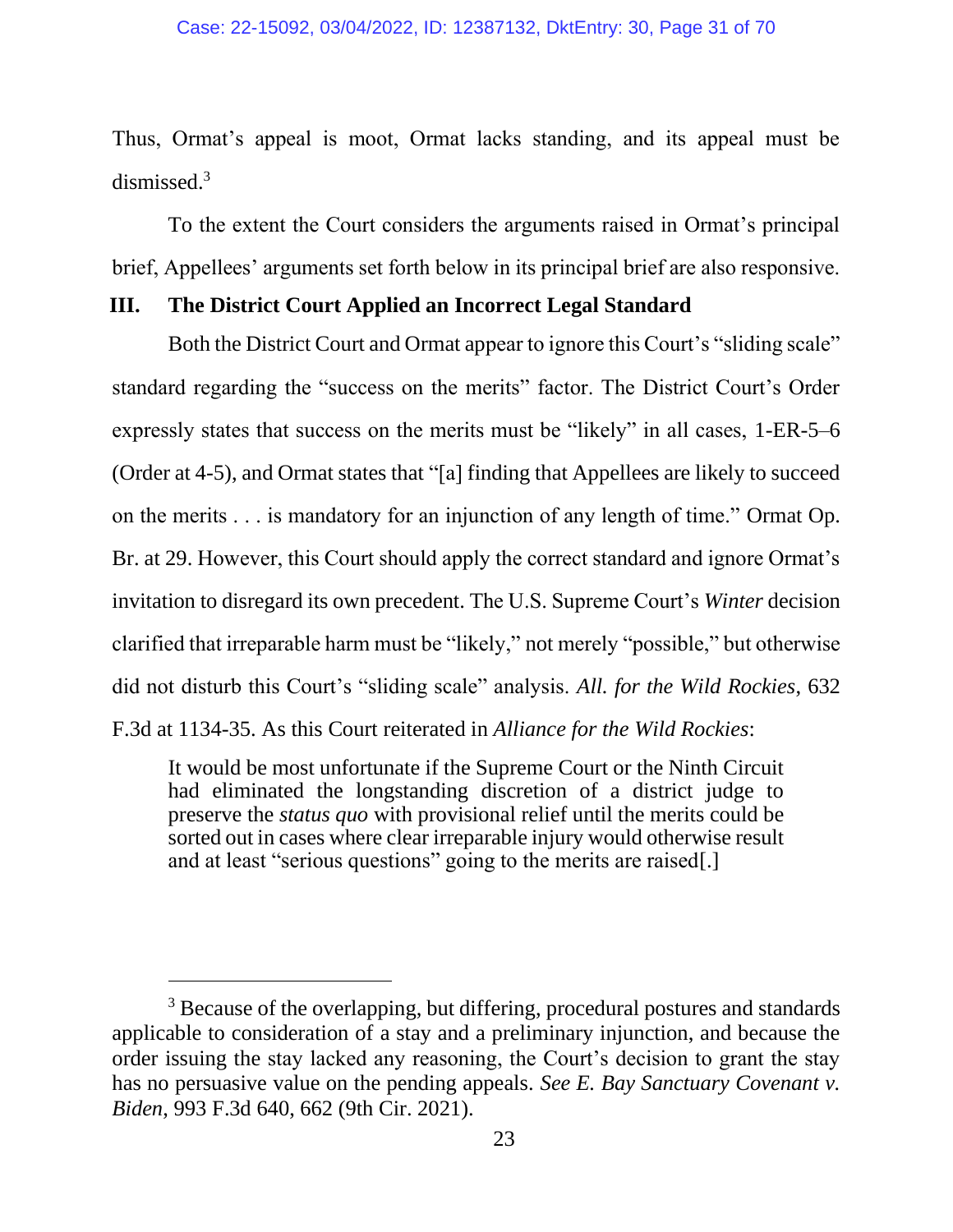Thus, Ormat's appeal is moot, Ormat lacks standing, and its appeal must be dismissed.<sup>3</sup>

To the extent the Court considers the arguments raised in Ormat's principal brief, Appellees' arguments set forth below in its principal brief are also responsive.

#### **III. The District Court Applied an Incorrect Legal Standard**

Both the District Court and Ormat appear to ignore this Court's "sliding scale" standard regarding the "success on the merits" factor. The District Court's Order expressly states that success on the merits must be "likely" in all cases, 1-ER-5–6 (Order at 4-5), and Ormat states that "[a] finding that Appellees are likely to succeed on the merits . . . is mandatory for an injunction of any length of time." Ormat Op. Br. at 29. However, this Court should apply the correct standard and ignore Ormat's invitation to disregard its own precedent. The U.S. Supreme Court's *Winter* decision clarified that irreparable harm must be "likely," not merely "possible," but otherwise did not disturb this Court's "sliding scale" analysis. *All. for the Wild Rockies*, 632 F.3d at 1134-35. As this Court reiterated in *Alliance for the Wild Rockies*:

It would be most unfortunate if the Supreme Court or the Ninth Circuit had eliminated the longstanding discretion of a district judge to preserve the *status quo* with provisional relief until the merits could be sorted out in cases where clear irreparable injury would otherwise result and at least "serious questions" going to the merits are raised[.]

<sup>&</sup>lt;sup>3</sup> Because of the overlapping, but differing, procedural postures and standards applicable to consideration of a stay and a preliminary injunction, and because the order issuing the stay lacked any reasoning, the Court's decision to grant the stay has no persuasive value on the pending appeals. *See E. Bay Sanctuary Covenant v. Biden*, 993 F.3d 640, 662 (9th Cir. 2021).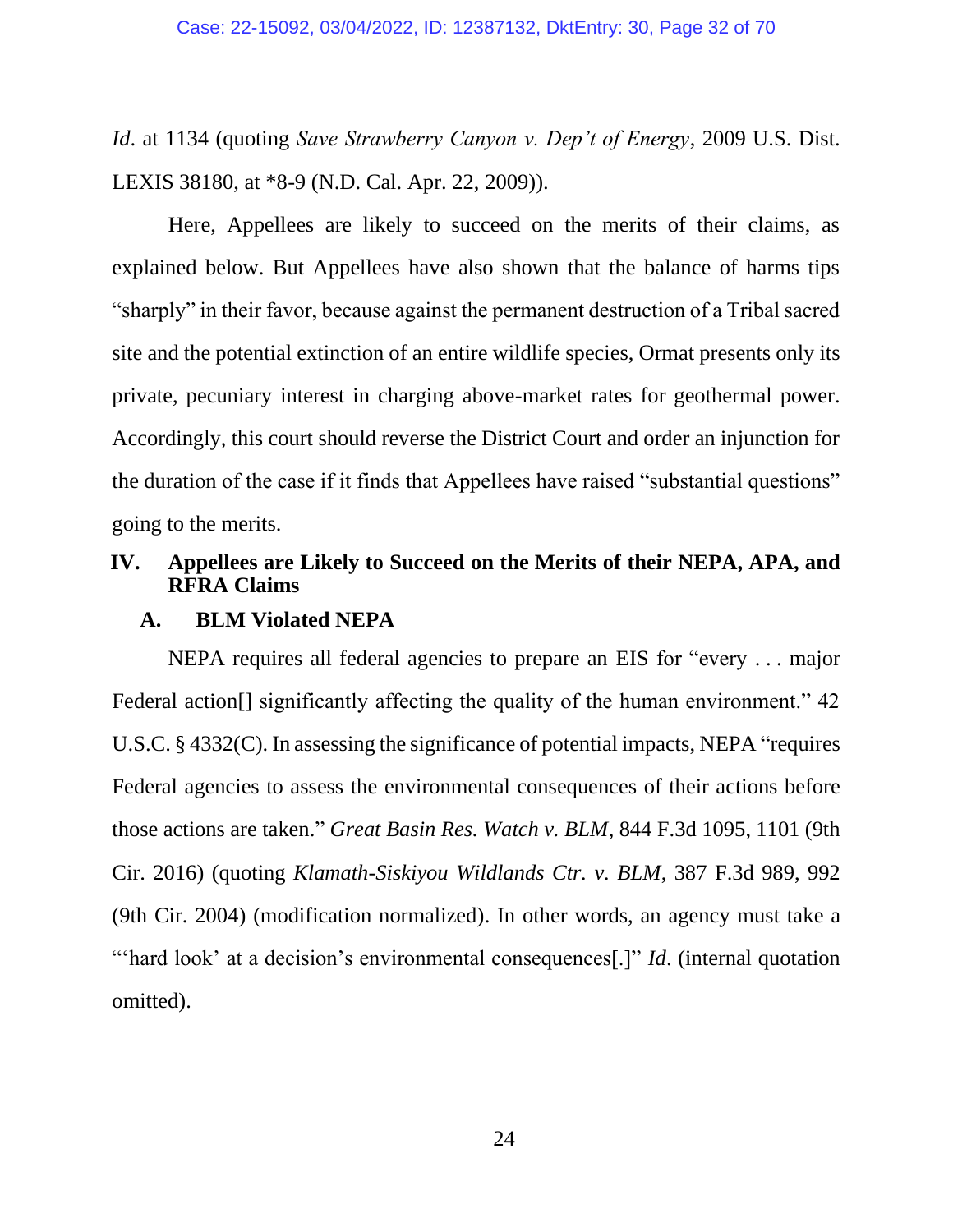*Id*. at 1134 (quoting *Save Strawberry Canyon v. Dep't of Energy*, 2009 U.S. Dist. LEXIS 38180, at \*8-9 (N.D. Cal. Apr. 22, 2009)).

Here, Appellees are likely to succeed on the merits of their claims, as explained below. But Appellees have also shown that the balance of harms tips "sharply" in their favor, because against the permanent destruction of a Tribal sacred site and the potential extinction of an entire wildlife species, Ormat presents only its private, pecuniary interest in charging above-market rates for geothermal power. Accordingly, this court should reverse the District Court and order an injunction for the duration of the case if it finds that Appellees have raised "substantial questions" going to the merits.

# **IV. Appellees are Likely to Succeed on the Merits of their NEPA, APA, and RFRA Claims**

#### **A. BLM Violated NEPA**

NEPA requires all federal agencies to prepare an EIS for "every . . . major Federal action<sup>[]</sup> significantly affecting the quality of the human environment." 42 U.S.C. § 4332(C). In assessing the significance of potential impacts, NEPA "requires Federal agencies to assess the environmental consequences of their actions before those actions are taken." *Great Basin Res. Watch v. BLM*, 844 F.3d 1095, 1101 (9th Cir. 2016) (quoting *Klamath-Siskiyou Wildlands Ctr. v. BLM*, 387 F.3d 989, 992 (9th Cir. 2004) (modification normalized). In other words, an agency must take a "hard look' at a decision's environmental consequences<sup>[1]</sup>" *Id.* (internal quotation omitted).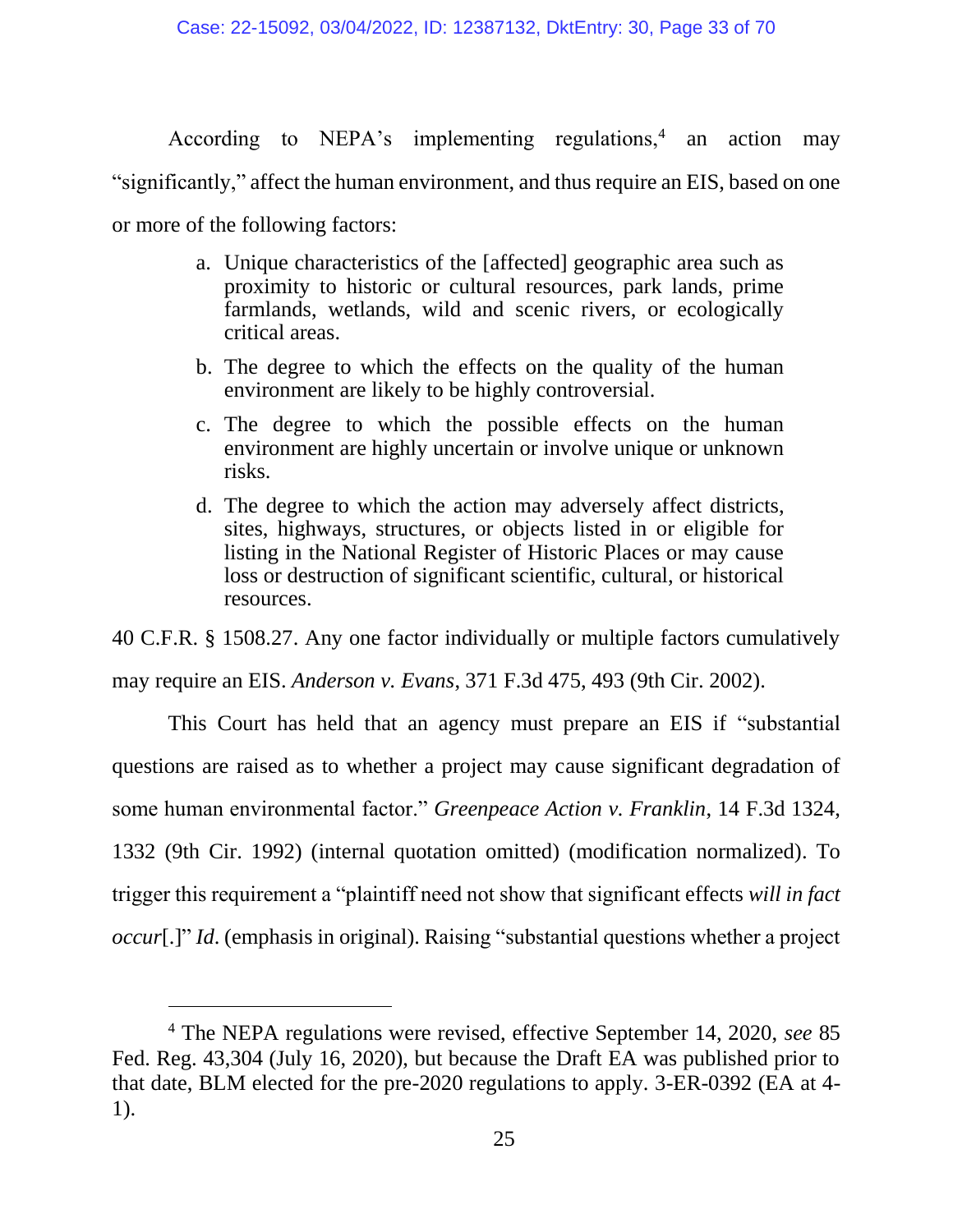According to NEPA's implementing regulations,<sup>4</sup> an action may

"significantly," affect the human environment, and thus require an EIS, based on one

or more of the following factors:

- a. Unique characteristics of the [affected] geographic area such as proximity to historic or cultural resources, park lands, prime farmlands, wetlands, wild and scenic rivers, or ecologically critical areas.
- b. The degree to which the effects on the quality of the human environment are likely to be highly controversial.
- c. The degree to which the possible effects on the human environment are highly uncertain or involve unique or unknown risks.
- d. The degree to which the action may adversely affect districts, sites, highways, structures, or objects listed in or eligible for listing in the National Register of Historic Places or may cause loss or destruction of significant scientific, cultural, or historical resources.

40 C.F.R. § 1508.27. Any one factor individually or multiple factors cumulatively may require an EIS. *Anderson v. Evans*, 371 F.3d 475, 493 (9th Cir. 2002).

This Court has held that an agency must prepare an EIS if "substantial questions are raised as to whether a project may cause significant degradation of some human environmental factor." *Greenpeace Action v. Franklin*, 14 F.3d 1324, 1332 (9th Cir. 1992) (internal quotation omitted) (modification normalized). To trigger this requirement a "plaintiff need not show that significant effects *will in fact occur*[.]" *Id.* (emphasis in original). Raising "substantial questions whether a project

<sup>4</sup> The NEPA regulations were revised, effective September 14, 2020, *see* 85 Fed. Reg. 43,304 (July 16, 2020), but because the Draft EA was published prior to that date, BLM elected for the pre-2020 regulations to apply. 3-ER-0392 (EA at 4- 1).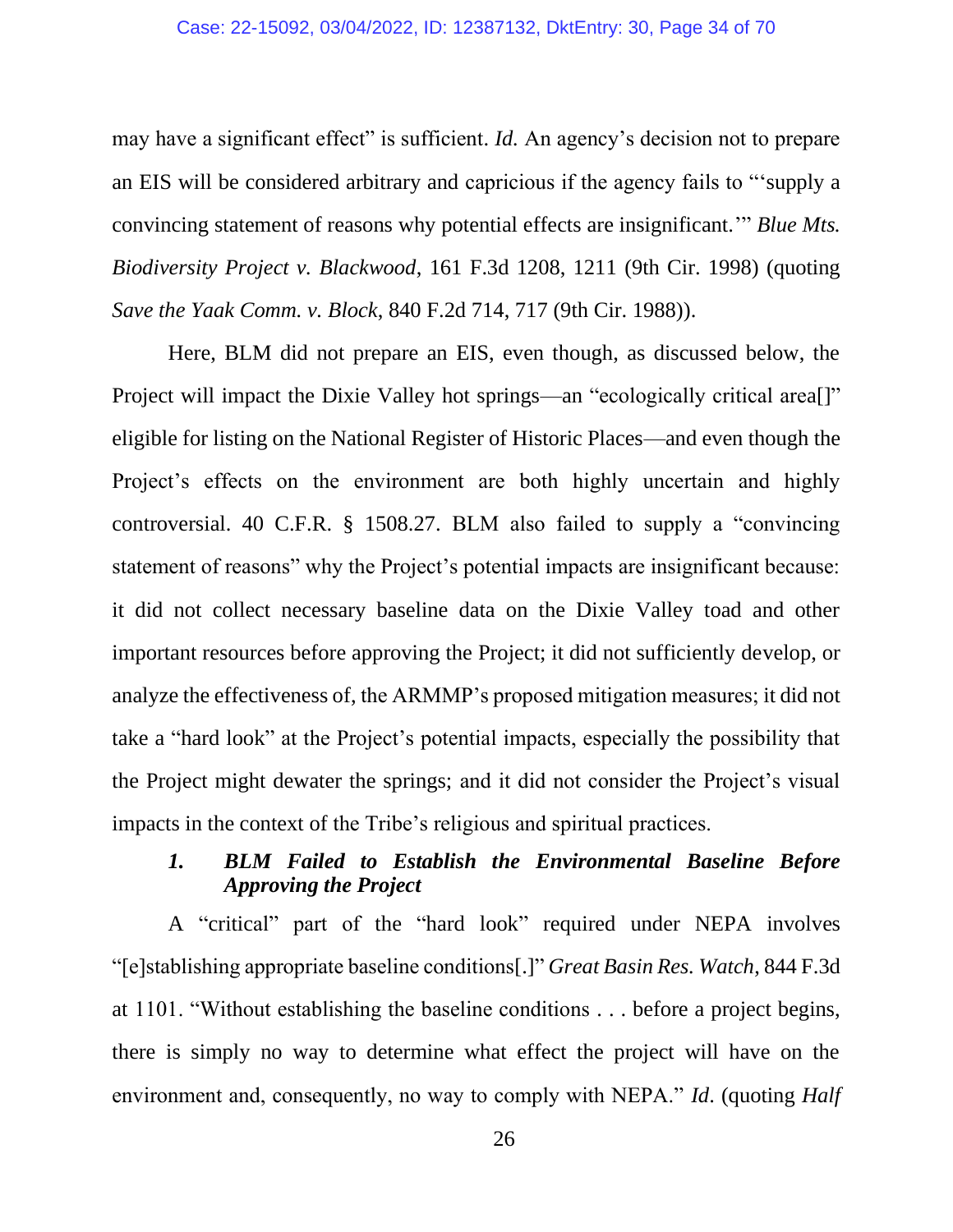may have a significant effect" is sufficient. *Id.* An agency's decision not to prepare an EIS will be considered arbitrary and capricious if the agency fails to "'supply a convincing statement of reasons why potential effects are insignificant.'" *Blue Mts. Biodiversity Project v. Blackwood*, 161 F.3d 1208, 1211 (9th Cir. 1998) (quoting *Save the Yaak Comm. v. Block*, 840 F.2d 714, 717 (9th Cir. 1988)).

Here, BLM did not prepare an EIS, even though, as discussed below, the Project will impact the Dixie Valley hot springs—an "ecologically critical area<sup>[]"</sup> eligible for listing on the National Register of Historic Places—and even though the Project's effects on the environment are both highly uncertain and highly controversial. 40 C.F.R. § 1508.27. BLM also failed to supply a "convincing statement of reasons" why the Project's potential impacts are insignificant because: it did not collect necessary baseline data on the Dixie Valley toad and other important resources before approving the Project; it did not sufficiently develop, or analyze the effectiveness of, the ARMMP's proposed mitigation measures; it did not take a "hard look" at the Project's potential impacts, especially the possibility that the Project might dewater the springs; and it did not consider the Project's visual impacts in the context of the Tribe's religious and spiritual practices.

# *1. BLM Failed to Establish the Environmental Baseline Before Approving the Project*

A "critical" part of the "hard look" required under NEPA involves "[e]stablishing appropriate baseline conditions[.]" *Great Basin Res. Watch*, 844 F.3d at 1101. "Without establishing the baseline conditions . . . before a project begins, there is simply no way to determine what effect the project will have on the environment and, consequently, no way to comply with NEPA." *Id*. (quoting *Half* 

26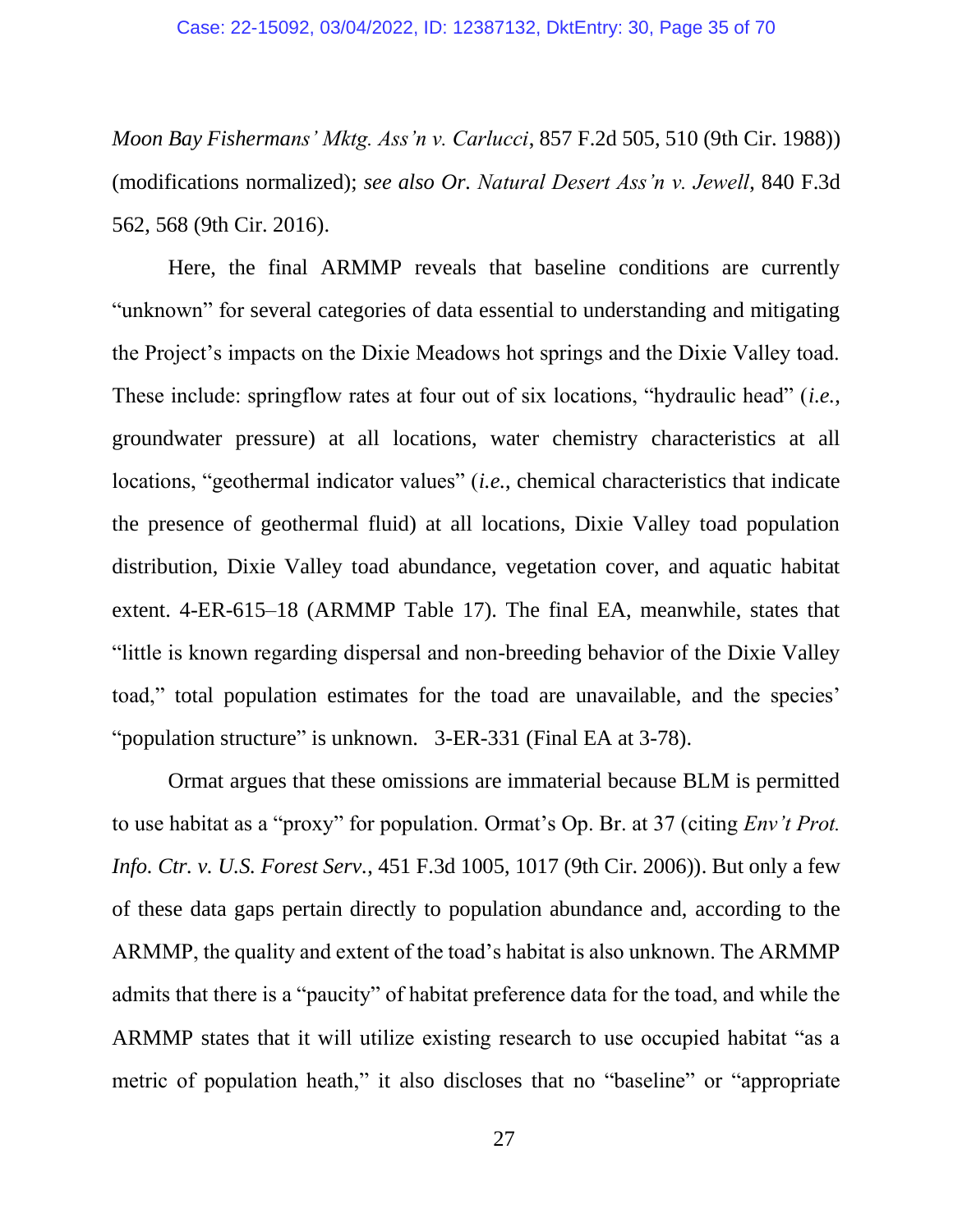#### Case: 22-15092, 03/04/2022, ID: 12387132, DktEntry: 30, Page 35 of 70

*Moon Bay Fishermans' Mktg. Ass'n v. Carlucci*, 857 F.2d 505, 510 (9th Cir. 1988)) (modifications normalized); *see also Or. Natural Desert Ass'n v. Jewell*, 840 F.3d 562, 568 (9th Cir. 2016).

Here, the final ARMMP reveals that baseline conditions are currently "unknown" for several categories of data essential to understanding and mitigating the Project's impacts on the Dixie Meadows hot springs and the Dixie Valley toad. These include: springflow rates at four out of six locations, "hydraulic head" (*i.e.*, groundwater pressure) at all locations, water chemistry characteristics at all locations, "geothermal indicator values" *(i.e.*, chemical characteristics that indicate the presence of geothermal fluid) at all locations, Dixie Valley toad population distribution, Dixie Valley toad abundance, vegetation cover, and aquatic habitat extent. 4-ER-615–18 (ARMMP Table 17). The final EA, meanwhile, states that "little is known regarding dispersal and non-breeding behavior of the Dixie Valley toad," total population estimates for the toad are unavailable, and the species' "population structure" is unknown. 3-ER-331 (Final EA at 3-78).

Ormat argues that these omissions are immaterial because BLM is permitted to use habitat as a "proxy" for population. Ormat's Op. Br. at 37 (citing *Env't Prot. Info. Ctr. v. U.S. Forest Serv.*, 451 F.3d 1005, 1017 (9th Cir. 2006)). But only a few of these data gaps pertain directly to population abundance and, according to the ARMMP, the quality and extent of the toad's habitat is also unknown. The ARMMP admits that there is a "paucity" of habitat preference data for the toad, and while the ARMMP states that it will utilize existing research to use occupied habitat "as a metric of population heath," it also discloses that no "baseline" or "appropriate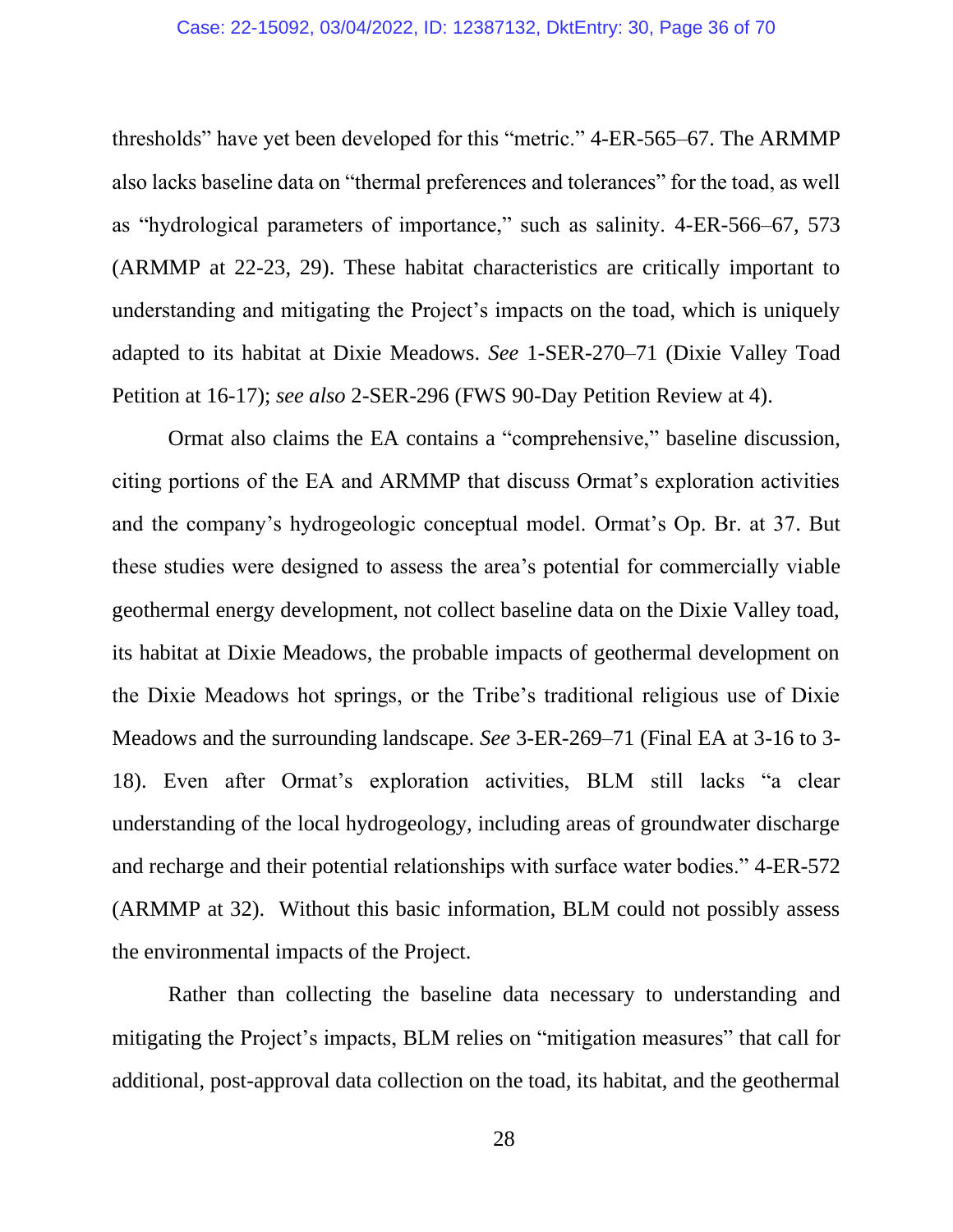#### Case: 22-15092, 03/04/2022, ID: 12387132, DktEntry: 30, Page 36 of 70

thresholds" have yet been developed for this "metric." 4-ER-565–67. The ARMMP also lacks baseline data on "thermal preferences and tolerances" for the toad, as well as "hydrological parameters of importance," such as salinity. 4-ER-566–67, 573 (ARMMP at 22-23, 29). These habitat characteristics are critically important to understanding and mitigating the Project's impacts on the toad, which is uniquely adapted to its habitat at Dixie Meadows. *See* 1-SER-270–71 (Dixie Valley Toad Petition at 16-17); *see also* 2-SER-296 (FWS 90-Day Petition Review at 4).

Ormat also claims the EA contains a "comprehensive," baseline discussion, citing portions of the EA and ARMMP that discuss Ormat's exploration activities and the company's hydrogeologic conceptual model. Ormat's Op. Br. at 37. But these studies were designed to assess the area's potential for commercially viable geothermal energy development, not collect baseline data on the Dixie Valley toad, its habitat at Dixie Meadows, the probable impacts of geothermal development on the Dixie Meadows hot springs, or the Tribe's traditional religious use of Dixie Meadows and the surrounding landscape. *See* 3-ER-269–71 (Final EA at 3-16 to 3- 18). Even after Ormat's exploration activities, BLM still lacks "a clear understanding of the local hydrogeology, including areas of groundwater discharge and recharge and their potential relationships with surface water bodies." 4-ER-572 (ARMMP at 32). Without this basic information, BLM could not possibly assess the environmental impacts of the Project.

Rather than collecting the baseline data necessary to understanding and mitigating the Project's impacts, BLM relies on "mitigation measures" that call for additional, post-approval data collection on the toad, its habitat, and the geothermal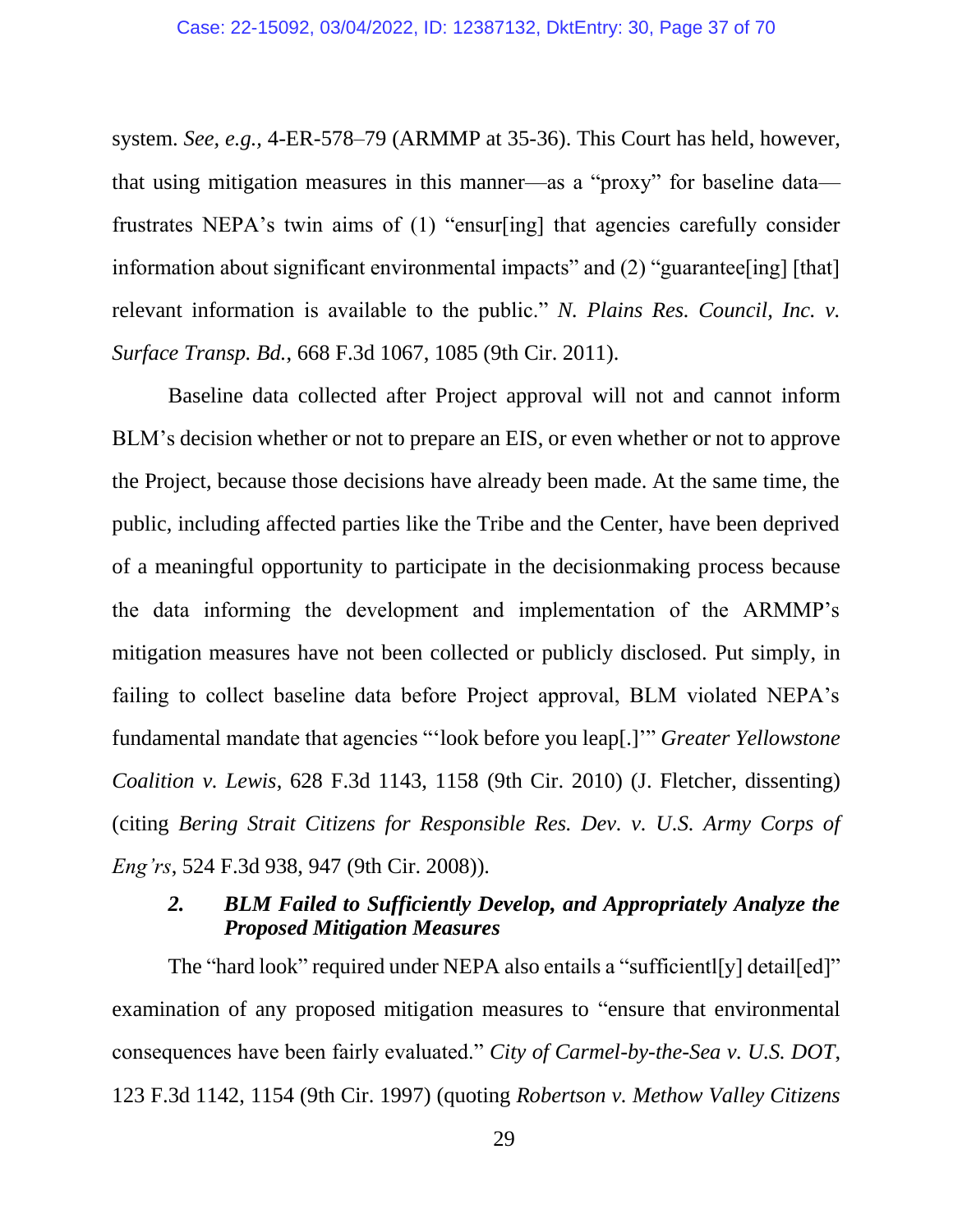system. *See, e.g.,* 4-ER-578–79 (ARMMP at 35-36). This Court has held, however, that using mitigation measures in this manner—as a "proxy" for baseline data frustrates NEPA's twin aims of (1) "ensur[ing] that agencies carefully consider information about significant environmental impacts" and (2) "guarantee [ing] [that] relevant information is available to the public." *N. Plains Res. Council, Inc. v. Surface Transp. Bd.*, 668 F.3d 1067, 1085 (9th Cir. 2011).

Baseline data collected after Project approval will not and cannot inform BLM's decision whether or not to prepare an EIS, or even whether or not to approve the Project, because those decisions have already been made. At the same time, the public, including affected parties like the Tribe and the Center, have been deprived of a meaningful opportunity to participate in the decisionmaking process because the data informing the development and implementation of the ARMMP's mitigation measures have not been collected or publicly disclosed. Put simply, in failing to collect baseline data before Project approval, BLM violated NEPA's fundamental mandate that agencies "'look before you leap[.]'" *Greater Yellowstone Coalition v. Lewis*, 628 F.3d 1143, 1158 (9th Cir. 2010) (J. Fletcher, dissenting) (citing *Bering Strait Citizens for Responsible Res. Dev. v. U.S. Army Corps of Eng'rs*, 524 F.3d 938, 947 (9th Cir. 2008)).

# *2. BLM Failed to Sufficiently Develop, and Appropriately Analyze the Proposed Mitigation Measures*

The "hard look" required under NEPA also entails a "sufficientl[y] detail[ed]" examination of any proposed mitigation measures to "ensure that environmental consequences have been fairly evaluated." *City of Carmel-by-the-Sea v. U.S. DOT*, 123 F.3d 1142, 1154 (9th Cir. 1997) (quoting *Robertson v. Methow Valley Citizens*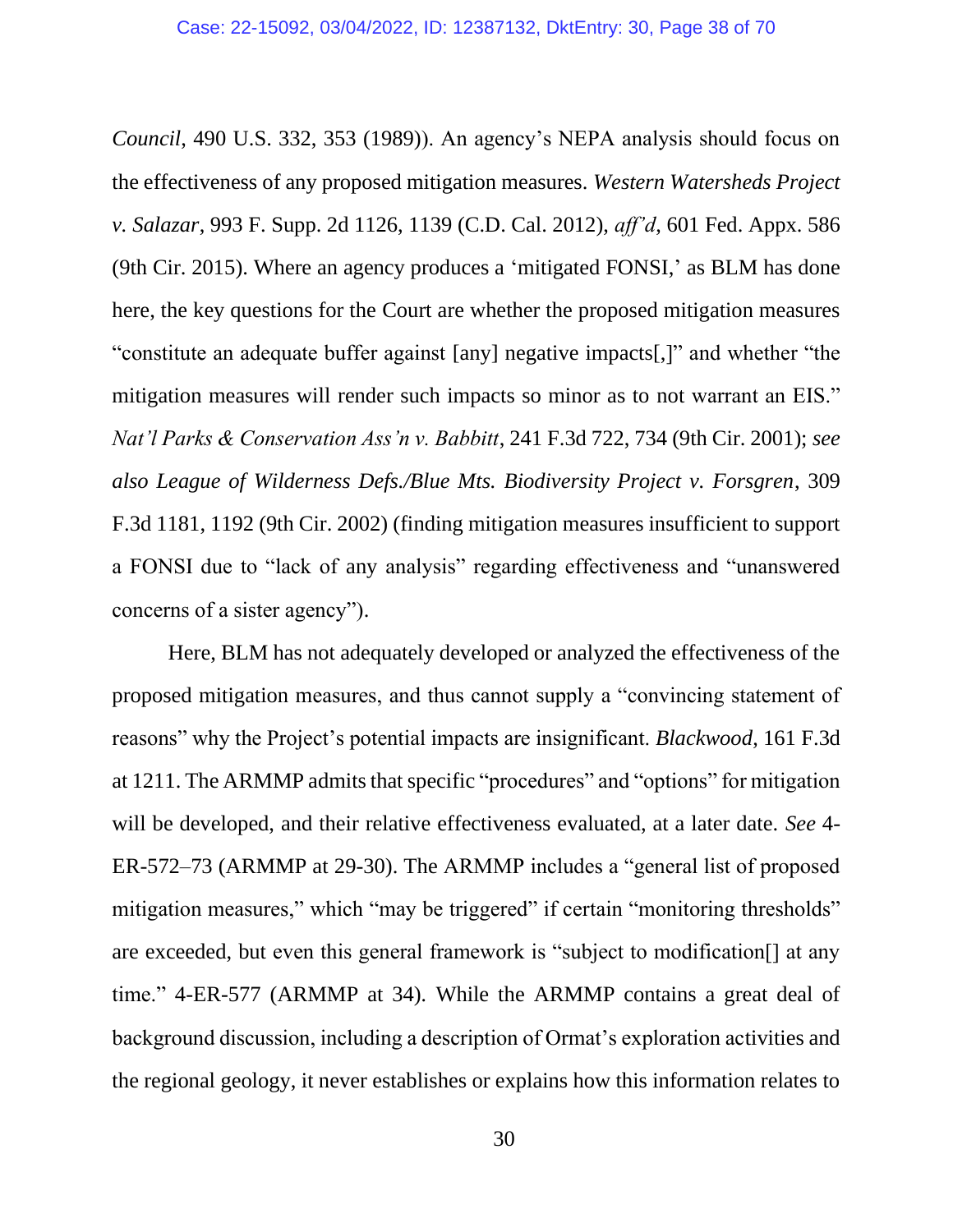*Council*, 490 U.S. 332, 353 (1989)). An agency's NEPA analysis should focus on the effectiveness of any proposed mitigation measures. *Western Watersheds Project v. Salazar*, 993 F. Supp. 2d 1126, 1139 (C.D. Cal. 2012), *aff'd*, 601 Fed. Appx. 586 (9th Cir. 2015). Where an agency produces a 'mitigated FONSI,' as BLM has done here, the key questions for the Court are whether the proposed mitigation measures "constitute an adequate buffer against [any] negative impacts[,]" and whether "the mitigation measures will render such impacts so minor as to not warrant an EIS." *Nat'l Parks & Conservation Ass'n v. Babbitt*, 241 F.3d 722, 734 (9th Cir. 2001); *see also League of Wilderness Defs./Blue Mts. Biodiversity Project v. Forsgren*, 309 F.3d 1181, 1192 (9th Cir. 2002) (finding mitigation measures insufficient to support a FONSI due to "lack of any analysis" regarding effectiveness and "unanswered concerns of a sister agency").

Here, BLM has not adequately developed or analyzed the effectiveness of the proposed mitigation measures, and thus cannot supply a "convincing statement of reasons" why the Project's potential impacts are insignificant. *Blackwood*, 161 F.3d at 1211. The ARMMP admits that specific "procedures" and "options" for mitigation will be developed, and their relative effectiveness evaluated, at a later date. *See* 4- ER-572–73 (ARMMP at 29-30). The ARMMP includes a "general list of proposed mitigation measures," which "may be triggered" if certain "monitoring thresholds" are exceeded, but even this general framework is "subject to modification[] at any time." 4-ER-577 (ARMMP at 34)*.* While the ARMMP contains a great deal of background discussion, including a description of Ormat's exploration activities and the regional geology, it never establishes or explains how this information relates to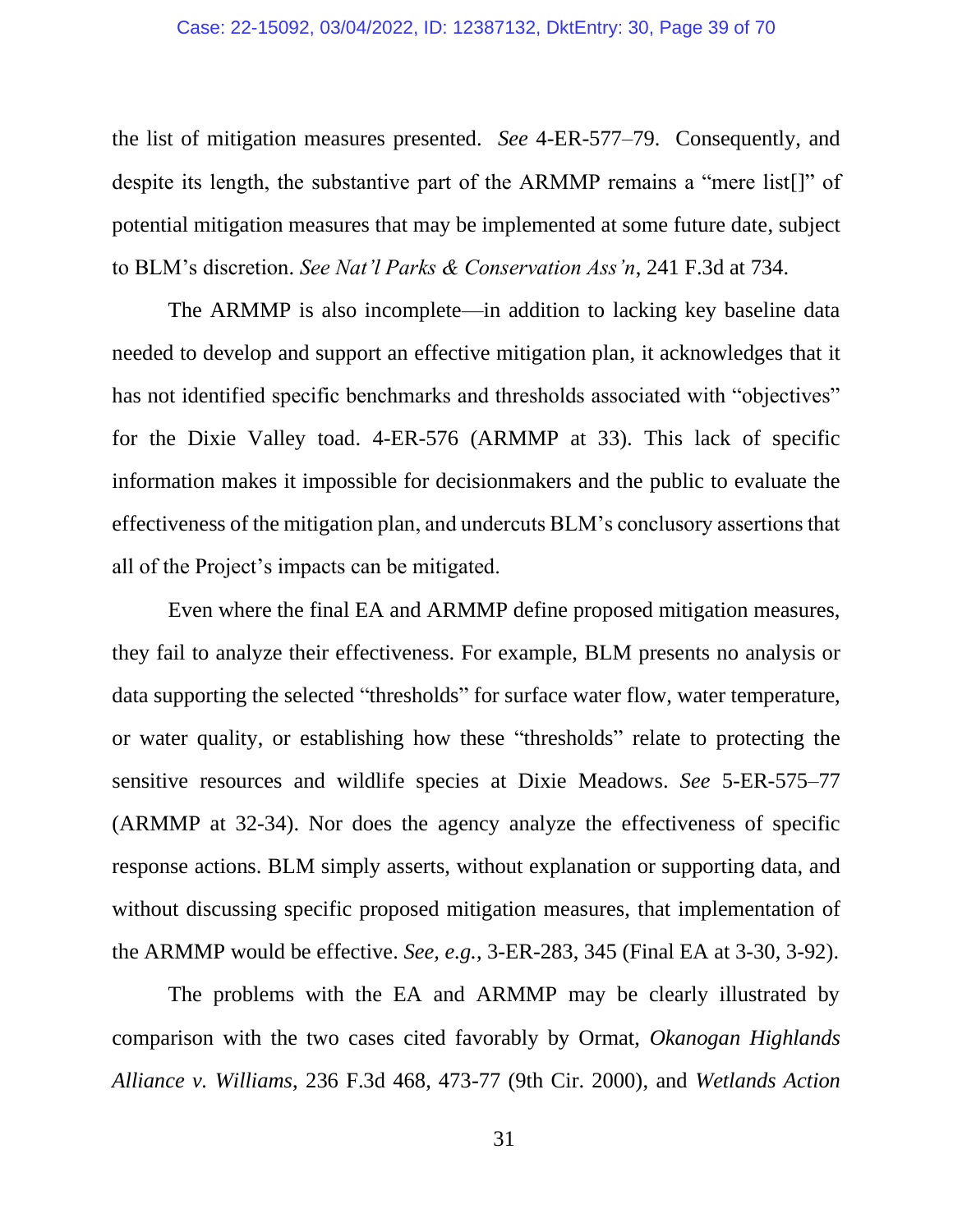#### Case: 22-15092, 03/04/2022, ID: 12387132, DktEntry: 30, Page 39 of 70

the list of mitigation measures presented. *See* 4-ER-577–79. Consequently, and despite its length, the substantive part of the ARMMP remains a "mere list[]" of potential mitigation measures that may be implemented at some future date, subject to BLM's discretion. *See Nat'l Parks & Conservation Ass'n*, 241 F.3d at 734.

The ARMMP is also incomplete—in addition to lacking key baseline data needed to develop and support an effective mitigation plan, it acknowledges that it has not identified specific benchmarks and thresholds associated with "objectives" for the Dixie Valley toad. 4-ER-576 (ARMMP at 33). This lack of specific information makes it impossible for decisionmakers and the public to evaluate the effectiveness of the mitigation plan, and undercuts BLM's conclusory assertions that all of the Project's impacts can be mitigated.

Even where the final EA and ARMMP define proposed mitigation measures, they fail to analyze their effectiveness. For example, BLM presents no analysis or data supporting the selected "thresholds" for surface water flow, water temperature, or water quality, or establishing how these "thresholds" relate to protecting the sensitive resources and wildlife species at Dixie Meadows. *See* 5-ER-575–77 (ARMMP at 32-34). Nor does the agency analyze the effectiveness of specific response actions. BLM simply asserts, without explanation or supporting data, and without discussing specific proposed mitigation measures, that implementation of the ARMMP would be effective. *See, e.g.*, 3-ER-283, 345 (Final EA at 3-30, 3-92).

The problems with the EA and ARMMP may be clearly illustrated by comparison with the two cases cited favorably by Ormat, *Okanogan Highlands Alliance v. Williams*, 236 F.3d 468, 473-77 (9th Cir. 2000), and *Wetlands Action*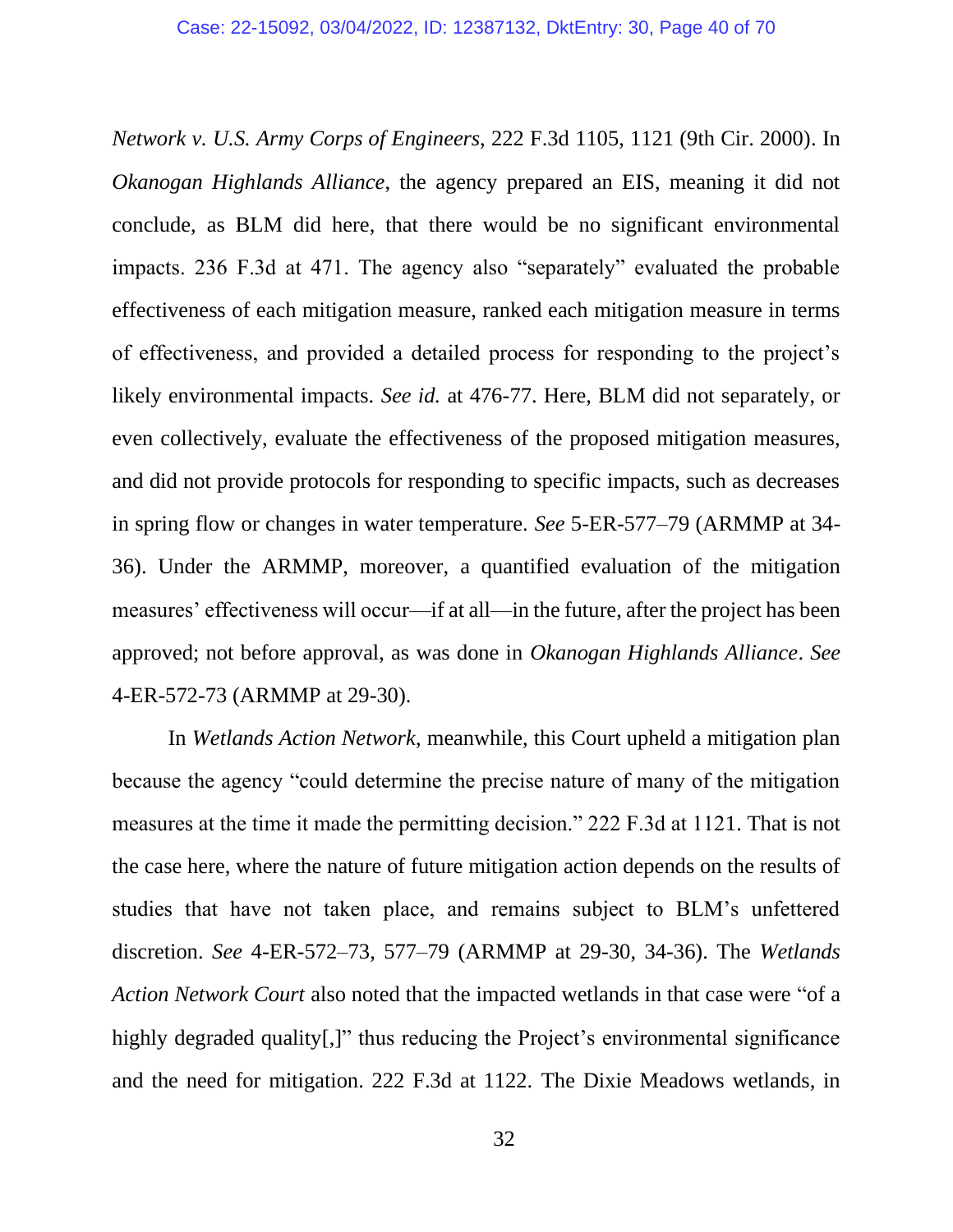*Network v. U.S. Army Corps of Engineers*, 222 F.3d 1105, 1121 (9th Cir. 2000). In *Okanogan Highlands Alliance*, the agency prepared an EIS, meaning it did not conclude, as BLM did here, that there would be no significant environmental impacts. 236 F.3d at 471. The agency also "separately" evaluated the probable effectiveness of each mitigation measure, ranked each mitigation measure in terms of effectiveness, and provided a detailed process for responding to the project's likely environmental impacts. *See id.* at 476-77. Here, BLM did not separately, or even collectively, evaluate the effectiveness of the proposed mitigation measures, and did not provide protocols for responding to specific impacts, such as decreases in spring flow or changes in water temperature. *See* 5-ER-577–79 (ARMMP at 34- 36). Under the ARMMP, moreover, a quantified evaluation of the mitigation measures' effectiveness will occur—if at all—in the future, after the project has been approved; not before approval, as was done in *Okanogan Highlands Alliance*. *See* 4-ER-572-73 (ARMMP at 29-30).

In *Wetlands Action Network*, meanwhile, this Court upheld a mitigation plan because the agency "could determine the precise nature of many of the mitigation measures at the time it made the permitting decision." 222 F.3d at 1121. That is not the case here, where the nature of future mitigation action depends on the results of studies that have not taken place, and remains subject to BLM's unfettered discretion. *See* 4-ER-572–73, 577–79 (ARMMP at 29-30, 34-36). The *Wetlands Action Network Court* also noted that the impacted wetlands in that case were "of a highly degraded quality[.]" thus reducing the Project's environmental significance and the need for mitigation. 222 F.3d at 1122. The Dixie Meadows wetlands, in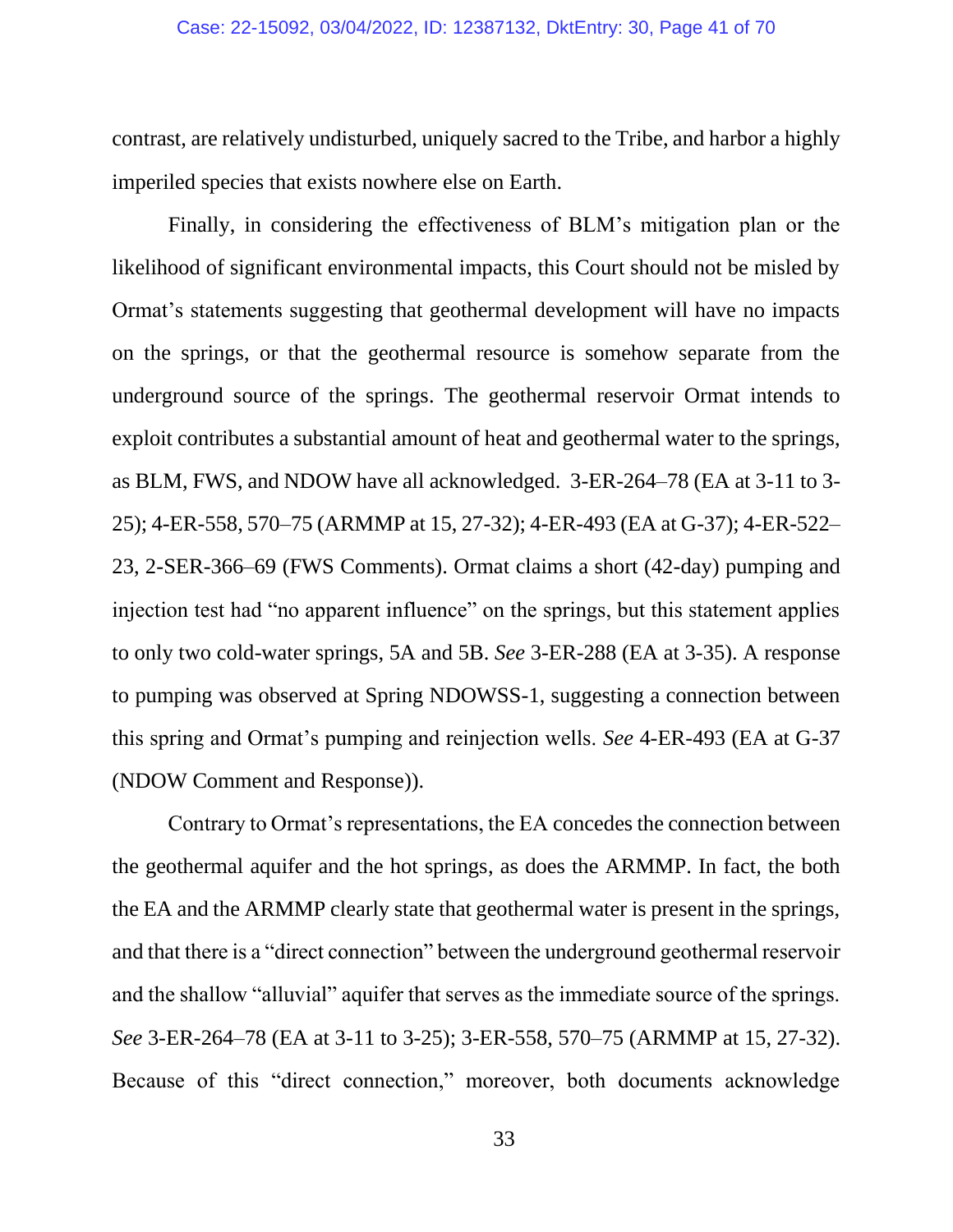contrast, are relatively undisturbed, uniquely sacred to the Tribe, and harbor a highly imperiled species that exists nowhere else on Earth.

Finally, in considering the effectiveness of BLM's mitigation plan or the likelihood of significant environmental impacts, this Court should not be misled by Ormat's statements suggesting that geothermal development will have no impacts on the springs, or that the geothermal resource is somehow separate from the underground source of the springs. The geothermal reservoir Ormat intends to exploit contributes a substantial amount of heat and geothermal water to the springs, as BLM, FWS, and NDOW have all acknowledged. 3-ER-264–78 (EA at 3-11 to 3- 25); 4-ER-558, 570–75 (ARMMP at 15, 27-32); 4-ER-493 (EA at G-37); 4-ER-522– 23, 2-SER-366–69 (FWS Comments). Ormat claims a short (42-day) pumping and injection test had "no apparent influence" on the springs, but this statement applies to only two cold-water springs, 5A and 5B. *See* 3-ER-288 (EA at 3-35). A response to pumping was observed at Spring NDOWSS-1, suggesting a connection between this spring and Ormat's pumping and reinjection wells. *See* 4-ER-493 (EA at G-37 (NDOW Comment and Response)).

Contrary to Ormat's representations, the EA concedes the connection between the geothermal aquifer and the hot springs, as does the ARMMP. In fact, the both the EA and the ARMMP clearly state that geothermal water is present in the springs, and that there is a "direct connection" between the underground geothermal reservoir and the shallow "alluvial" aquifer that serves as the immediate source of the springs. *See* 3-ER-264–78 (EA at 3-11 to 3-25); 3-ER-558, 570–75 (ARMMP at 15, 27-32). Because of this "direct connection," moreover, both documents acknowledge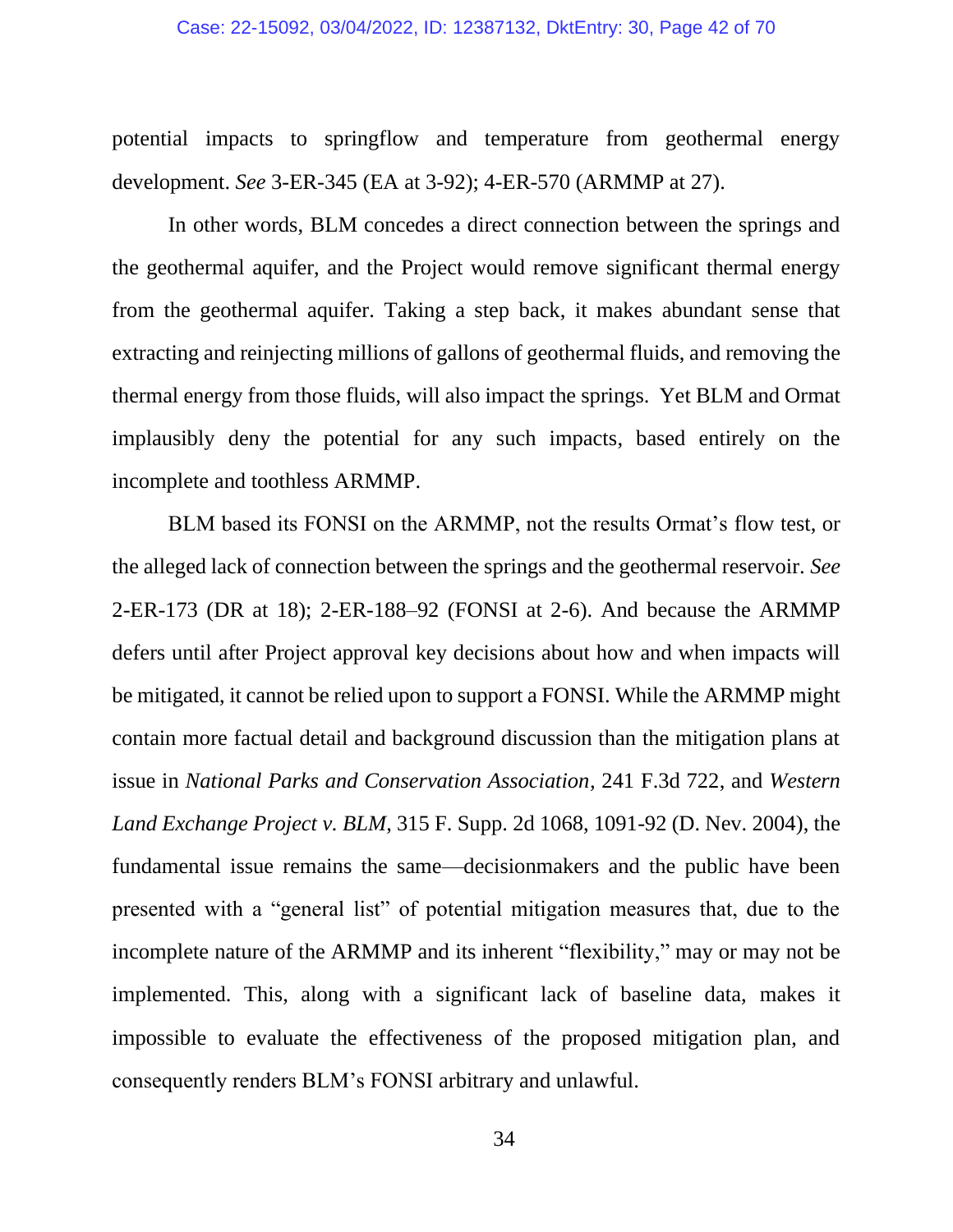#### Case: 22-15092, 03/04/2022, ID: 12387132, DktEntry: 30, Page 42 of 70

potential impacts to springflow and temperature from geothermal energy development. *See* 3-ER-345 (EA at 3-92); 4-ER-570 (ARMMP at 27).

In other words, BLM concedes a direct connection between the springs and the geothermal aquifer, and the Project would remove significant thermal energy from the geothermal aquifer. Taking a step back, it makes abundant sense that extracting and reinjecting millions of gallons of geothermal fluids, and removing the thermal energy from those fluids, will also impact the springs. Yet BLM and Ormat implausibly deny the potential for any such impacts, based entirely on the incomplete and toothless ARMMP.

BLM based its FONSI on the ARMMP, not the results Ormat's flow test, or the alleged lack of connection between the springs and the geothermal reservoir. *See* 2-ER-173 (DR at 18); 2-ER-188–92 (FONSI at 2-6). And because the ARMMP defers until after Project approval key decisions about how and when impacts will be mitigated, it cannot be relied upon to support a FONSI. While the ARMMP might contain more factual detail and background discussion than the mitigation plans at issue in *National Parks and Conservation Association,* 241 F.3d 722, and *Western Land Exchange Project v. BLM*, 315 F. Supp. 2d 1068, 1091-92 (D. Nev. 2004), the fundamental issue remains the same—decisionmakers and the public have been presented with a "general list" of potential mitigation measures that, due to the incomplete nature of the ARMMP and its inherent "flexibility," may or may not be implemented. This, along with a significant lack of baseline data, makes it impossible to evaluate the effectiveness of the proposed mitigation plan, and consequently renders BLM's FONSI arbitrary and unlawful.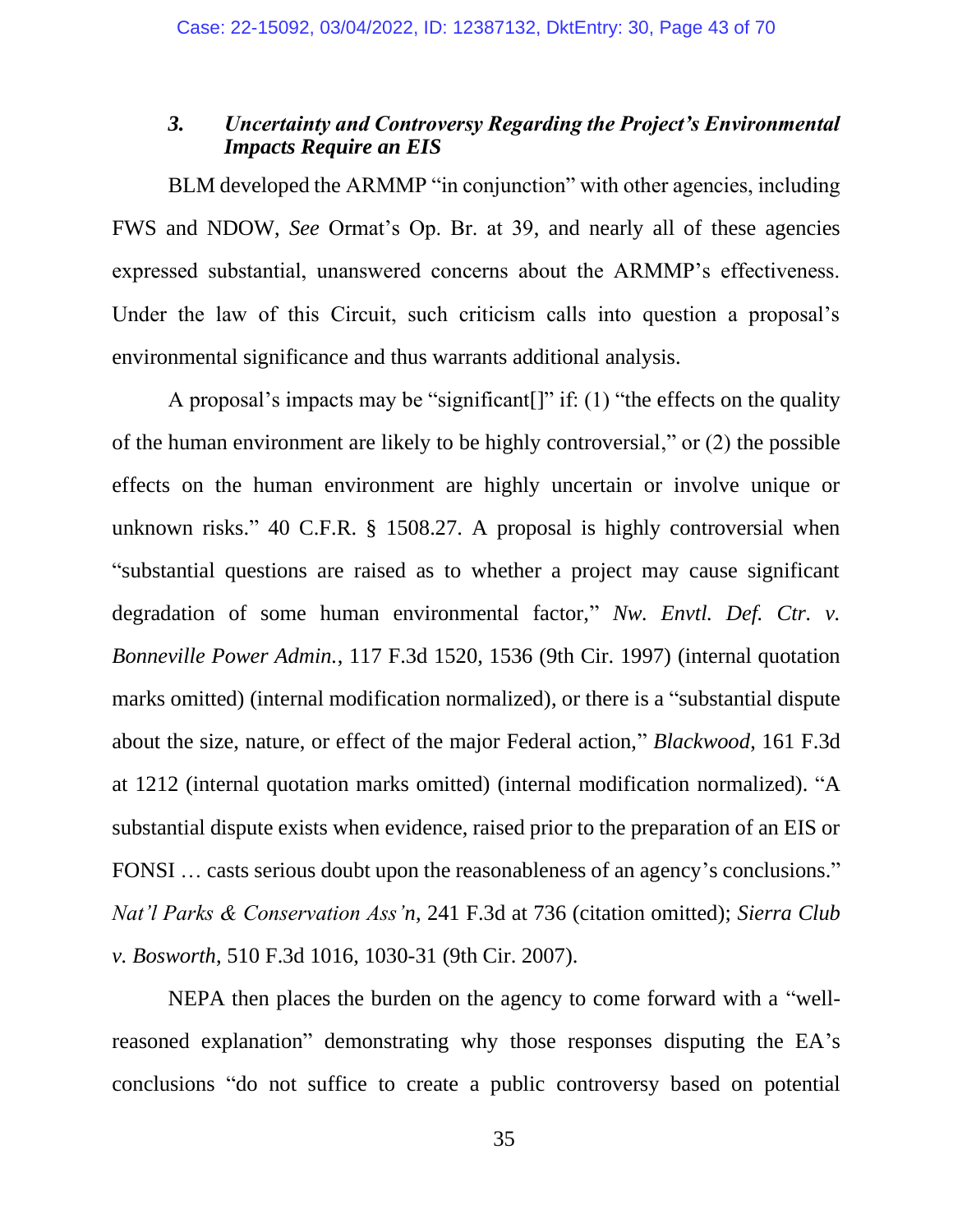## *3. Uncertainty and Controversy Regarding the Project's Environmental Impacts Require an EIS*

BLM developed the ARMMP "in conjunction" with other agencies, including FWS and NDOW, *See* Ormat's Op. Br. at 39, and nearly all of these agencies expressed substantial, unanswered concerns about the ARMMP's effectiveness. Under the law of this Circuit, such criticism calls into question a proposal's environmental significance and thus warrants additional analysis.

A proposal's impacts may be "significant[]" if: (1) "the effects on the quality of the human environment are likely to be highly controversial," or (2) the possible effects on the human environment are highly uncertain or involve unique or unknown risks." 40 C.F.R. § 1508.27. A proposal is highly controversial when "substantial questions are raised as to whether a project may cause significant degradation of some human environmental factor," *Nw. Envtl. Def. Ctr. v. Bonneville Power Admin.*, 117 F.3d 1520, 1536 (9th Cir. 1997) (internal quotation marks omitted) (internal modification normalized), or there is a "substantial dispute about the size, nature, or effect of the major Federal action," *Blackwood*, 161 F.3d at 1212 (internal quotation marks omitted) (internal modification normalized). "A substantial dispute exists when evidence, raised prior to the preparation of an EIS or FONSI … casts serious doubt upon the reasonableness of an agency's conclusions." *Nat'l Parks & Conservation Ass'n*, 241 F.3d at 736 (citation omitted); *Sierra Club v. Bosworth*, 510 F.3d 1016, 1030-31 (9th Cir. 2007).

NEPA then places the burden on the agency to come forward with a "wellreasoned explanation" demonstrating why those responses disputing the EA's conclusions "do not suffice to create a public controversy based on potential

35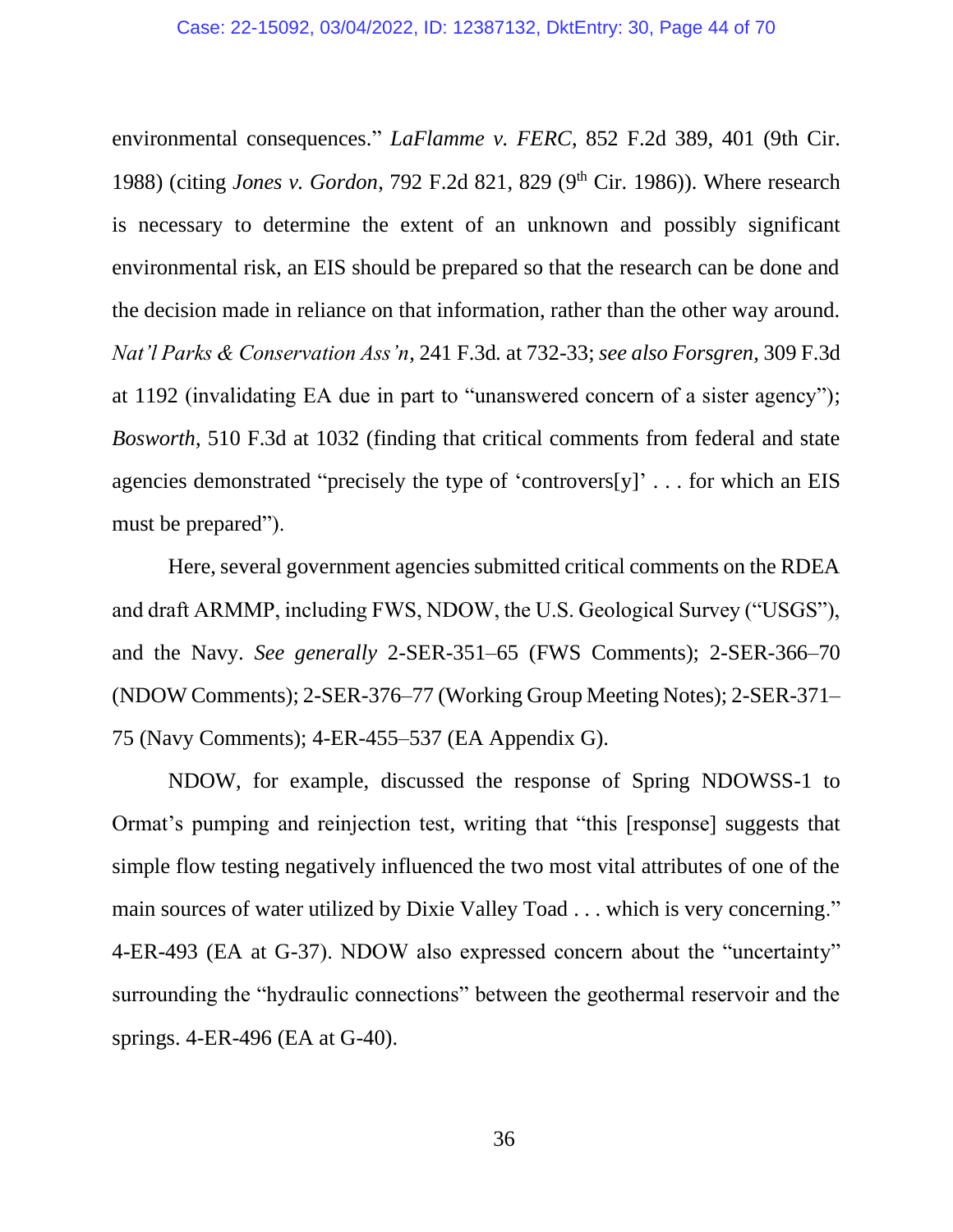environmental consequences." *LaFlamme v. FERC*, 852 F.2d 389, 401 (9th Cir. 1988) (citing *Jones v. Gordon*, 792 F.2d 821, 829 (9<sup>th</sup> Cir. 1986)). Where research is necessary to determine the extent of an unknown and possibly significant environmental risk, an EIS should be prepared so that the research can be done and the decision made in reliance on that information, rather than the other way around. *Nat'l Parks & Conservation Ass'n*, 241 F.3d*.* at 732-33; *see also Forsgren*, 309 F.3d at 1192 (invalidating EA due in part to "unanswered concern of a sister agency"); *Bosworth*, 510 F.3d at 1032 (finding that critical comments from federal and state agencies demonstrated "precisely the type of 'controvers[y]' . . . for which an EIS must be prepared").

Here, several government agencies submitted critical comments on the RDEA and draft ARMMP, including FWS, NDOW, the U.S. Geological Survey ("USGS"), and the Navy. *See generally* 2-SER-351–65 (FWS Comments); 2-SER-366–70 (NDOW Comments); 2-SER-376–77 (Working Group Meeting Notes); 2-SER-371– 75 (Navy Comments); 4-ER-455–537 (EA Appendix G).

NDOW, for example, discussed the response of Spring NDOWSS-1 to Ormat's pumping and reinjection test, writing that "this [response] suggests that simple flow testing negatively influenced the two most vital attributes of one of the main sources of water utilized by Dixie Valley Toad . . . which is very concerning." 4-ER-493 (EA at G-37). NDOW also expressed concern about the "uncertainty" surrounding the "hydraulic connections" between the geothermal reservoir and the springs. 4-ER-496 (EA at G-40).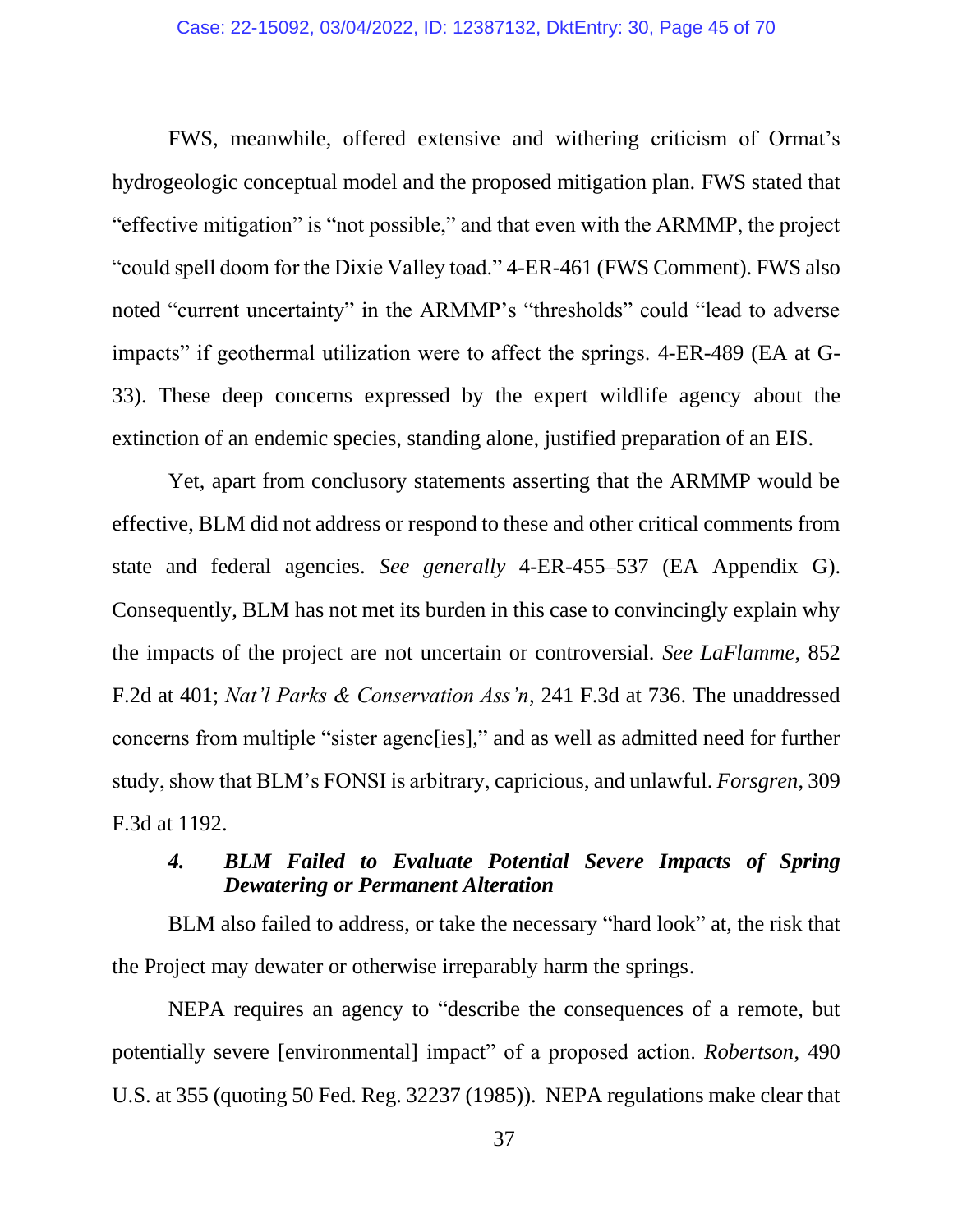#### Case: 22-15092, 03/04/2022, ID: 12387132, DktEntry: 30, Page 45 of 70

FWS, meanwhile, offered extensive and withering criticism of Ormat's hydrogeologic conceptual model and the proposed mitigation plan. FWS stated that "effective mitigation" is "not possible," and that even with the ARMMP, the project "could spell doom for the Dixie Valley toad." 4-ER-461 (FWS Comment). FWS also noted "current uncertainty" in the ARMMP's "thresholds" could "lead to adverse impacts" if geothermal utilization were to affect the springs. 4-ER-489 (EA at G-33). These deep concerns expressed by the expert wildlife agency about the extinction of an endemic species, standing alone, justified preparation of an EIS.

Yet, apart from conclusory statements asserting that the ARMMP would be effective, BLM did not address or respond to these and other critical comments from state and federal agencies. *See generally* 4-ER-455–537 (EA Appendix G). Consequently, BLM has not met its burden in this case to convincingly explain why the impacts of the project are not uncertain or controversial. *See LaFlamme*, 852 F.2d at 401; *Nat'l Parks & Conservation Ass'n*, 241 F.3d at 736. The unaddressed concerns from multiple "sister agenc[ies]," and as well as admitted need for further study, show that BLM's FONSI is arbitrary, capricious, and unlawful. *Forsgren*, 309 F.3d at 1192.

# *4. BLM Failed to Evaluate Potential Severe Impacts of Spring Dewatering or Permanent Alteration*

BLM also failed to address, or take the necessary "hard look" at, the risk that the Project may dewater or otherwise irreparably harm the springs.

NEPA requires an agency to "describe the consequences of a remote, but potentially severe [environmental] impact" of a proposed action. *Robertson*, 490 U.S. at 355 (quoting 50 Fed. Reg. 32237 (1985)). NEPA regulations make clear that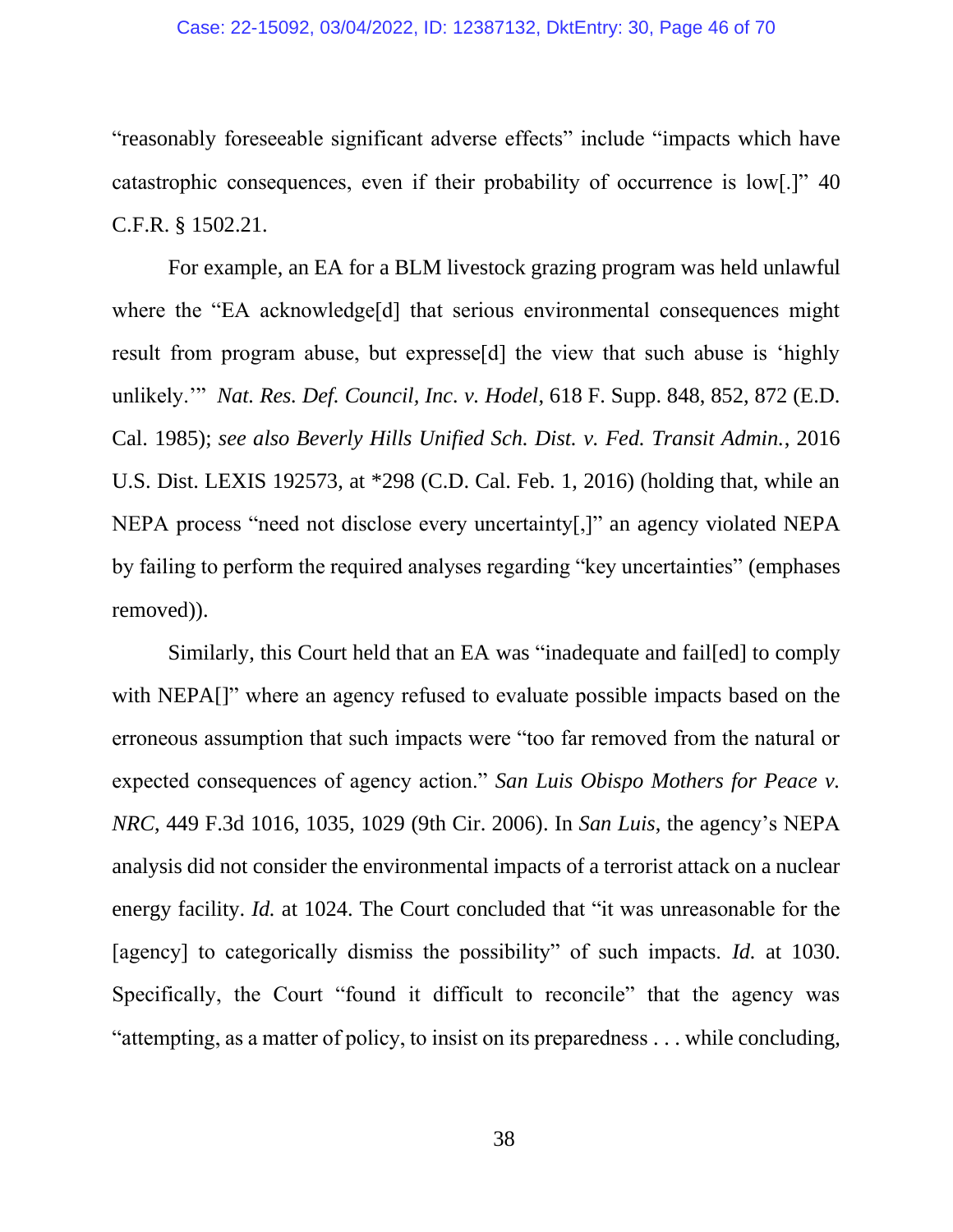#### Case: 22-15092, 03/04/2022, ID: 12387132, DktEntry: 30, Page 46 of 70

"reasonably foreseeable significant adverse effects" include "impacts which have catastrophic consequences, even if their probability of occurrence is low[.]" 40 C.F.R. § 1502.21.

For example, an EA for a BLM livestock grazing program was held unlawful where the "EA acknowledge<sup>[d]</sup> that serious environmental consequences might result from program abuse, but expresse[d] the view that such abuse is 'highly unlikely.'" *Nat. Res. Def. Council, Inc. v. Hodel*, 618 F. Supp. 848, 852, 872 (E.D. Cal. 1985); *see also Beverly Hills Unified Sch. Dist. v. Fed. Transit Admin.*, 2016 U.S. Dist. LEXIS 192573, at \*298 (C.D. Cal. Feb. 1, 2016) (holding that, while an NEPA process "need not disclose every uncertainty[,]" an agency violated NEPA by failing to perform the required analyses regarding "key uncertainties" (emphases removed)).

Similarly, this Court held that an EA was "inadequate and fail[ed] to comply with NEPA<sup> $\parallel$ "</sup> where an agency refused to evaluate possible impacts based on the erroneous assumption that such impacts were "too far removed from the natural or expected consequences of agency action." *San Luis Obispo Mothers for Peace v. NRC*, 449 F.3d 1016, 1035, 1029 (9th Cir. 2006). In *San Luis*, the agency's NEPA analysis did not consider the environmental impacts of a terrorist attack on a nuclear energy facility. *Id.* at 1024. The Court concluded that "it was unreasonable for the [agency] to categorically dismiss the possibility" of such impacts. *Id.* at 1030. Specifically, the Court "found it difficult to reconcile" that the agency was "attempting, as a matter of policy, to insist on its preparedness . . . while concluding,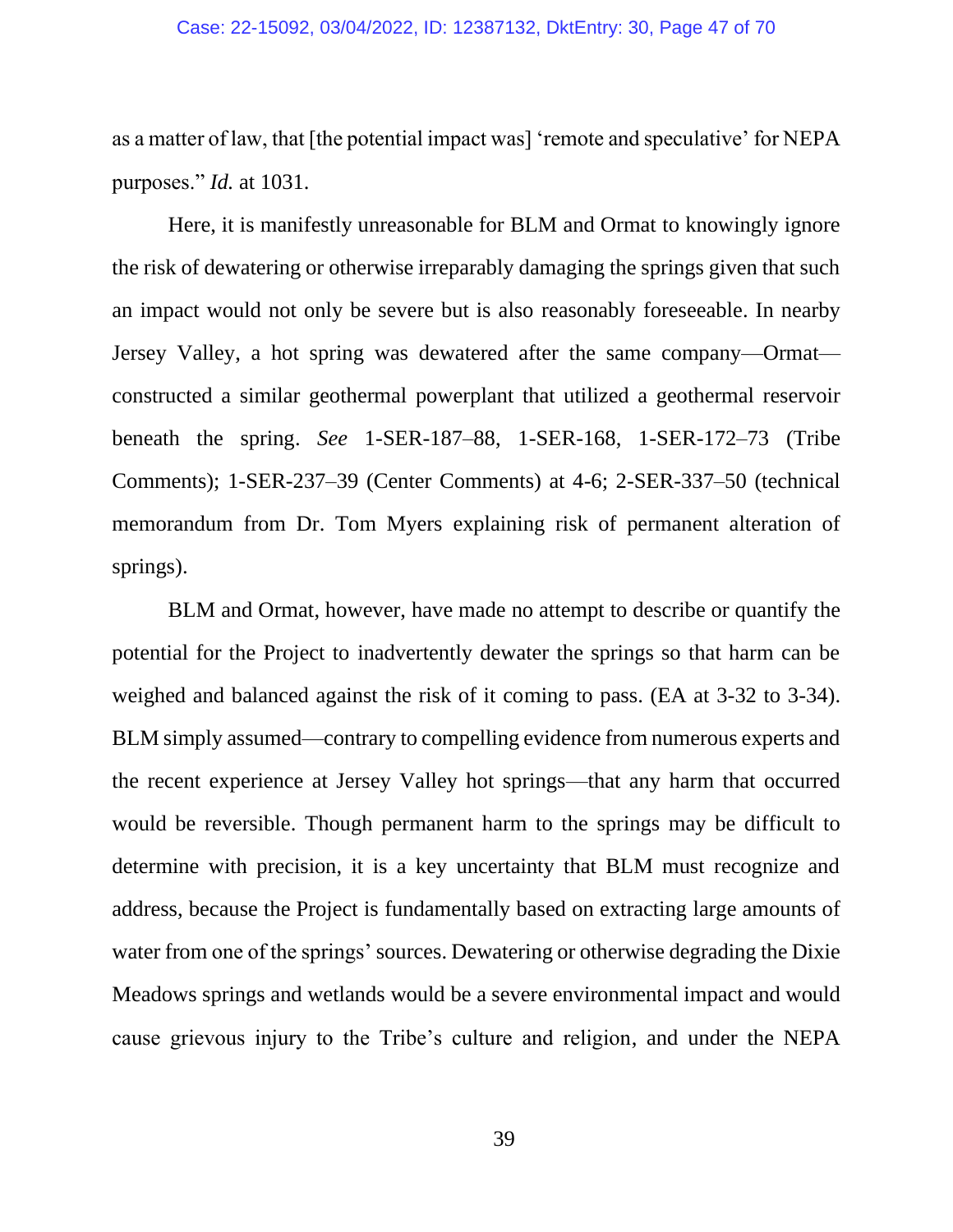as a matter of law, that [the potential impact was] 'remote and speculative' for NEPA purposes." *Id.* at 1031.

Here, it is manifestly unreasonable for BLM and Ormat to knowingly ignore the risk of dewatering or otherwise irreparably damaging the springs given that such an impact would not only be severe but is also reasonably foreseeable. In nearby Jersey Valley, a hot spring was dewatered after the same company—Ormat constructed a similar geothermal powerplant that utilized a geothermal reservoir beneath the spring. *See* 1-SER-187–88, 1-SER-168, 1-SER-172–73 (Tribe Comments); 1-SER-237–39 (Center Comments) at 4-6; 2-SER-337–50 (technical memorandum from Dr. Tom Myers explaining risk of permanent alteration of springs).

BLM and Ormat, however, have made no attempt to describe or quantify the potential for the Project to inadvertently dewater the springs so that harm can be weighed and balanced against the risk of it coming to pass. (EA at 3-32 to 3-34). BLM simply assumed—contrary to compelling evidence from numerous experts and the recent experience at Jersey Valley hot springs—that any harm that occurred would be reversible. Though permanent harm to the springs may be difficult to determine with precision, it is a key uncertainty that BLM must recognize and address, because the Project is fundamentally based on extracting large amounts of water from one of the springs' sources. Dewatering or otherwise degrading the Dixie Meadows springs and wetlands would be a severe environmental impact and would cause grievous injury to the Tribe's culture and religion, and under the NEPA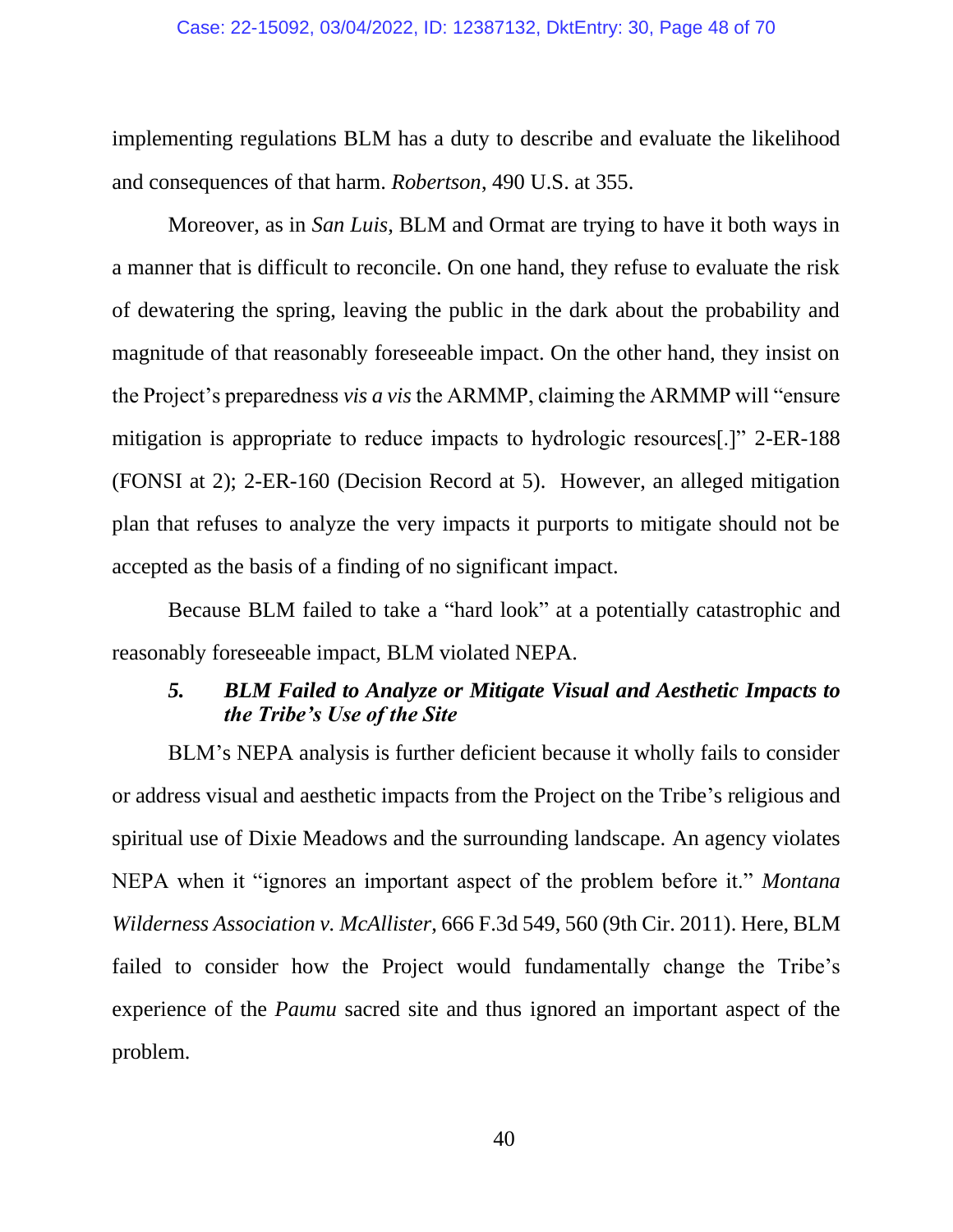#### Case: 22-15092, 03/04/2022, ID: 12387132, DktEntry: 30, Page 48 of 70

implementing regulations BLM has a duty to describe and evaluate the likelihood and consequences of that harm. *Robertson*, 490 U.S. at 355.

Moreover, as in *San Luis*, BLM and Ormat are trying to have it both ways in a manner that is difficult to reconcile. On one hand, they refuse to evaluate the risk of dewatering the spring, leaving the public in the dark about the probability and magnitude of that reasonably foreseeable impact. On the other hand, they insist on the Project's preparedness *vis a vis* the ARMMP, claiming the ARMMP will "ensure mitigation is appropriate to reduce impacts to hydrologic resources[.]" 2-ER-188 (FONSI at 2); 2-ER-160 (Decision Record at 5). However, an alleged mitigation plan that refuses to analyze the very impacts it purports to mitigate should not be accepted as the basis of a finding of no significant impact.

Because BLM failed to take a "hard look" at a potentially catastrophic and reasonably foreseeable impact, BLM violated NEPA.

### *5. BLM Failed to Analyze or Mitigate Visual and Aesthetic Impacts to the Tribe's Use of the Site*

BLM's NEPA analysis is further deficient because it wholly fails to consider or address visual and aesthetic impacts from the Project on the Tribe's religious and spiritual use of Dixie Meadows and the surrounding landscape. An agency violates NEPA when it "ignores an important aspect of the problem before it." *Montana Wilderness Association v. McAllister*, 666 F.3d 549, 560 (9th Cir. 2011). Here, BLM failed to consider how the Project would fundamentally change the Tribe's experience of the *Paumu* sacred site and thus ignored an important aspect of the problem.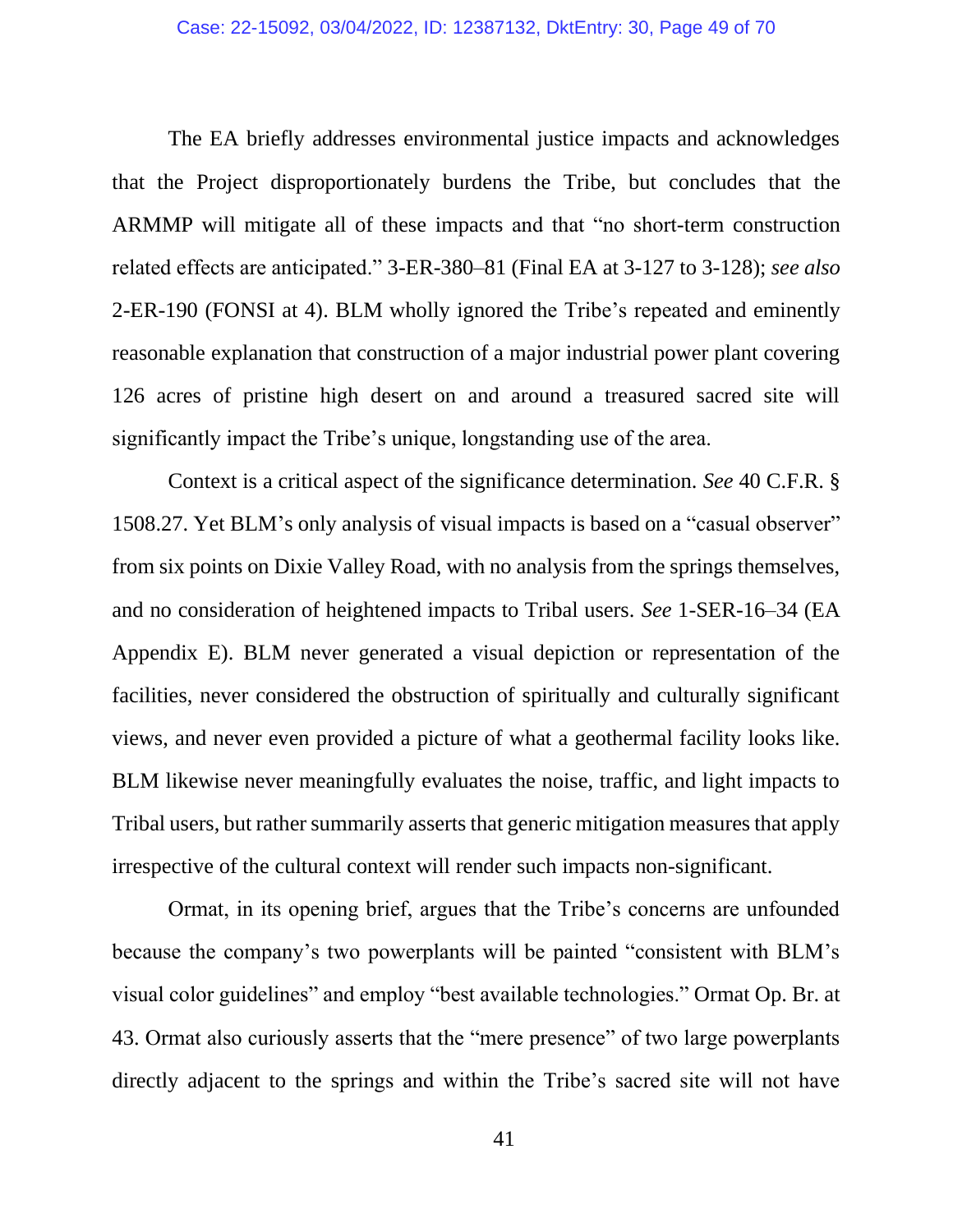The EA briefly addresses environmental justice impacts and acknowledges that the Project disproportionately burdens the Tribe, but concludes that the ARMMP will mitigate all of these impacts and that "no short-term construction related effects are anticipated." 3-ER-380–81 (Final EA at 3-127 to 3-128); *see also* 2-ER-190 (FONSI at 4). BLM wholly ignored the Tribe's repeated and eminently reasonable explanation that construction of a major industrial power plant covering 126 acres of pristine high desert on and around a treasured sacred site will significantly impact the Tribe's unique, longstanding use of the area.

Context is a critical aspect of the significance determination. *See* 40 C.F.R. § 1508.27. Yet BLM's only analysis of visual impacts is based on a "casual observer" from six points on Dixie Valley Road, with no analysis from the springs themselves, and no consideration of heightened impacts to Tribal users. *See* 1-SER-16–34 (EA Appendix E). BLM never generated a visual depiction or representation of the facilities, never considered the obstruction of spiritually and culturally significant views, and never even provided a picture of what a geothermal facility looks like. BLM likewise never meaningfully evaluates the noise, traffic, and light impacts to Tribal users, but rather summarily asserts that generic mitigation measures that apply irrespective of the cultural context will render such impacts non-significant.

Ormat, in its opening brief, argues that the Tribe's concerns are unfounded because the company's two powerplants will be painted "consistent with BLM's visual color guidelines" and employ "best available technologies." Ormat Op. Br. at 43. Ormat also curiously asserts that the "mere presence" of two large powerplants directly adjacent to the springs and within the Tribe's sacred site will not have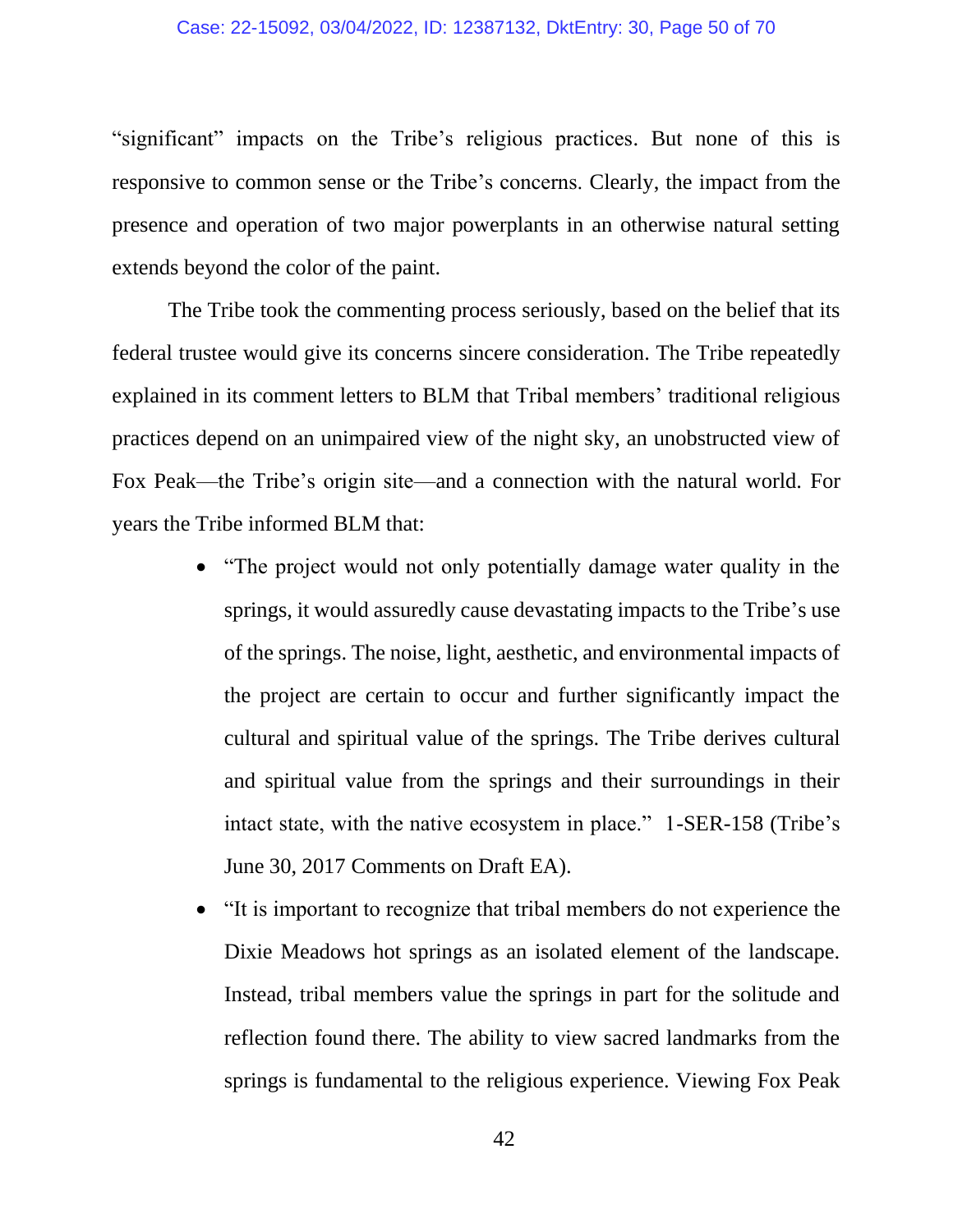#### Case: 22-15092, 03/04/2022, ID: 12387132, DktEntry: 30, Page 50 of 70

"significant" impacts on the Tribe's religious practices. But none of this is responsive to common sense or the Tribe's concerns. Clearly, the impact from the presence and operation of two major powerplants in an otherwise natural setting extends beyond the color of the paint.

The Tribe took the commenting process seriously, based on the belief that its federal trustee would give its concerns sincere consideration. The Tribe repeatedly explained in its comment letters to BLM that Tribal members' traditional religious practices depend on an unimpaired view of the night sky, an unobstructed view of Fox Peak—the Tribe's origin site—and a connection with the natural world. For years the Tribe informed BLM that:

- "The project would not only potentially damage water quality in the springs, it would assuredly cause devastating impacts to the Tribe's use of the springs. The noise, light, aesthetic, and environmental impacts of the project are certain to occur and further significantly impact the cultural and spiritual value of the springs. The Tribe derives cultural and spiritual value from the springs and their surroundings in their intact state, with the native ecosystem in place." 1-SER-158 (Tribe's June 30, 2017 Comments on Draft EA).
- "It is important to recognize that tribal members do not experience the Dixie Meadows hot springs as an isolated element of the landscape. Instead, tribal members value the springs in part for the solitude and reflection found there. The ability to view sacred landmarks from the springs is fundamental to the religious experience. Viewing Fox Peak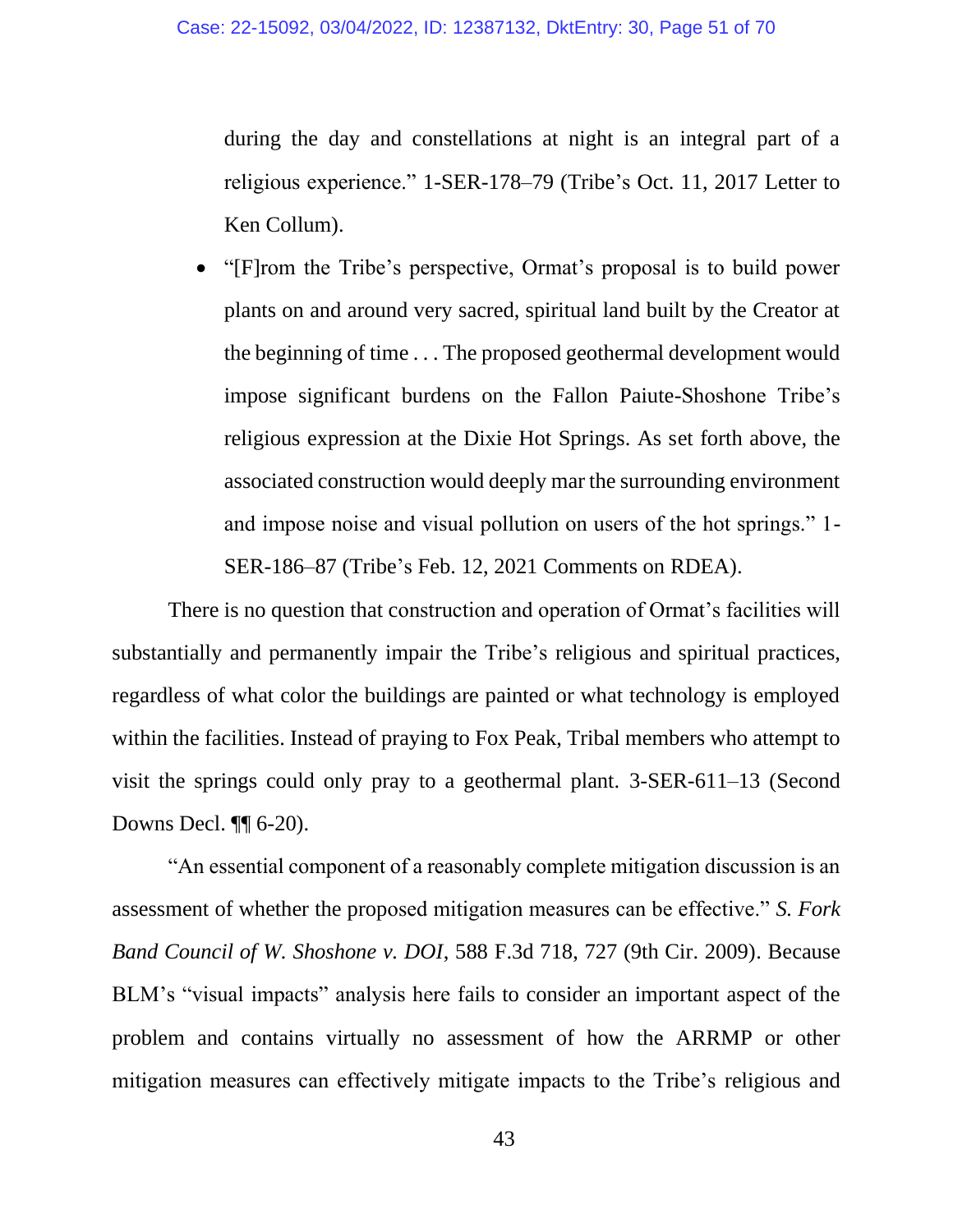during the day and constellations at night is an integral part of a religious experience." 1-SER-178–79 (Tribe's Oct. 11, 2017 Letter to Ken Collum).

• "[F]rom the Tribe's perspective, Ormat's proposal is to build power plants on and around very sacred, spiritual land built by the Creator at the beginning of time . . . The proposed geothermal development would impose significant burdens on the Fallon Paiute-Shoshone Tribe's religious expression at the Dixie Hot Springs. As set forth above, the associated construction would deeply mar the surrounding environment and impose noise and visual pollution on users of the hot springs." 1- SER-186–87 (Tribe's Feb. 12, 2021 Comments on RDEA).

There is no question that construction and operation of Ormat's facilities will substantially and permanently impair the Tribe's religious and spiritual practices, regardless of what color the buildings are painted or what technology is employed within the facilities. Instead of praying to Fox Peak, Tribal members who attempt to visit the springs could only pray to a geothermal plant. 3-SER-611–13 (Second Downs Decl. ¶¶ 6-20).

"An essential component of a reasonably complete mitigation discussion is an assessment of whether the proposed mitigation measures can be effective." *S. Fork Band Council of W. Shoshone v. DOI*, 588 F.3d 718, 727 (9th Cir. 2009). Because BLM's "visual impacts" analysis here fails to consider an important aspect of the problem and contains virtually no assessment of how the ARRMP or other mitigation measures can effectively mitigate impacts to the Tribe's religious and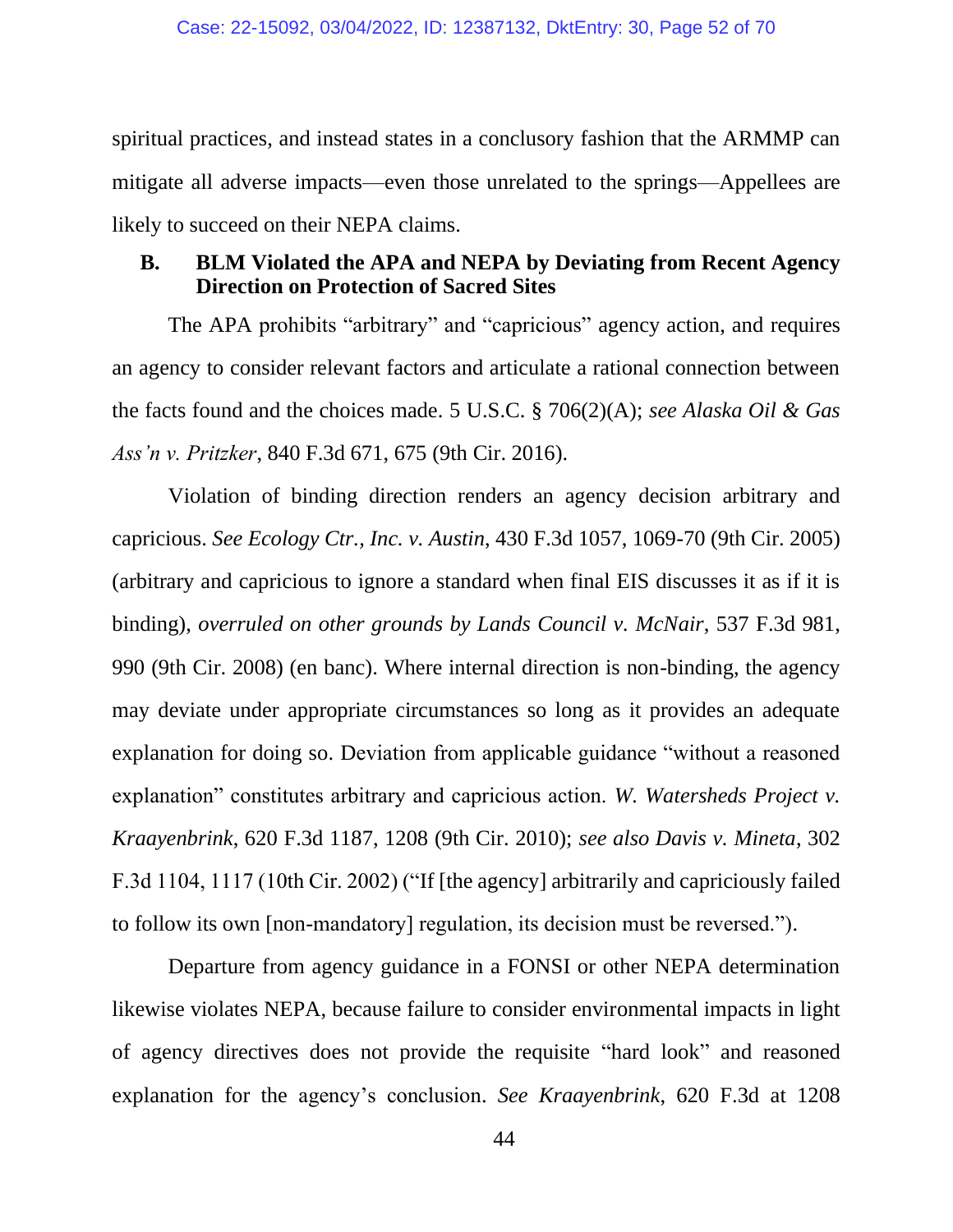spiritual practices, and instead states in a conclusory fashion that the ARMMP can mitigate all adverse impacts—even those unrelated to the springs—Appellees are likely to succeed on their NEPA claims.

### **B. BLM Violated the APA and NEPA by Deviating from Recent Agency Direction on Protection of Sacred Sites**

The APA prohibits "arbitrary" and "capricious" agency action, and requires an agency to consider relevant factors and articulate a rational connection between the facts found and the choices made. 5 U.S.C. § 706(2)(A); *see Alaska Oil & Gas Ass'n v. Pritzker*, 840 F.3d 671, 675 (9th Cir. 2016).

Violation of binding direction renders an agency decision arbitrary and capricious. *See Ecology Ctr., Inc. v. Austin*, 430 F.3d 1057, 1069-70 (9th Cir. 2005) (arbitrary and capricious to ignore a standard when final EIS discusses it as if it is binding), *overruled on other grounds by Lands Council v. McNair*, 537 F.3d 981, 990 (9th Cir. 2008) (en banc). Where internal direction is non-binding, the agency may deviate under appropriate circumstances so long as it provides an adequate explanation for doing so. Deviation from applicable guidance "without a reasoned explanation" constitutes arbitrary and capricious action. *W. Watersheds Project v. Kraayenbrink*, 620 F.3d 1187, 1208 (9th Cir. 2010); *see also Davis v. Mineta*, 302 F.3d 1104, 1117 (10th Cir. 2002) ("If [the agency] arbitrarily and capriciously failed to follow its own [non-mandatory] regulation, its decision must be reversed.").

Departure from agency guidance in a FONSI or other NEPA determination likewise violates NEPA, because failure to consider environmental impacts in light of agency directives does not provide the requisite "hard look" and reasoned explanation for the agency's conclusion. *See Kraayenbrink*, 620 F.3d at 1208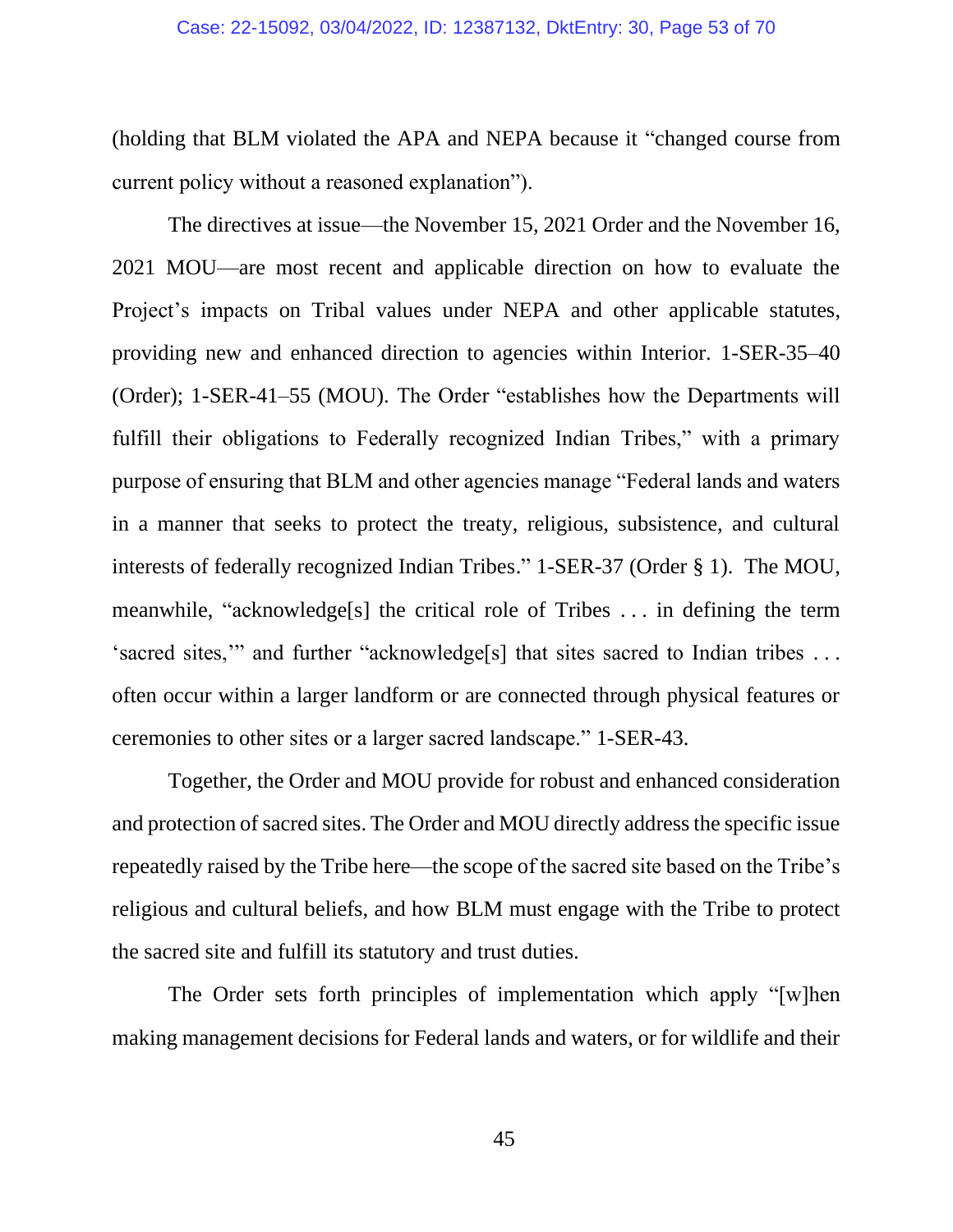(holding that BLM violated the APA and NEPA because it "changed course from current policy without a reasoned explanation").

The directives at issue—the November 15, 2021 Order and the November 16, 2021 MOU—are most recent and applicable direction on how to evaluate the Project's impacts on Tribal values under NEPA and other applicable statutes, providing new and enhanced direction to agencies within Interior. 1-SER-35–40 (Order); 1-SER-41–55 (MOU). The Order "establishes how the Departments will fulfill their obligations to Federally recognized Indian Tribes," with a primary purpose of ensuring that BLM and other agencies manage "Federal lands and waters in a manner that seeks to protect the treaty, religious, subsistence, and cultural interests of federally recognized Indian Tribes." 1-SER-37 (Order § 1). The MOU, meanwhile, "acknowledge[s] the critical role of Tribes . . . in defining the term 'sacred sites,'" and further "acknowledge[s] that sites sacred to Indian tribes . . . often occur within a larger landform or are connected through physical features or ceremonies to other sites or a larger sacred landscape." 1-SER-43.

Together, the Order and MOU provide for robust and enhanced consideration and protection of sacred sites. The Order and MOU directly address the specific issue repeatedly raised by the Tribe here—the scope of the sacred site based on the Tribe's religious and cultural beliefs, and how BLM must engage with the Tribe to protect the sacred site and fulfill its statutory and trust duties.

The Order sets forth principles of implementation which apply "[w]hen making management decisions for Federal lands and waters, or for wildlife and their

45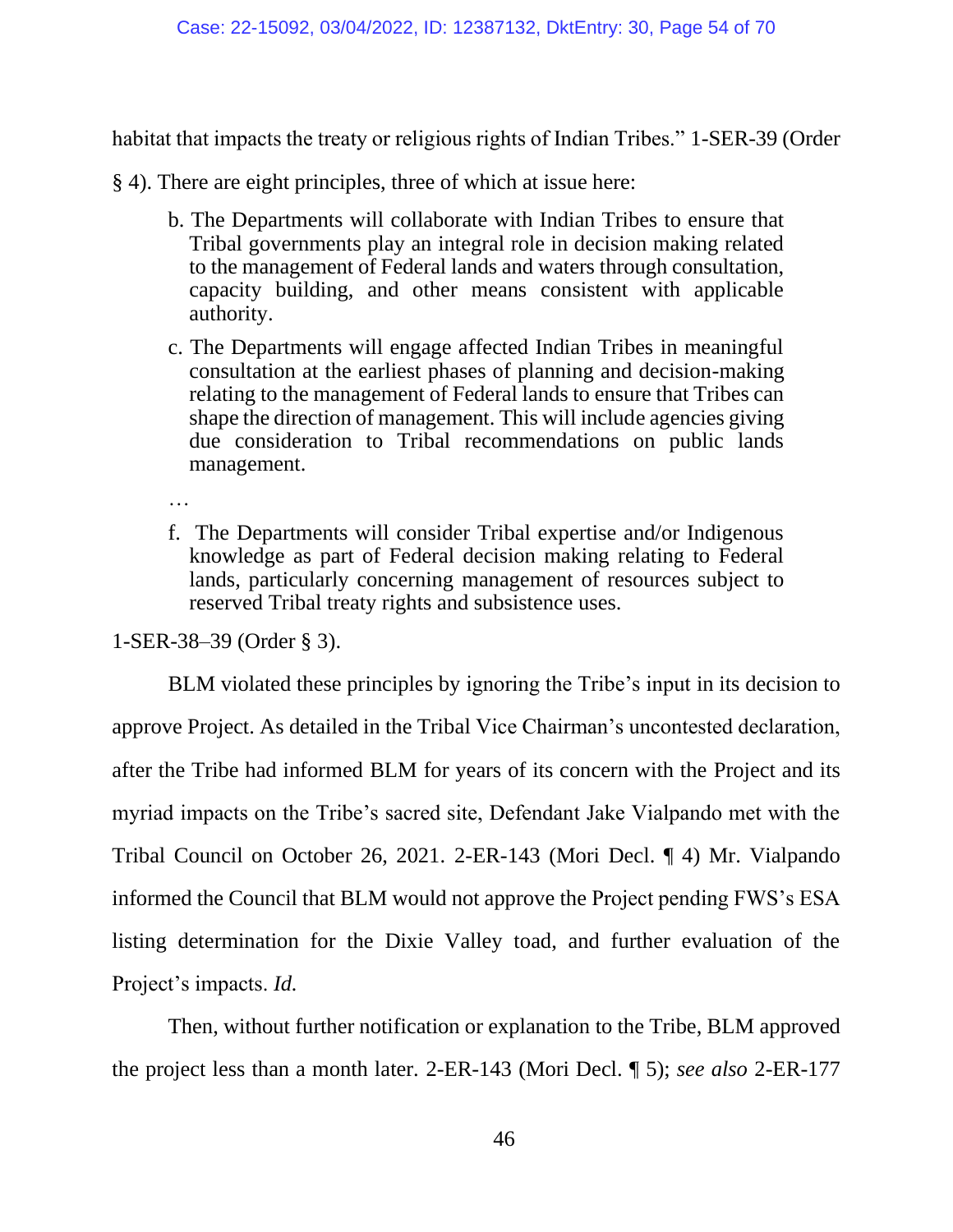habitat that impacts the treaty or religious rights of Indian Tribes." 1-SER-39 (Order

§ 4). There are eight principles, three of which at issue here:

- b. The Departments will collaborate with Indian Tribes to ensure that Tribal governments play an integral role in decision making related to the management of Federal lands and waters through consultation, capacity building, and other means consistent with applicable authority.
- c. The Departments will engage affected Indian Tribes in meaningful consultation at the earliest phases of planning and decision-making relating to the management of Federal lands to ensure that Tribes can shape the direction of management. This will include agencies giving due consideration to Tribal recommendations on public lands management.

…

f. The Departments will consider Tribal expertise and/or Indigenous knowledge as part of Federal decision making relating to Federal lands, particularly concerning management of resources subject to reserved Tribal treaty rights and subsistence uses.

1-SER-38–39 (Order § 3).

BLM violated these principles by ignoring the Tribe's input in its decision to approve Project. As detailed in the Tribal Vice Chairman's uncontested declaration, after the Tribe had informed BLM for years of its concern with the Project and its myriad impacts on the Tribe's sacred site, Defendant Jake Vialpando met with the Tribal Council on October 26, 2021. 2-ER-143 (Mori Decl. ¶ 4) Mr. Vialpando informed the Council that BLM would not approve the Project pending FWS's ESA listing determination for the Dixie Valley toad, and further evaluation of the Project's impacts. *Id.*

Then, without further notification or explanation to the Tribe, BLM approved the project less than a month later. 2-ER-143 (Mori Decl. ¶ 5); *see also* 2-ER-177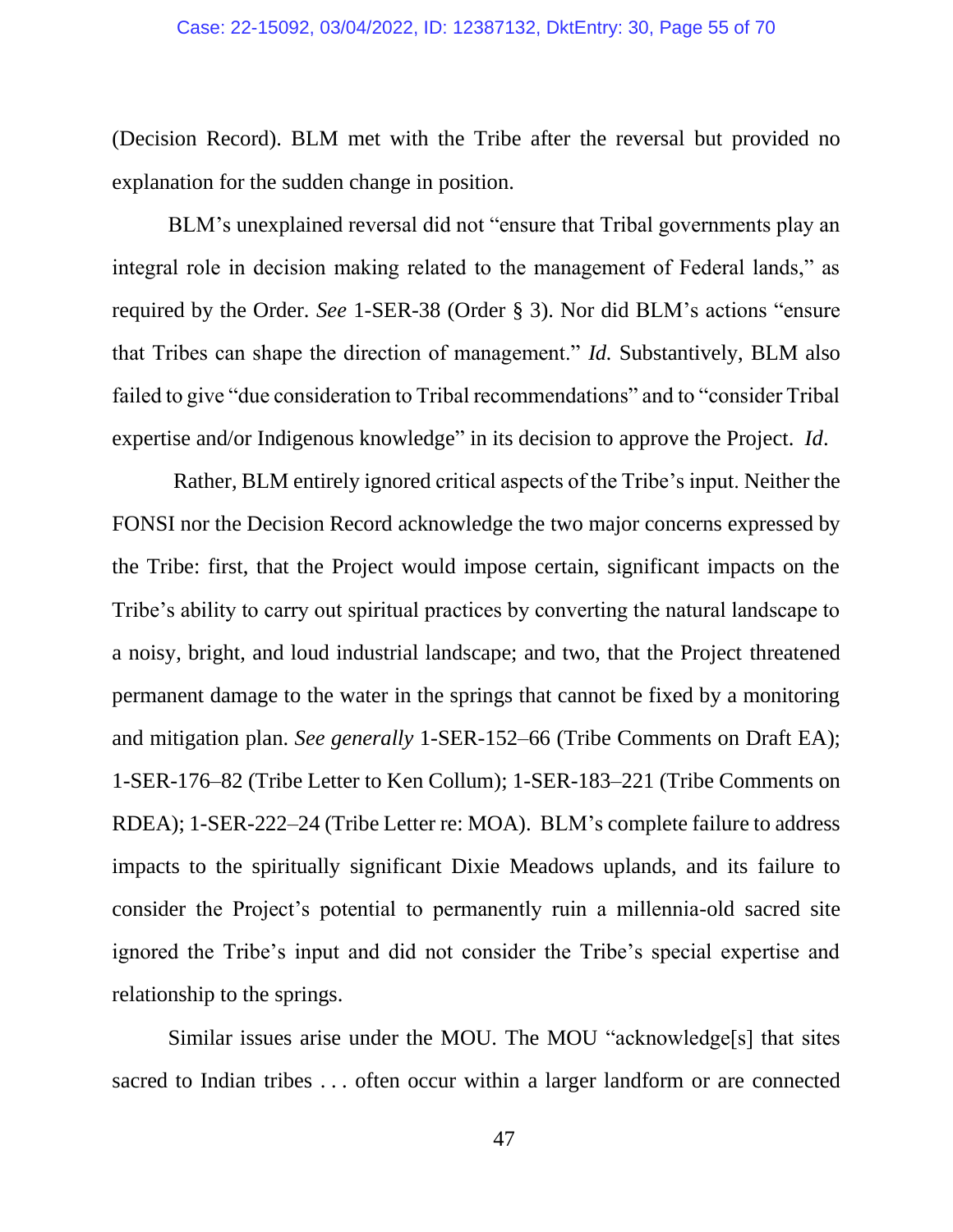(Decision Record). BLM met with the Tribe after the reversal but provided no explanation for the sudden change in position.

BLM's unexplained reversal did not "ensure that Tribal governments play an integral role in decision making related to the management of Federal lands," as required by the Order. *See* 1-SER-38 (Order § 3). Nor did BLM's actions "ensure that Tribes can shape the direction of management." *Id.* Substantively, BLM also failed to give "due consideration to Tribal recommendations" and to "consider Tribal expertise and/or Indigenous knowledge" in its decision to approve the Project. *Id*.

Rather, BLM entirely ignored critical aspects of the Tribe's input. Neither the FONSI nor the Decision Record acknowledge the two major concerns expressed by the Tribe: first, that the Project would impose certain, significant impacts on the Tribe's ability to carry out spiritual practices by converting the natural landscape to a noisy, bright, and loud industrial landscape; and two, that the Project threatened permanent damage to the water in the springs that cannot be fixed by a monitoring and mitigation plan. *See generally* 1-SER-152–66 (Tribe Comments on Draft EA); 1-SER-176–82 (Tribe Letter to Ken Collum); 1-SER-183–221 (Tribe Comments on RDEA); 1-SER-222–24 (Tribe Letter re: MOA). BLM's complete failure to address impacts to the spiritually significant Dixie Meadows uplands, and its failure to consider the Project's potential to permanently ruin a millennia-old sacred site ignored the Tribe's input and did not consider the Tribe's special expertise and relationship to the springs.

Similar issues arise under the MOU. The MOU "acknowledge[s] that sites sacred to Indian tribes . . . often occur within a larger landform or are connected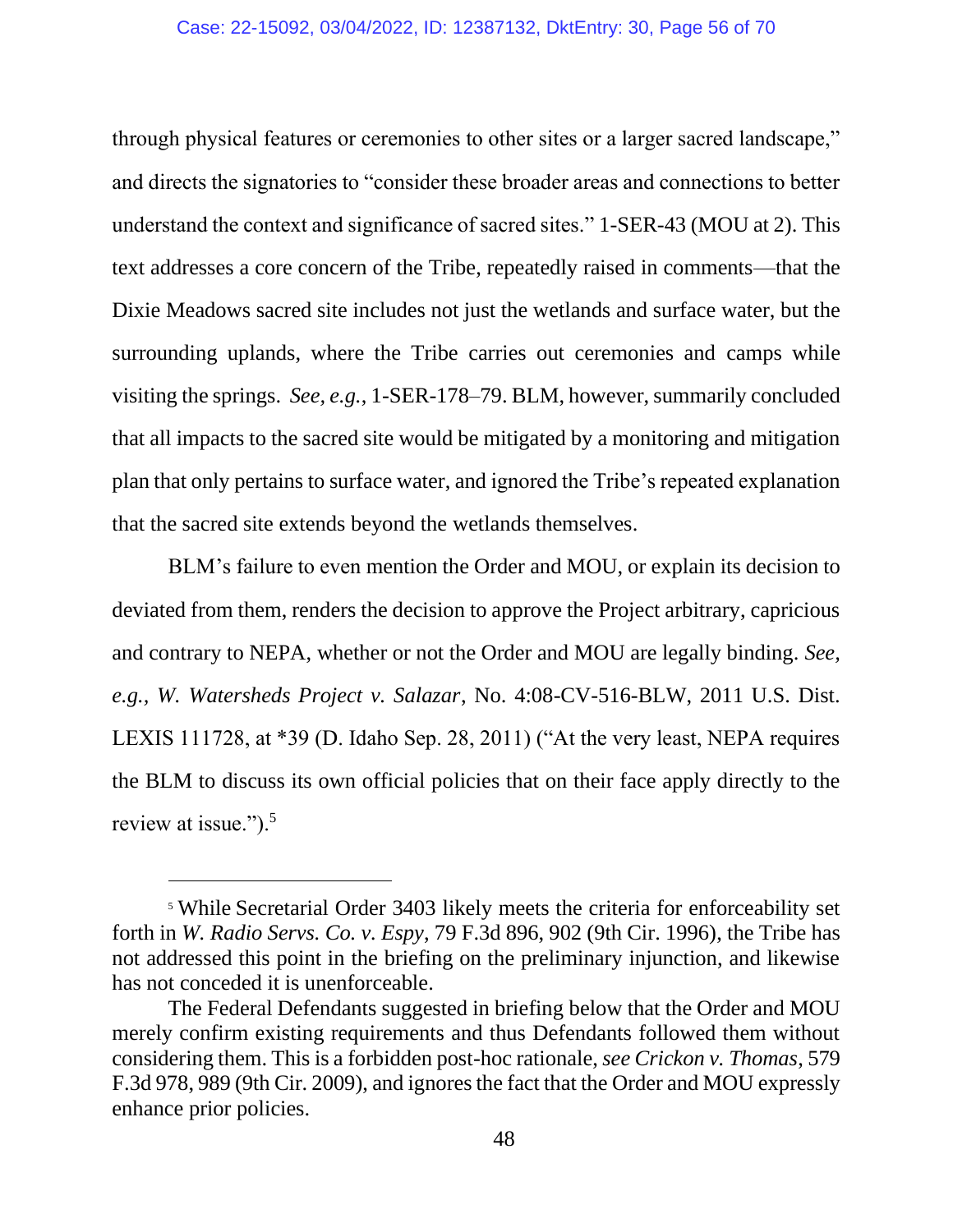through physical features or ceremonies to other sites or a larger sacred landscape," and directs the signatories to "consider these broader areas and connections to better understand the context and significance of sacred sites." 1-SER-43 (MOU at 2). This text addresses a core concern of the Tribe, repeatedly raised in comments—that the Dixie Meadows sacred site includes not just the wetlands and surface water, but the surrounding uplands, where the Tribe carries out ceremonies and camps while visiting the springs. *See, e.g.*, 1-SER-178–79. BLM, however, summarily concluded that all impacts to the sacred site would be mitigated by a monitoring and mitigation plan that only pertains to surface water, and ignored the Tribe's repeated explanation that the sacred site extends beyond the wetlands themselves.

BLM's failure to even mention the Order and MOU, or explain its decision to deviated from them, renders the decision to approve the Project arbitrary, capricious and contrary to NEPA, whether or not the Order and MOU are legally binding. *See, e.g., W. Watersheds Project v. Salazar*, No. 4:08-CV-516-BLW, 2011 U.S. Dist. LEXIS 111728, at \*39 (D. Idaho Sep. 28, 2011) ("At the very least, NEPA requires the BLM to discuss its own official policies that on their face apply directly to the review at issue.").<sup>5</sup>

<sup>5</sup> While Secretarial Order 3403 likely meets the criteria for enforceability set forth in *W. Radio Servs. Co. v. Espy*, 79 F.3d 896, 902 (9th Cir. 1996), the Tribe has not addressed this point in the briefing on the preliminary injunction, and likewise has not conceded it is unenforceable.

The Federal Defendants suggested in briefing below that the Order and MOU merely confirm existing requirements and thus Defendants followed them without considering them. This is a forbidden post-hoc rationale, *see Crickon v. Thomas*, 579 F.3d 978, 989 (9th Cir. 2009), and ignores the fact that the Order and MOU expressly enhance prior policies.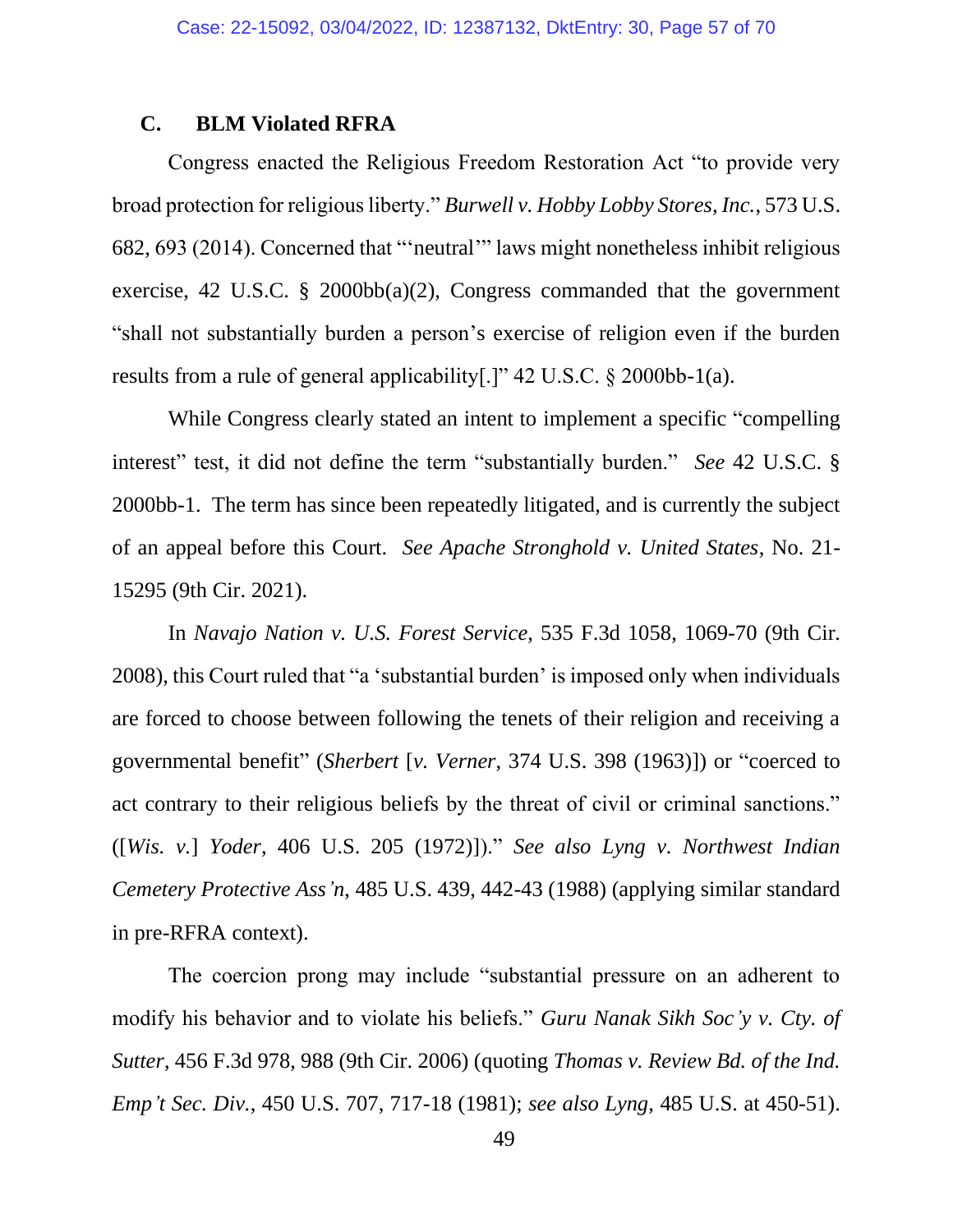### **C. BLM Violated RFRA**

Congress enacted the Religious Freedom Restoration Act "to provide very broad protection for religious liberty." *Burwell v. Hobby Lobby Stores, Inc.*, 573 U.S. 682, 693 (2014). Concerned that "'neutral'" laws might nonetheless inhibit religious exercise, 42 U.S.C. § 2000bb(a)(2), Congress commanded that the government "shall not substantially burden a person's exercise of religion even if the burden results from a rule of general applicability[.]" 42 U.S.C. § 2000bb-1(a).

While Congress clearly stated an intent to implement a specific "compelling interest" test, it did not define the term "substantially burden." *See* 42 U.S.C. § 2000bb-1. The term has since been repeatedly litigated, and is currently the subject of an appeal before this Court. *See Apache Stronghold v. United States*, No. 21- 15295 (9th Cir. 2021).

In *Navajo Nation v. U.S. Forest Service*, 535 F.3d 1058, 1069-70 (9th Cir. 2008), this Court ruled that "a 'substantial burden' is imposed only when individuals are forced to choose between following the tenets of their religion and receiving a governmental benefit" (*Sherbert* [*v. Verner*, 374 U.S. 398 (1963)]) or "coerced to act contrary to their religious beliefs by the threat of civil or criminal sanctions." ([*Wis. v.*] *Yoder*, 406 U.S. 205 (1972)])." *See also Lyng v. Northwest Indian Cemetery Protective Ass'n*, 485 U.S. 439, 442-43 (1988) (applying similar standard in pre-RFRA context).

The coercion prong may include "substantial pressure on an adherent to modify his behavior and to violate his beliefs." *Guru Nanak Sikh Soc'y v. Cty. of Sutter*, 456 F.3d 978, 988 (9th Cir. 2006) (quoting *Thomas v. Review Bd. of the Ind. Emp't Sec. Div.*, 450 U.S. 707, 717-18 (1981); *see also Lyng*, 485 U.S. at 450-51).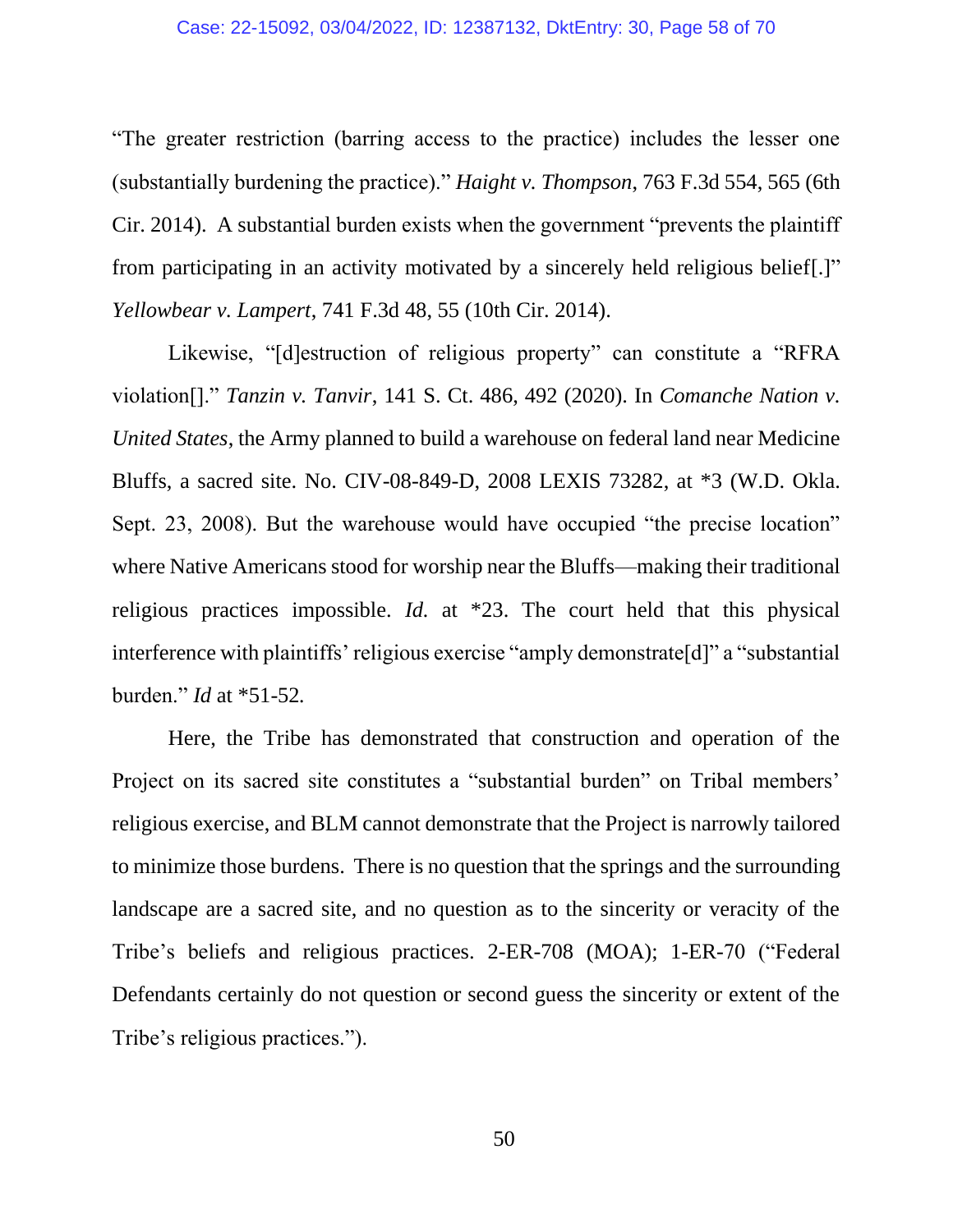"The greater restriction (barring access to the practice) includes the lesser one (substantially burdening the practice)." *Haight v. Thompson*, 763 F.3d 554, 565 (6th Cir. 2014). A substantial burden exists when the government "prevents the plaintiff from participating in an activity motivated by a sincerely held religious belief[.]" *Yellowbear v. Lampert*, 741 F.3d 48, 55 (10th Cir. 2014).

Likewise, "[d]estruction of religious property" can constitute a "RFRA violation[]." *Tanzin v. Tanvir*, 141 S. Ct. 486, 492 (2020). In *Comanche Nation v. United States*, the Army planned to build a warehouse on federal land near Medicine Bluffs, a sacred site. No. CIV-08-849-D, 2008 LEXIS 73282, at \*3 (W.D. Okla. Sept. 23, 2008). But the warehouse would have occupied "the precise location" where Native Americans stood for worship near the Bluffs—making their traditional religious practices impossible. *Id.* at \*23. The court held that this physical interference with plaintiffs' religious exercise "amply demonstrate[d]" a "substantial burden." *Id* at \*51-52*.*

Here, the Tribe has demonstrated that construction and operation of the Project on its sacred site constitutes a "substantial burden" on Tribal members' religious exercise, and BLM cannot demonstrate that the Project is narrowly tailored to minimize those burdens. There is no question that the springs and the surrounding landscape are a sacred site, and no question as to the sincerity or veracity of the Tribe's beliefs and religious practices. 2-ER-708 (MOA); 1-ER-70 ("Federal Defendants certainly do not question or second guess the sincerity or extent of the Tribe's religious practices.").

50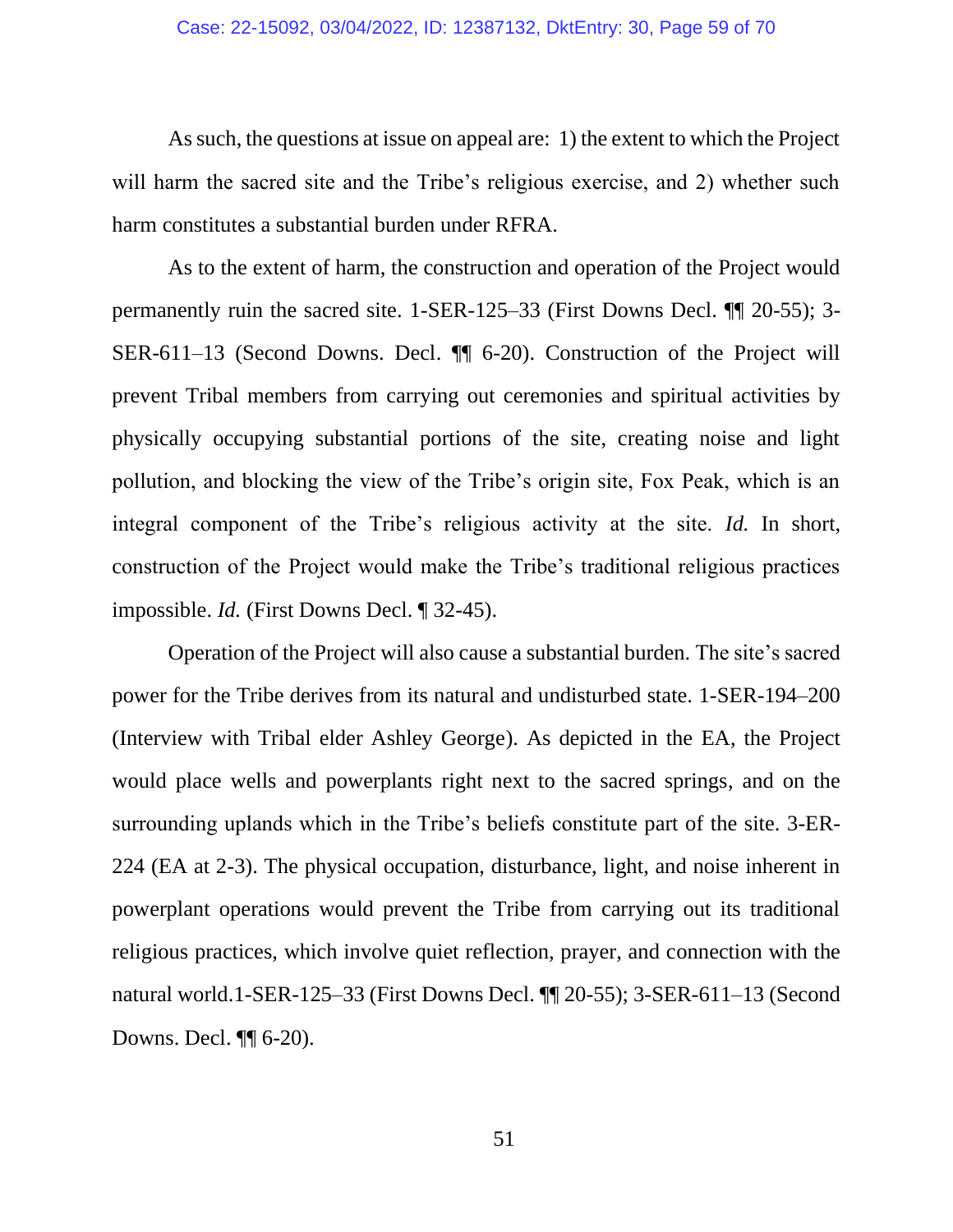As such, the questions at issue on appeal are: 1) the extent to which the Project will harm the sacred site and the Tribe's religious exercise, and 2) whether such harm constitutes a substantial burden under RFRA.

As to the extent of harm, the construction and operation of the Project would permanently ruin the sacred site. 1-SER-125–33 (First Downs Decl. ¶¶ 20-55); 3- SER-611–13 (Second Downs. Decl. ¶¶ 6-20). Construction of the Project will prevent Tribal members from carrying out ceremonies and spiritual activities by physically occupying substantial portions of the site, creating noise and light pollution, and blocking the view of the Tribe's origin site, Fox Peak, which is an integral component of the Tribe's religious activity at the site. *Id.* In short, construction of the Project would make the Tribe's traditional religious practices impossible. *Id.* (First Downs Decl. ¶ 32-45).

Operation of the Project will also cause a substantial burden. The site's sacred power for the Tribe derives from its natural and undisturbed state. 1-SER-194–200 (Interview with Tribal elder Ashley George). As depicted in the EA, the Project would place wells and powerplants right next to the sacred springs, and on the surrounding uplands which in the Tribe's beliefs constitute part of the site. 3-ER-224 (EA at 2-3). The physical occupation, disturbance, light, and noise inherent in powerplant operations would prevent the Tribe from carrying out its traditional religious practices, which involve quiet reflection, prayer, and connection with the natural world.1-SER-125–33 (First Downs Decl. ¶¶ 20-55); 3-SER-611–13 (Second Downs. Decl. ¶¶ 6-20).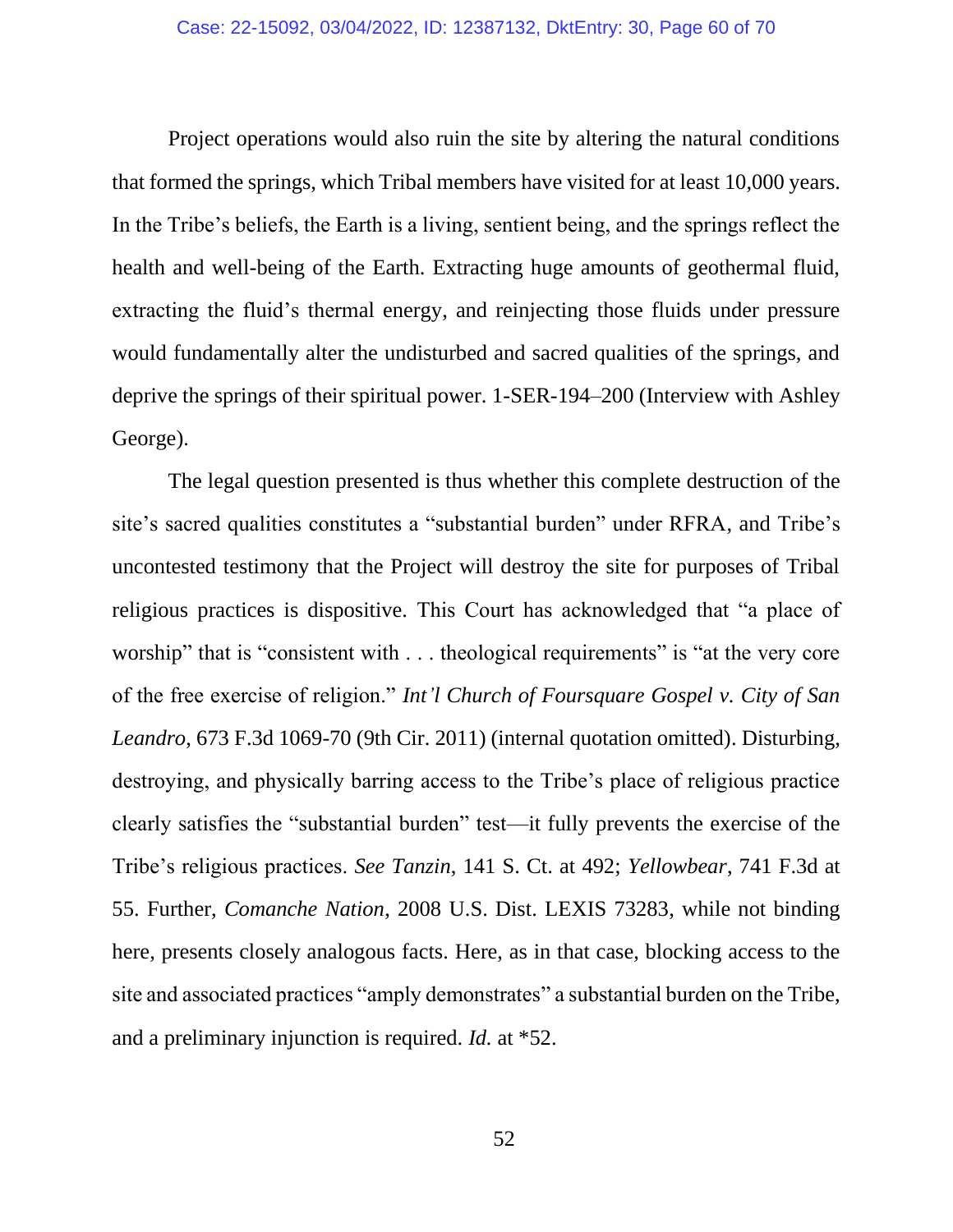Project operations would also ruin the site by altering the natural conditions that formed the springs, which Tribal members have visited for at least 10,000 years. In the Tribe's beliefs, the Earth is a living, sentient being, and the springs reflect the health and well-being of the Earth. Extracting huge amounts of geothermal fluid, extracting the fluid's thermal energy, and reinjecting those fluids under pressure would fundamentally alter the undisturbed and sacred qualities of the springs, and deprive the springs of their spiritual power. 1-SER-194–200 (Interview with Ashley George).

The legal question presented is thus whether this complete destruction of the site's sacred qualities constitutes a "substantial burden" under RFRA, and Tribe's uncontested testimony that the Project will destroy the site for purposes of Tribal religious practices is dispositive. This Court has acknowledged that "a place of worship" that is "consistent with . . . theological requirements" is "at the very core of the free exercise of religion." *Int'l Church of Foursquare Gospel v. City of San Leandro*, 673 F.3d 1069-70 (9th Cir. 2011) (internal quotation omitted). Disturbing, destroying, and physically barring access to the Tribe's place of religious practice clearly satisfies the "substantial burden" test—it fully prevents the exercise of the Tribe's religious practices. *See Tanzin*, 141 S. Ct. at 492; *Yellowbear*, 741 F.3d at 55. Further, *Comanche Nation*, 2008 U.S. Dist. LEXIS 73283, while not binding here, presents closely analogous facts. Here, as in that case, blocking access to the site and associated practices "amply demonstrates" a substantial burden on the Tribe, and a preliminary injunction is required. *Id.* at \*52.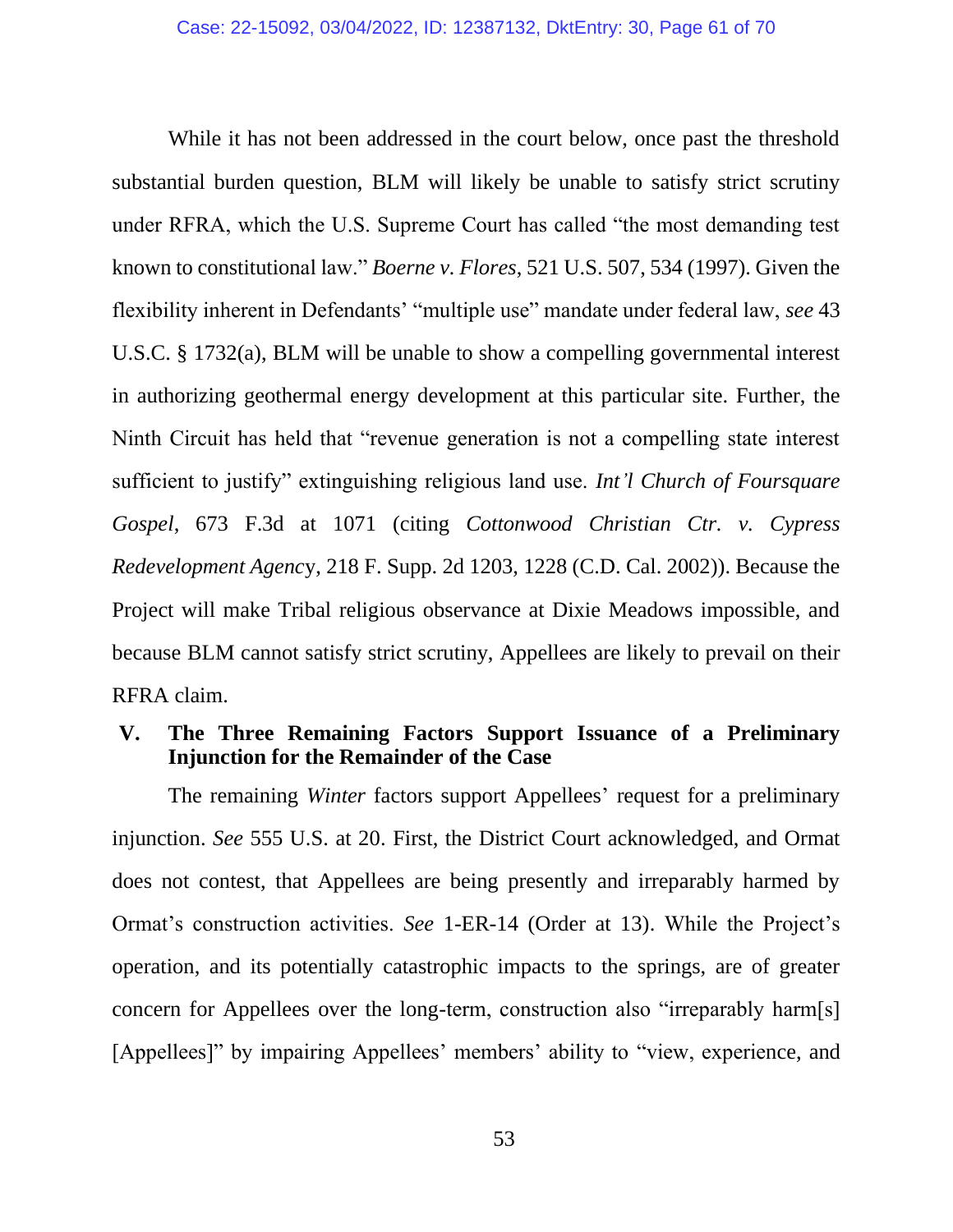While it has not been addressed in the court below, once past the threshold substantial burden question, BLM will likely be unable to satisfy strict scrutiny under RFRA, which the U.S. Supreme Court has called "the most demanding test known to constitutional law." *Boerne v. Flores*, 521 U.S. 507, 534 (1997). Given the flexibility inherent in Defendants' "multiple use" mandate under federal law, *see* 43 U.S.C. § 1732(a), BLM will be unable to show a compelling governmental interest in authorizing geothermal energy development at this particular site. Further, the Ninth Circuit has held that "revenue generation is not a compelling state interest sufficient to justify" extinguishing religious land use. *Int'l Church of Foursquare Gospel*, 673 F.3d at 1071 (citing *Cottonwood Christian Ctr. v. Cypress Redevelopment Agenc*y, 218 F. Supp. 2d 1203, 1228 (C.D. Cal. 2002)). Because the Project will make Tribal religious observance at Dixie Meadows impossible, and because BLM cannot satisfy strict scrutiny, Appellees are likely to prevail on their RFRA claim.

# **V. The Three Remaining Factors Support Issuance of a Preliminary Injunction for the Remainder of the Case**

The remaining *Winter* factors support Appellees' request for a preliminary injunction. *See* 555 U.S. at 20. First, the District Court acknowledged, and Ormat does not contest, that Appellees are being presently and irreparably harmed by Ormat's construction activities. *See* 1-ER-14 (Order at 13). While the Project's operation, and its potentially catastrophic impacts to the springs, are of greater concern for Appellees over the long-term, construction also "irreparably harm[s] [Appellees]" by impairing Appellees' members' ability to "view, experience, and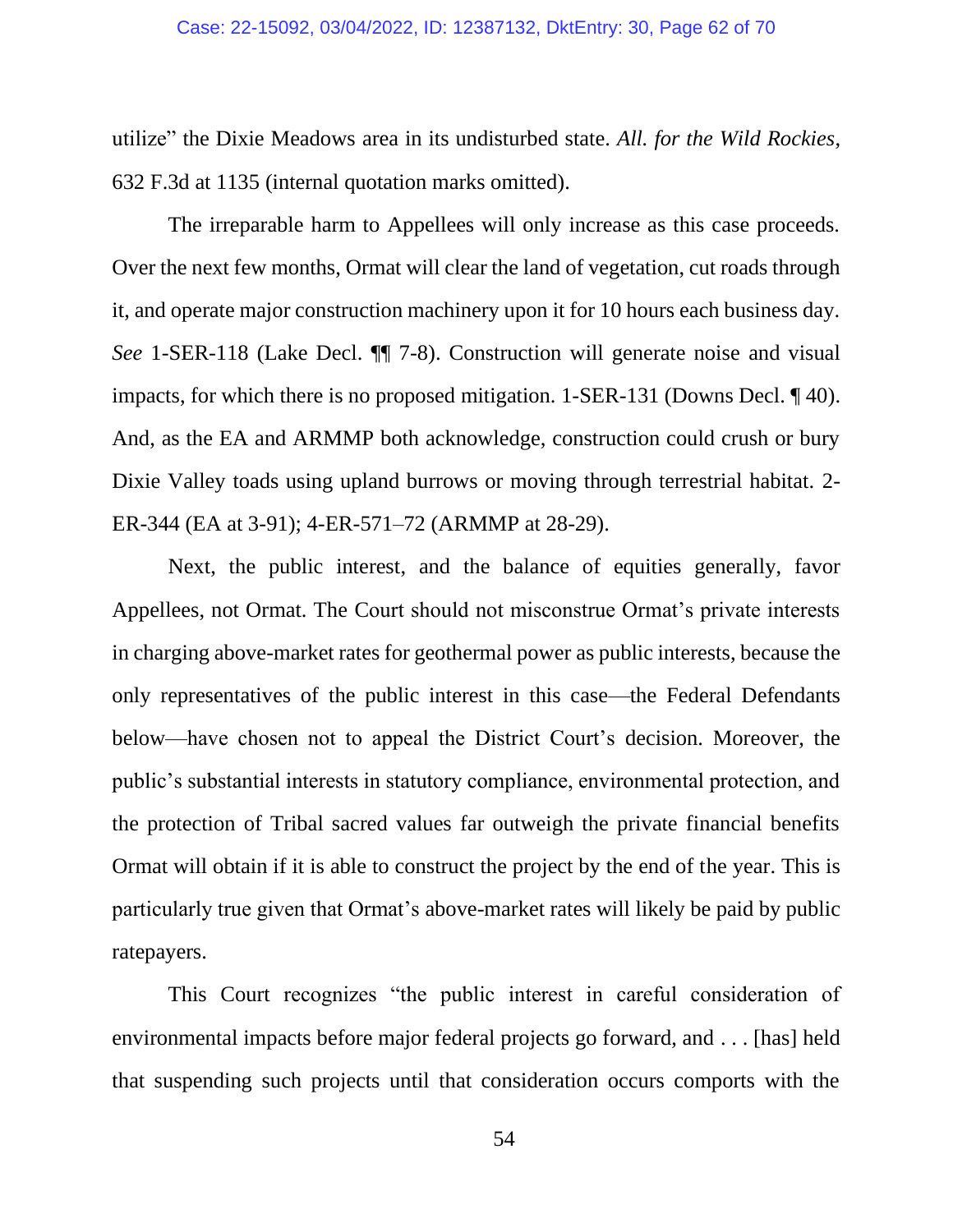utilize" the Dixie Meadows area in its undisturbed state. *All. for the Wild Rockies*, 632 F.3d at 1135 (internal quotation marks omitted).

The irreparable harm to Appellees will only increase as this case proceeds. Over the next few months, Ormat will clear the land of vegetation, cut roads through it, and operate major construction machinery upon it for 10 hours each business day. *See* 1-SER-118 (Lake Decl. ¶¶ 7-8). Construction will generate noise and visual impacts, for which there is no proposed mitigation. 1-SER-131 (Downs Decl. ¶ 40). And, as the EA and ARMMP both acknowledge, construction could crush or bury Dixie Valley toads using upland burrows or moving through terrestrial habitat. 2- ER-344 (EA at 3-91); 4-ER-571–72 (ARMMP at 28-29).

Next, the public interest, and the balance of equities generally, favor Appellees, not Ormat. The Court should not misconstrue Ormat's private interests in charging above-market rates for geothermal power as public interests, because the only representatives of the public interest in this case—the Federal Defendants below—have chosen not to appeal the District Court's decision. Moreover, the public's substantial interests in statutory compliance, environmental protection, and the protection of Tribal sacred values far outweigh the private financial benefits Ormat will obtain if it is able to construct the project by the end of the year. This is particularly true given that Ormat's above-market rates will likely be paid by public ratepayers.

This Court recognizes "the public interest in careful consideration of environmental impacts before major federal projects go forward, and . . . [has] held that suspending such projects until that consideration occurs comports with the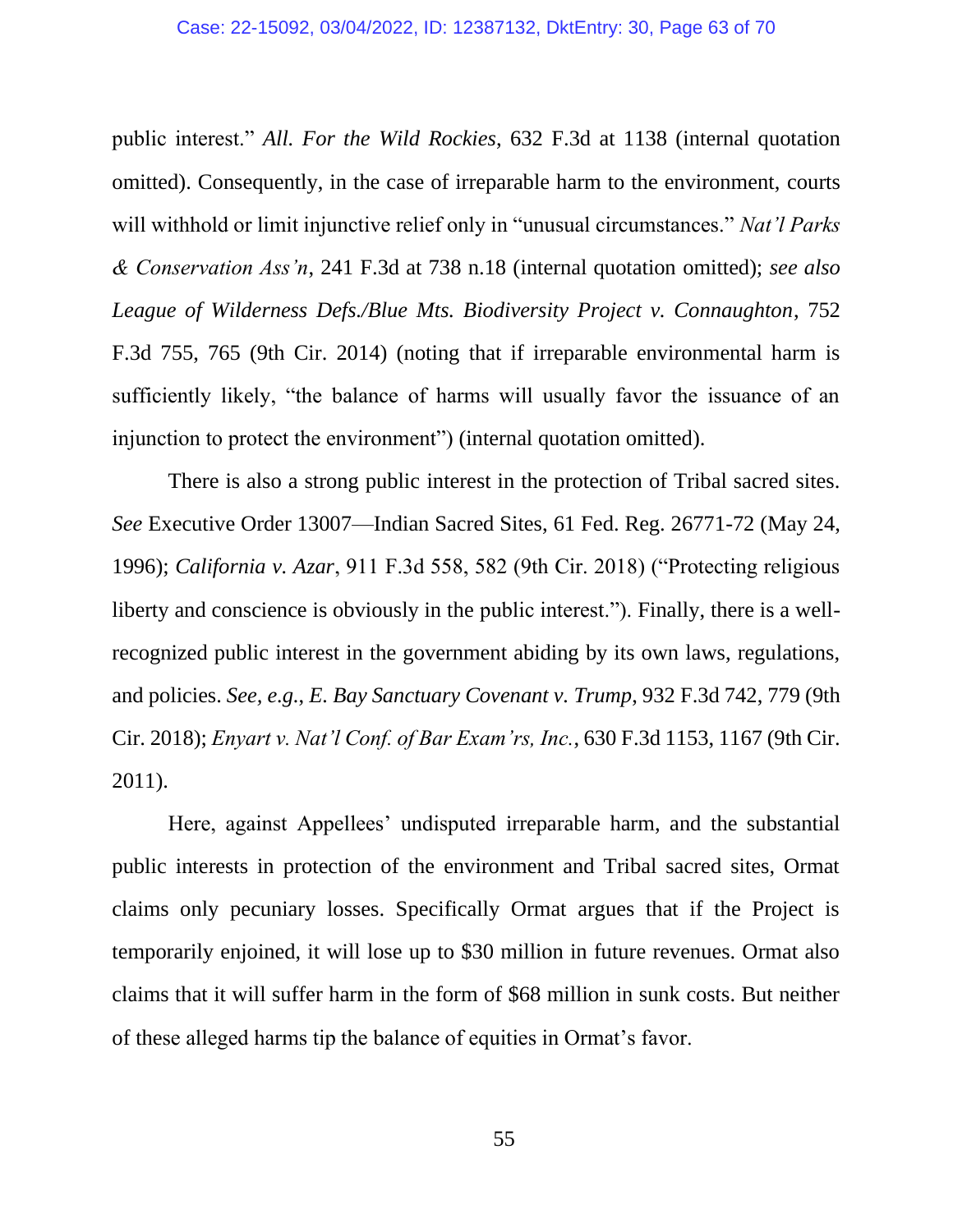public interest." *All. For the Wild Rockies*, 632 F.3d at 1138 (internal quotation omitted). Consequently, in the case of irreparable harm to the environment, courts will withhold or limit injunctive relief only in "unusual circumstances." *Nat'l Parks & Conservation Ass'n*, 241 F.3d at 738 n.18 (internal quotation omitted); *see also League of Wilderness Defs./Blue Mts. Biodiversity Project v. Connaughton*, 752 F.3d 755, 765 (9th Cir. 2014) (noting that if irreparable environmental harm is sufficiently likely, "the balance of harms will usually favor the issuance of an injunction to protect the environment") (internal quotation omitted).

There is also a strong public interest in the protection of Tribal sacred sites. *See* Executive Order 13007—Indian Sacred Sites, 61 Fed. Reg. 26771-72 (May 24, 1996); *California v. Azar*, 911 F.3d 558, 582 (9th Cir. 2018) ("Protecting religious liberty and conscience is obviously in the public interest."). Finally, there is a wellrecognized public interest in the government abiding by its own laws, regulations, and policies. *See, e.g.*, *E. Bay Sanctuary Covenant v. Trump*, 932 F.3d 742, 779 (9th Cir. 2018); *Enyart v. Nat'l Conf. of Bar Exam'rs, Inc.*, 630 F.3d 1153, 1167 (9th Cir. 2011).

Here, against Appellees' undisputed irreparable harm, and the substantial public interests in protection of the environment and Tribal sacred sites, Ormat claims only pecuniary losses. Specifically Ormat argues that if the Project is temporarily enjoined, it will lose up to \$30 million in future revenues. Ormat also claims that it will suffer harm in the form of \$68 million in sunk costs. But neither of these alleged harms tip the balance of equities in Ormat's favor.

55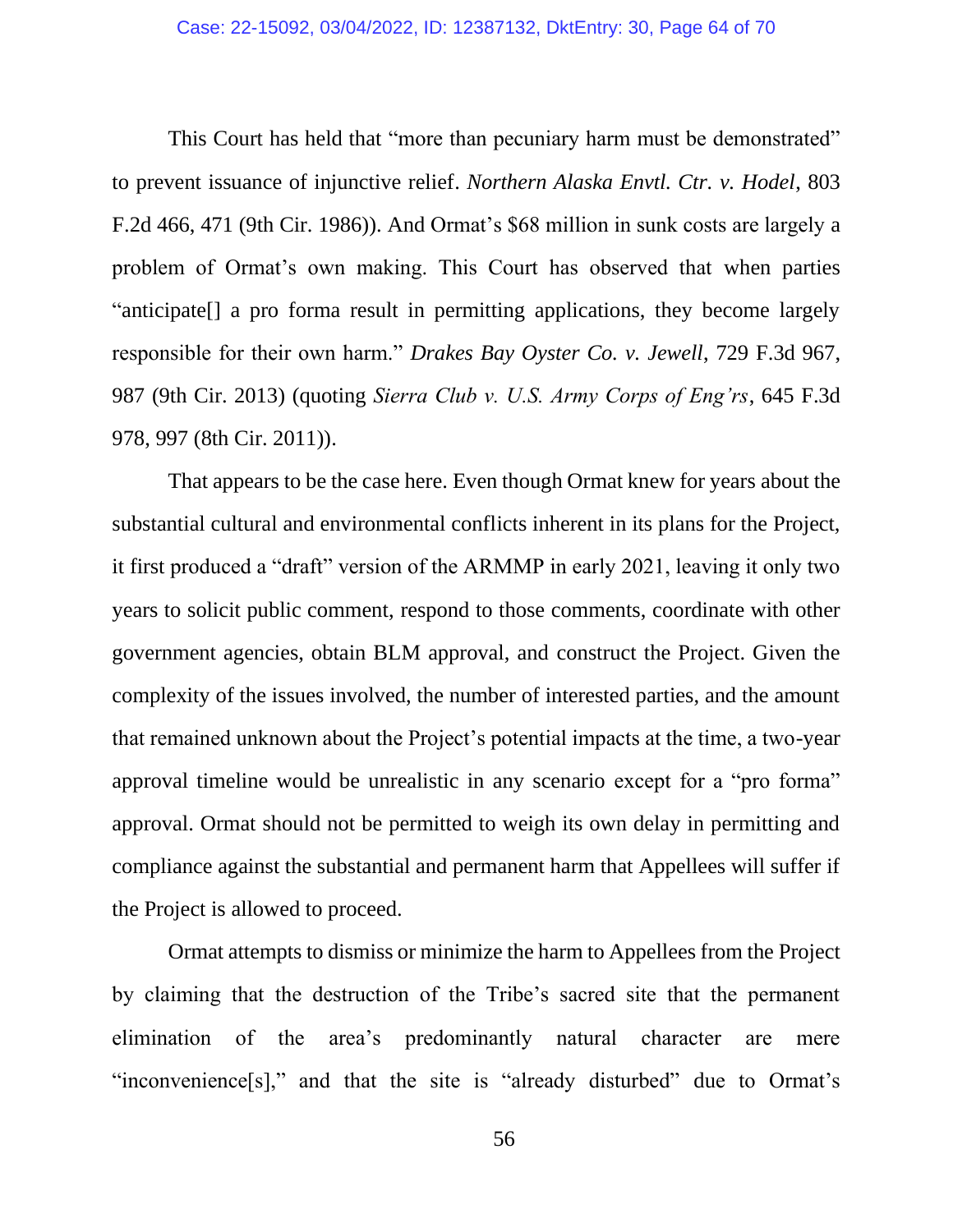This Court has held that "more than pecuniary harm must be demonstrated" to prevent issuance of injunctive relief. *Northern Alaska Envtl. Ctr. v. Hodel*, 803 F.2d 466, 471 (9th Cir. 1986)). And Ormat's \$68 million in sunk costs are largely a problem of Ormat's own making. This Court has observed that when parties "anticipate[] a pro forma result in permitting applications, they become largely responsible for their own harm." *Drakes Bay Oyster Co. v. Jewell*, 729 F.3d 967, 987 (9th Cir. 2013) (quoting *Sierra Club v. U.S. Army Corps of Eng'rs*, 645 F.3d 978, 997 (8th Cir. 2011)).

That appears to be the case here. Even though Ormat knew for years about the substantial cultural and environmental conflicts inherent in its plans for the Project, it first produced a "draft" version of the ARMMP in early 2021, leaving it only two years to solicit public comment, respond to those comments, coordinate with other government agencies, obtain BLM approval, and construct the Project. Given the complexity of the issues involved, the number of interested parties, and the amount that remained unknown about the Project's potential impacts at the time, a two-year approval timeline would be unrealistic in any scenario except for a "pro forma" approval. Ormat should not be permitted to weigh its own delay in permitting and compliance against the substantial and permanent harm that Appellees will suffer if the Project is allowed to proceed.

Ormat attempts to dismiss or minimize the harm to Appellees from the Project by claiming that the destruction of the Tribe's sacred site that the permanent elimination of the area's predominantly natural character are mere "inconvenience[s]," and that the site is "already disturbed" due to Ormat's

56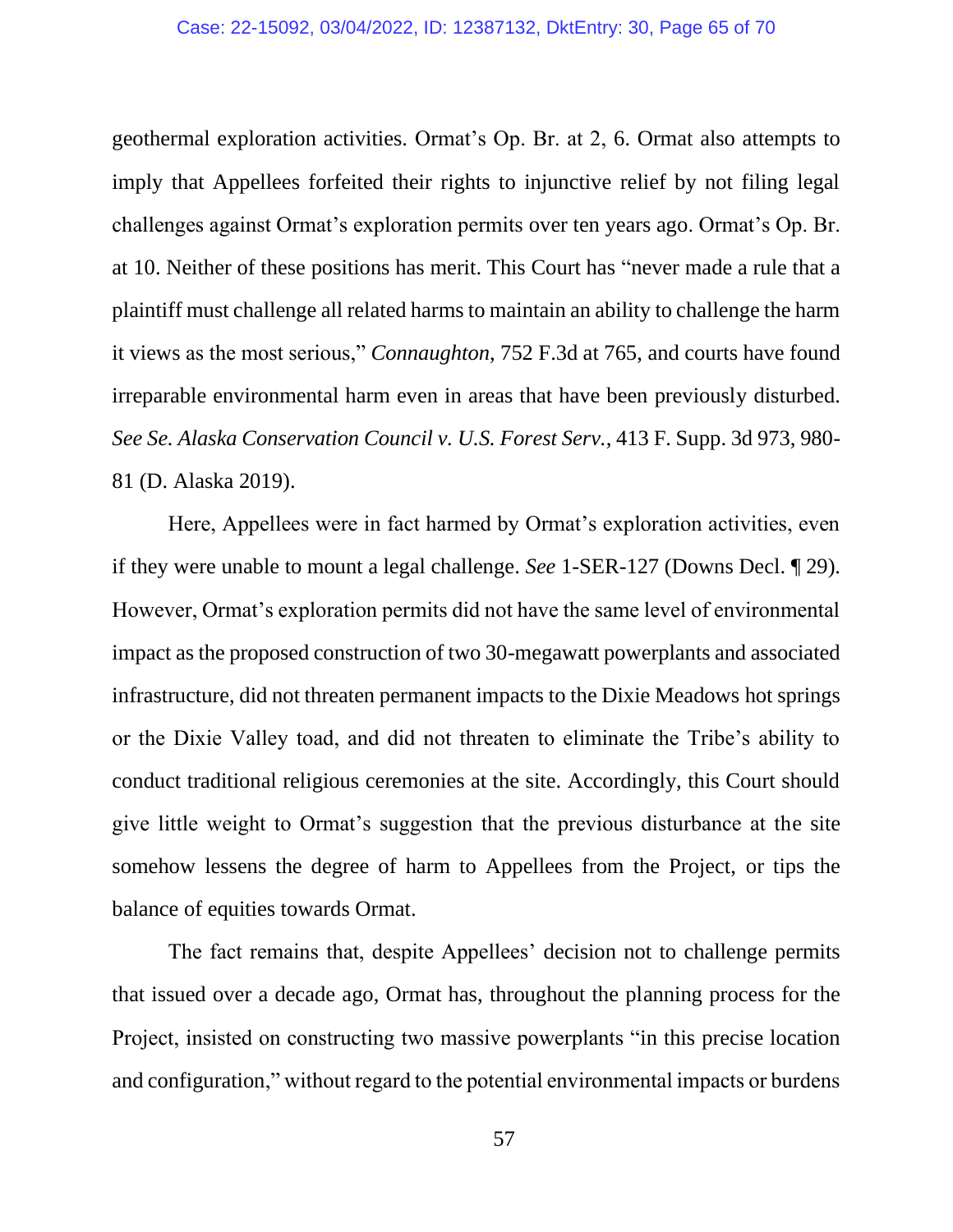geothermal exploration activities. Ormat's Op. Br. at 2, 6. Ormat also attempts to imply that Appellees forfeited their rights to injunctive relief by not filing legal challenges against Ormat's exploration permits over ten years ago. Ormat's Op. Br. at 10. Neither of these positions has merit. This Court has "never made a rule that a plaintiff must challenge all related harms to maintain an ability to challenge the harm it views as the most serious," *Connaughton*, 752 F.3d at 765, and courts have found irreparable environmental harm even in areas that have been previously disturbed. *See Se. Alaska Conservation Council v. U.S. Forest Serv.*, 413 F. Supp. 3d 973, 980- 81 (D. Alaska 2019).

Here, Appellees were in fact harmed by Ormat's exploration activities, even if they were unable to mount a legal challenge. *See* 1-SER-127 (Downs Decl. ¶ 29). However, Ormat's exploration permits did not have the same level of environmental impact as the proposed construction of two 30-megawatt powerplants and associated infrastructure, did not threaten permanent impacts to the Dixie Meadows hot springs or the Dixie Valley toad, and did not threaten to eliminate the Tribe's ability to conduct traditional religious ceremonies at the site. Accordingly, this Court should give little weight to Ormat's suggestion that the previous disturbance at the site somehow lessens the degree of harm to Appellees from the Project, or tips the balance of equities towards Ormat.

The fact remains that, despite Appellees' decision not to challenge permits that issued over a decade ago, Ormat has, throughout the planning process for the Project, insisted on constructing two massive powerplants "in this precise location and configuration," without regard to the potential environmental impacts or burdens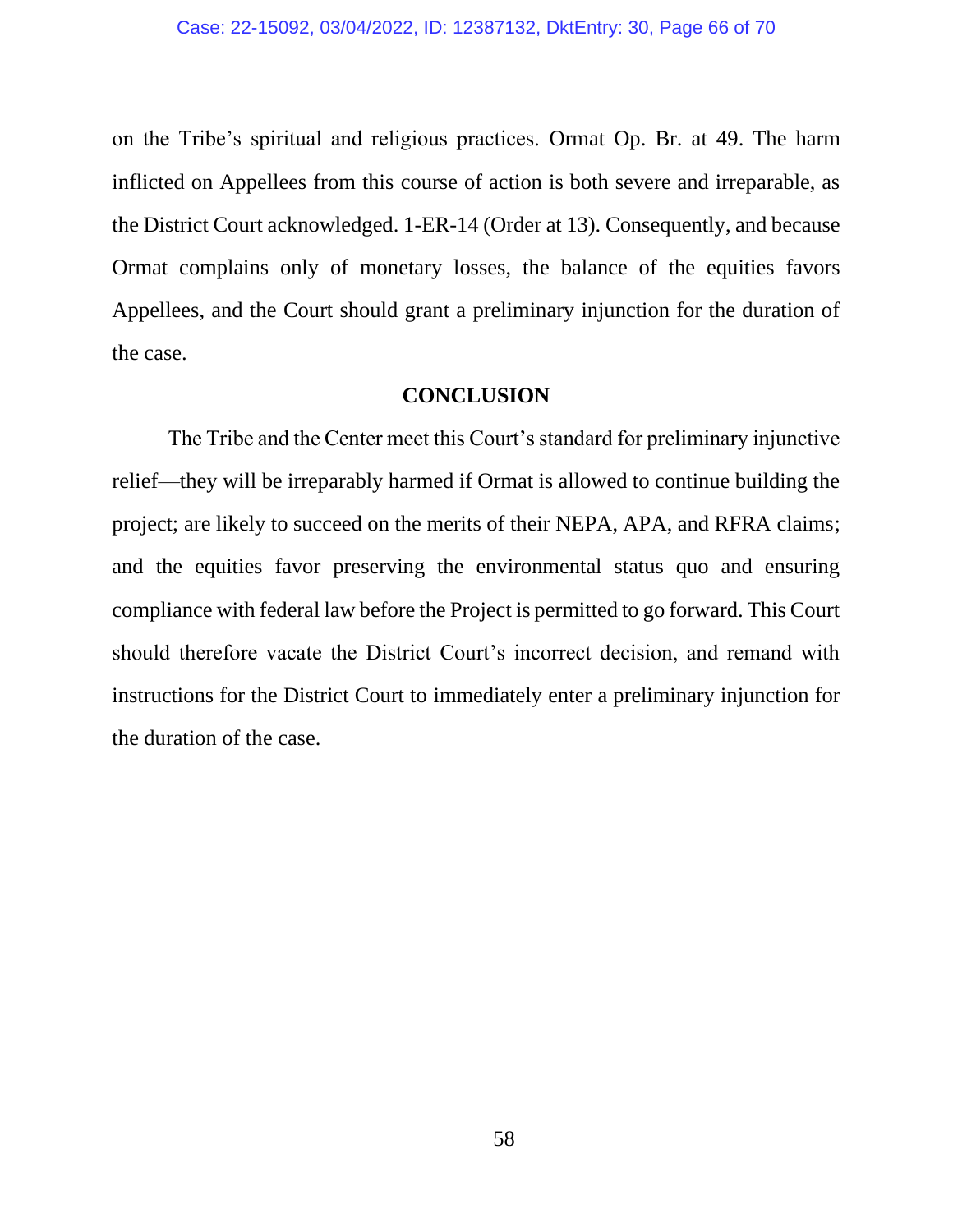on the Tribe's spiritual and religious practices. Ormat Op. Br. at 49. The harm inflicted on Appellees from this course of action is both severe and irreparable, as the District Court acknowledged. 1-ER-14 (Order at 13). Consequently, and because Ormat complains only of monetary losses, the balance of the equities favors Appellees, and the Court should grant a preliminary injunction for the duration of the case.

#### **CONCLUSION**

The Tribe and the Center meet this Court's standard for preliminary injunctive relief—they will be irreparably harmed if Ormat is allowed to continue building the project; are likely to succeed on the merits of their NEPA, APA, and RFRA claims; and the equities favor preserving the environmental status quo and ensuring compliance with federal law before the Project is permitted to go forward. This Court should therefore vacate the District Court's incorrect decision, and remand with instructions for the District Court to immediately enter a preliminary injunction for the duration of the case.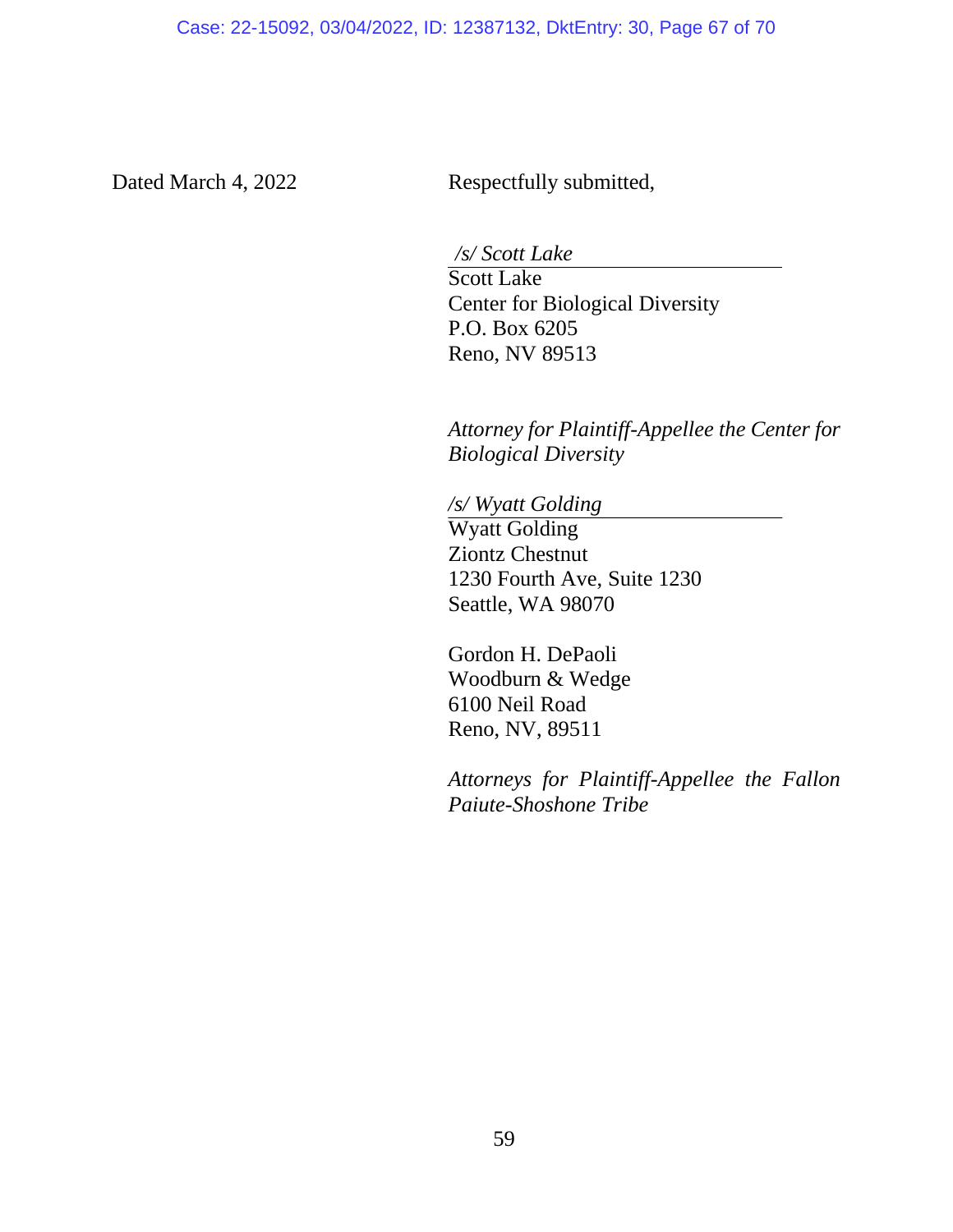Dated March 4, 2022 Respectfully submitted,

*/s/ Scott Lake*

Scott Lake Center for Biological Diversity P.O. Box 6205 Reno, NV 89513

*Attorney for Plaintiff-Appellee the Center for Biological Diversity*

*/s/ Wyatt Golding* Wyatt Golding Ziontz Chestnut 1230 Fourth Ave, Suite 1230 Seattle, WA 98070

Gordon H. DePaoli Woodburn & Wedge 6100 Neil Road Reno, NV, 89511

*Attorneys for Plaintiff-Appellee the Fallon Paiute-Shoshone Tribe*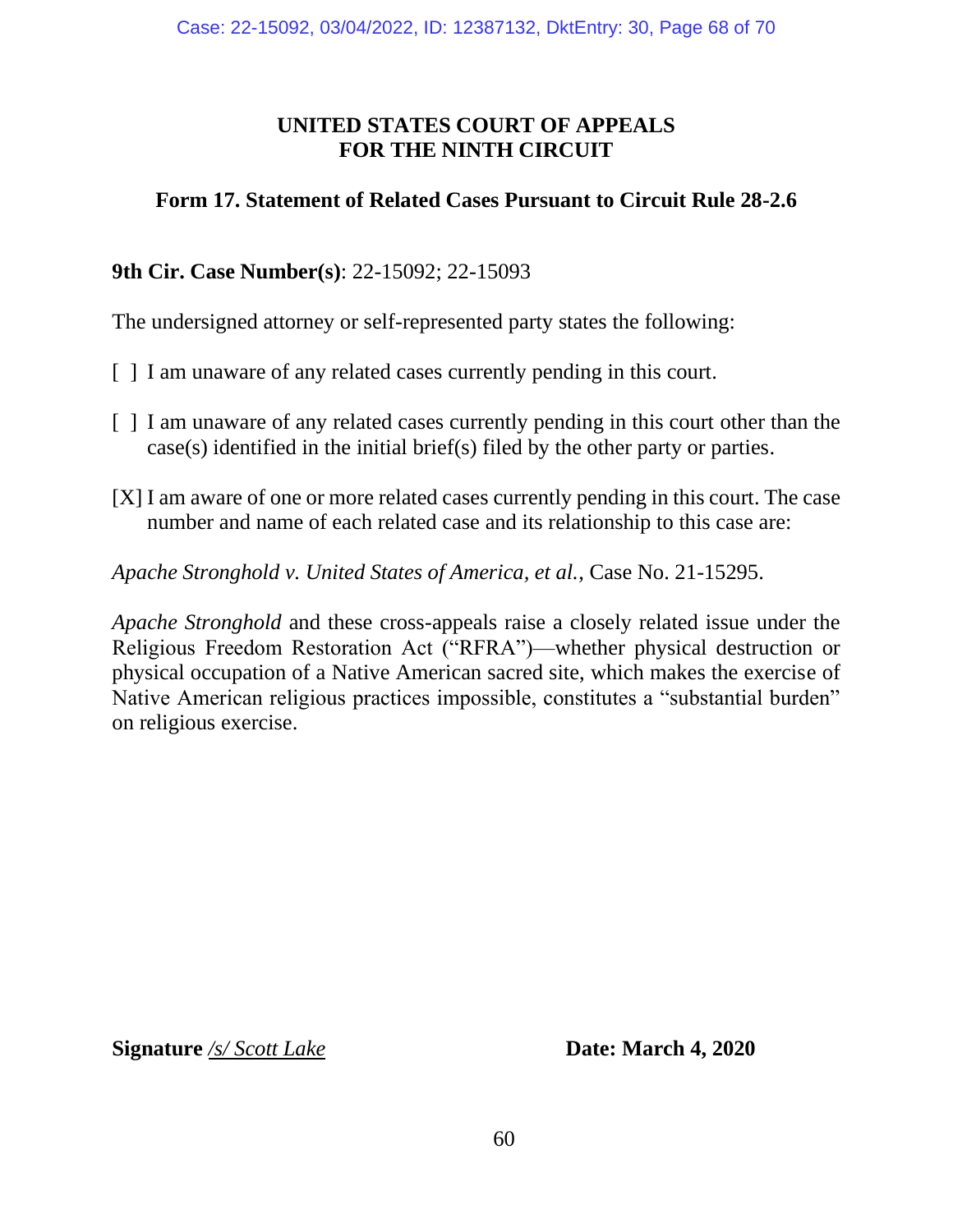# **UNITED STATES COURT OF APPEALS FOR THE NINTH CIRCUIT**

# **Form 17. Statement of Related Cases Pursuant to Circuit Rule 28-2.6**

# **9th Cir. Case Number(s)**: 22-15092; 22-15093

The undersigned attorney or self-represented party states the following:

- [ ] I am unaware of any related cases currently pending in this court.
- [ ] I am unaware of any related cases currently pending in this court other than the case(s) identified in the initial brief(s) filed by the other party or parties.
- [X] I am aware of one or more related cases currently pending in this court. The case number and name of each related case and its relationship to this case are:

*Apache Stronghold v. United States of America, et al.*, Case No. 21-15295.

*Apache Stronghold* and these cross-appeals raise a closely related issue under the Religious Freedom Restoration Act ("RFRA")—whether physical destruction or physical occupation of a Native American sacred site, which makes the exercise of Native American religious practices impossible, constitutes a "substantial burden" on religious exercise.

**Signature** /s/ Scott Lake **Date: March 4, 2020**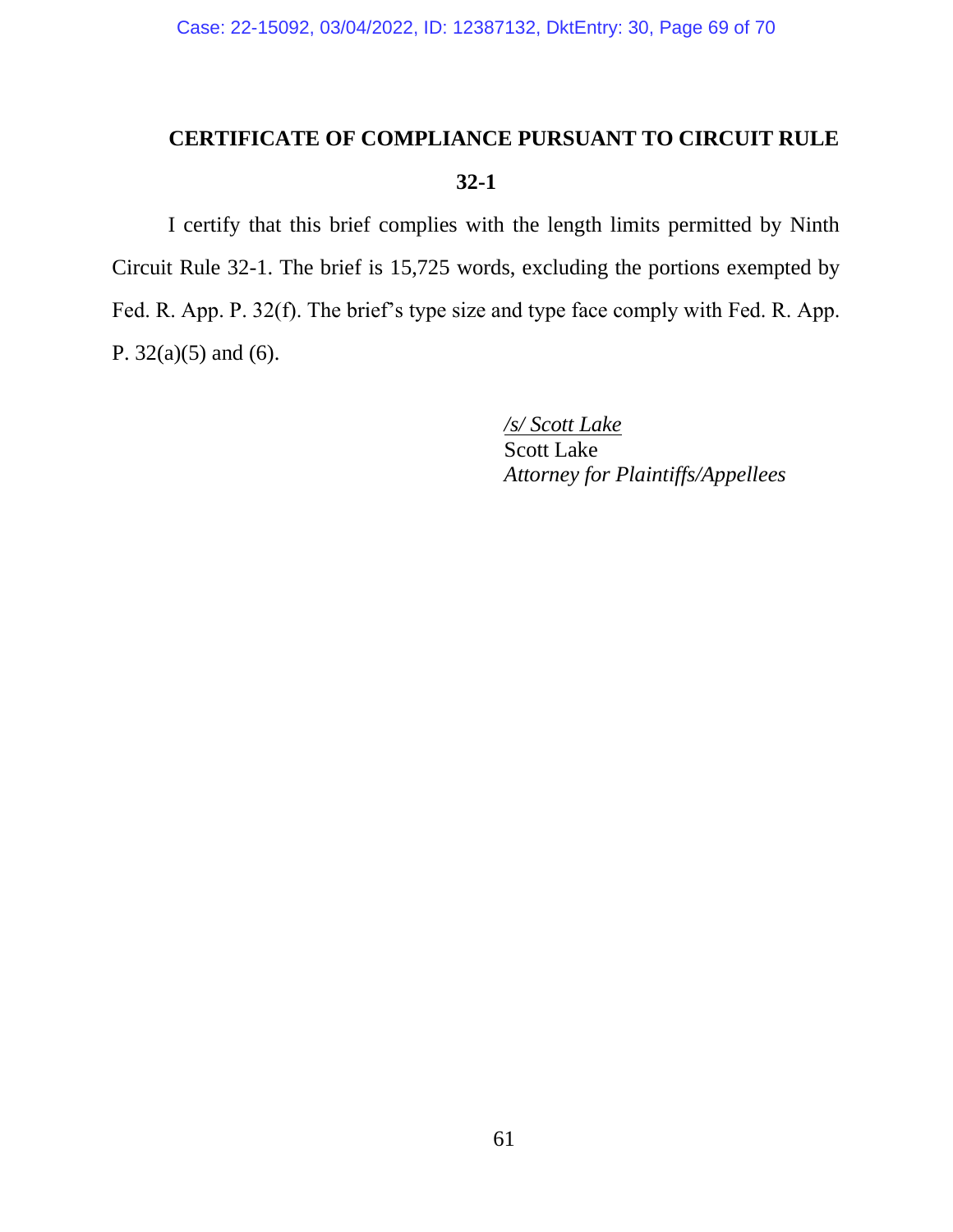# **CERTIFICATE OF COMPLIANCE PURSUANT TO CIRCUIT RULE 32-1**

I certify that this brief complies with the length limits permitted by Ninth Circuit Rule 32-1. The brief is 15,725 words, excluding the portions exempted by Fed. R. App. P. 32(f). The brief's type size and type face comply with Fed. R. App. P. 32(a)(5) and (6).

> */s/ Scott Lake* Scott Lake *Attorney for Plaintiffs/Appellees*